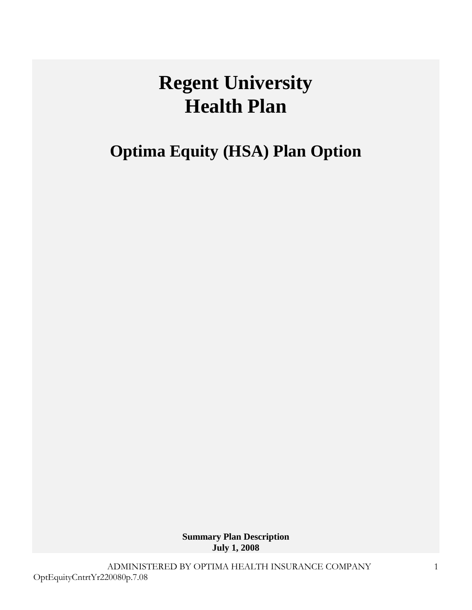# **Regent University Health Plan**

**Optima Equity (HSA) Plan Option**

**Summary Plan Description July 1, 2008**

 ADMINISTERED BY OPTIMA HEALTH INSURANCE COMPANY OptEquityCntrtYr220080p.7.08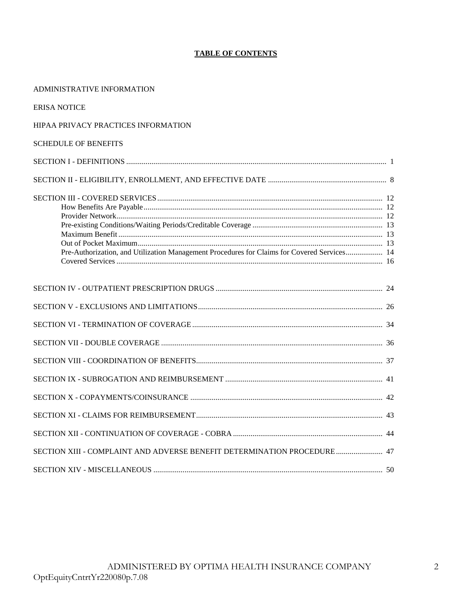### **TABLE OF CONTENTS**

| ADMINISTRATIVE INFORMATION                                                                  |  |
|---------------------------------------------------------------------------------------------|--|
| <b>ERISA NOTICE</b>                                                                         |  |
| HIPAA PRIVACY PRACTICES INFORMATION                                                         |  |
| <b>SCHEDULE OF BENEFITS</b>                                                                 |  |
|                                                                                             |  |
|                                                                                             |  |
| Pre-Authorization, and Utilization Management Procedures for Claims for Covered Services 14 |  |
|                                                                                             |  |
|                                                                                             |  |
|                                                                                             |  |
|                                                                                             |  |
|                                                                                             |  |
|                                                                                             |  |
|                                                                                             |  |
|                                                                                             |  |
|                                                                                             |  |
| SECTION XIII - COMPLAINT AND ADVERSE BENEFIT DETERMINATION PROCEDURE 47                     |  |
|                                                                                             |  |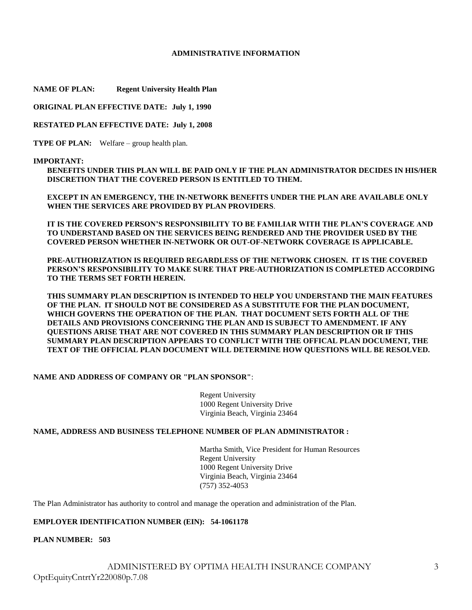### **ADMINISTRATIVE INFORMATION**

**NAME OF PLAN: Regent University Health Plan**

**ORIGINAL PLAN EFFECTIVE DATE: July 1, 1990**

**RESTATED PLAN EFFECTIVE DATE: July 1, 2008**

**TYPE OF PLAN:** Welfare – group health plan.

#### **IMPORTANT:**

**BENEFITS UNDER THIS PLAN WILL BE PAID ONLY IF THE PLAN ADMINISTRATOR DECIDES IN HIS/HER DISCRETION THAT THE COVERED PERSON IS ENTITLED TO THEM.**

**EXCEPT IN AN EMERGENCY, THE IN-NETWORK BENEFITS UNDER THE PLAN ARE AVAILABLE ONLY WHEN THE SERVICES ARE PROVIDED BY PLAN PROVIDERS**.

**IT IS THE COVERED PERSON'S RESPONSIBILITY TO BE FAMILIAR WITH THE PLAN'S COVERAGE AND TO UNDERSTAND BASED ON THE SERVICES BEING RENDERED AND THE PROVIDER USED BY THE COVERED PERSON WHETHER IN-NETWORK OR OUT-OF-NETWORK COVERAGE IS APPLICABLE.**

**PRE-AUTHORIZATION IS REQUIRED REGARDLESS OF THE NETWORK CHOSEN. IT IS THE COVERED PERSON'S RESPONSIBILITY TO MAKE SURE THAT PRE-AUTHORIZATION IS COMPLETED ACCORDING TO THE TERMS SET FORTH HEREIN.**

**THIS SUMMARY PLAN DESCRIPTION IS INTENDED TO HELP YOU UNDERSTAND THE MAIN FEATURES OF THE PLAN. IT SHOULD NOT BE CONSIDERED AS A SUBSTITUTE FOR THE PLAN DOCUMENT, WHICH GOVERNS THE OPERATION OF THE PLAN. THAT DOCUMENT SETS FORTH ALL OF THE DETAILS AND PROVISIONS CONCERNING THE PLAN AND IS SUBJECT TO AMENDMENT. IF ANY QUESTIONS ARISE THAT ARE NOT COVERED IN THIS SUMMARY PLAN DESCRIPTION OR IF THIS SUMMARY PLAN DESCRIPTION APPEARS TO CONFLICT WITH THE OFFICAL PLAN DOCUMENT, THE TEXT OF THE OFFICIAL PLAN DOCUMENT WILL DETERMINE HOW QUESTIONS WILL BE RESOLVED.**

### **NAME AND ADDRESS OF COMPANY OR "PLAN SPONSOR"**:

Regent University 1000 Regent University Drive Virginia Beach, Virginia 23464

### **NAME, ADDRESS AND BUSINESS TELEPHONE NUMBER OF PLAN ADMINISTRATOR :**

Martha Smith, Vice President for Human Resources Regent University 1000 Regent University Drive Virginia Beach, Virginia 23464 (757) 352-4053

The Plan Administrator has authority to control and manage the operation and administration of the Plan.

### **EMPLOYER IDENTIFICATION NUMBER (EIN): 54-1061178**

### **PLAN NUMBER: 503**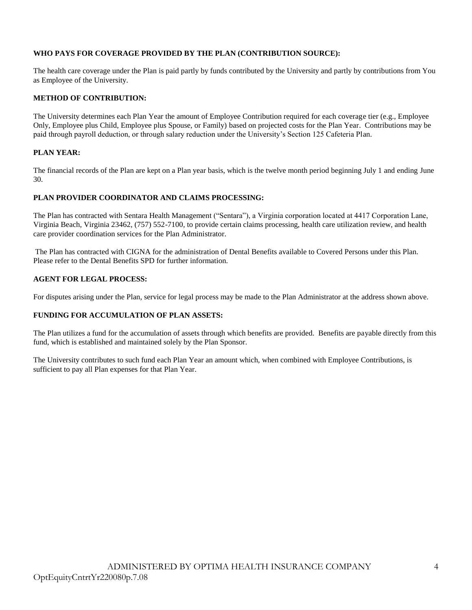### **WHO PAYS FOR COVERAGE PROVIDED BY THE PLAN (CONTRIBUTION SOURCE):**

The health care coverage under the Plan is paid partly by funds contributed by the University and partly by contributions from You as Employee of the University.

### **METHOD OF CONTRIBUTION:**

The University determines each Plan Year the amount of Employee Contribution required for each coverage tier (e.g., Employee Only, Employee plus Child, Employee plus Spouse, or Family) based on projected costs for the Plan Year. Contributions may be paid through payroll deduction, or through salary reduction under the University's Section 125 Cafeteria Plan.

### **PLAN YEAR:**

The financial records of the Plan are kept on a Plan year basis, which is the twelve month period beginning July 1 and ending June 30.

### **PLAN PROVIDER COORDINATOR AND CLAIMS PROCESSING:**

The Plan has contracted with Sentara Health Management ("Sentara"), a Virginia corporation located at 4417 Corporation Lane, Virginia Beach, Virginia 23462, (757) 552-7100, to provide certain claims processing, health care utilization review, and health care provider coordination services for the Plan Administrator.

The Plan has contracted with CIGNA for the administration of Dental Benefits available to Covered Persons under this Plan. Please refer to the Dental Benefits SPD for further information.

### **AGENT FOR LEGAL PROCESS:**

For disputes arising under the Plan, service for legal process may be made to the Plan Administrator at the address shown above.

### **FUNDING FOR ACCUMULATION OF PLAN ASSETS:**

The Plan utilizes a fund for the accumulation of assets through which benefits are provided. Benefits are payable directly from this fund, which is established and maintained solely by the Plan Sponsor.

The University contributes to such fund each Plan Year an amount which, when combined with Employee Contributions, is sufficient to pay all Plan expenses for that Plan Year.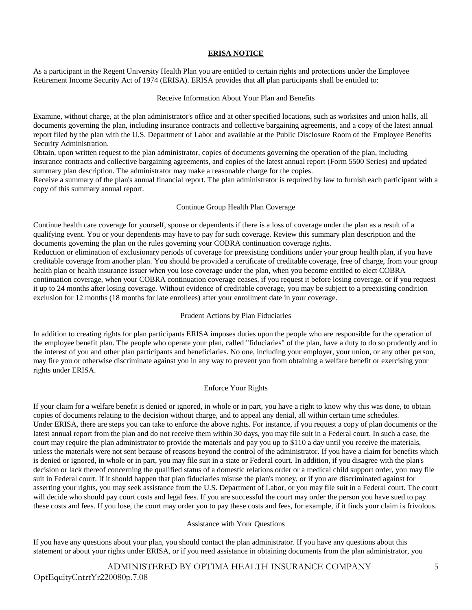### **ERISA NOTICE**

As a participant in the Regent University Health Plan you are entitled to certain rights and protections under the Employee Retirement Income Security Act of 1974 (ERISA). ERISA provides that all plan participants shall be entitled to:

### Receive Information About Your Plan and Benefits

Examine, without charge, at the plan administrator's office and at other specified locations, such as worksites and union halls, all documents governing the plan, including insurance contracts and collective bargaining agreements, and a copy of the latest annual report filed by the plan with the U.S. Department of Labor and available at the Public Disclosure Room of the Employee Benefits Security Administration.

Obtain, upon written request to the plan administrator, copies of documents governing the operation of the plan, including insurance contracts and collective bargaining agreements, and copies of the latest annual report (Form 5500 Series) and updated summary plan description. The administrator may make a reasonable charge for the copies.

Receive a summary of the plan's annual financial report. The plan administrator is required by law to furnish each participant with a copy of this summary annual report.

### Continue Group Health Plan Coverage

Continue health care coverage for yourself, spouse or dependents if there is a loss of coverage under the plan as a result of a qualifying event. You or your dependents may have to pay for such coverage. Review this summary plan description and the documents governing the plan on the rules governing your COBRA continuation coverage rights.

Reduction or elimination of exclusionary periods of coverage for preexisting conditions under your group health plan, if you have creditable coverage from another plan. You should be provided a certificate of creditable coverage, free of charge, from your group health plan or health insurance issuer when you lose coverage under the plan, when you become entitled to elect COBRA continuation coverage, when your COBRA continuation coverage ceases, if you request it before losing coverage, or if you request it up to 24 months after losing coverage. Without evidence of creditable coverage, you may be subject to a preexisting condition exclusion for 12 months (18 months for late enrollees) after your enrollment date in your coverage.

### Prudent Actions by Plan Fiduciaries

In addition to creating rights for plan participants ERISA imposes duties upon the people who are responsible for the operation of the employee benefit plan. The people who operate your plan, called "fiduciaries" of the plan, have a duty to do so prudently and in the interest of you and other plan participants and beneficiaries. No one, including your employer, your union, or any other person, may fire you or otherwise discriminate against you in any way to prevent you from obtaining a welfare benefit or exercising your rights under ERISA.

### Enforce Your Rights

If your claim for a welfare benefit is denied or ignored, in whole or in part, you have a right to know why this was done, to obtain copies of documents relating to the decision without charge, and to appeal any denial, all within certain time schedules. Under ERISA, there are steps you can take to enforce the above rights. For instance, if you request a copy of plan documents or the latest annual report from the plan and do not receive them within 30 days, you may file suit in a Federal court. In such a case, the court may require the plan administrator to provide the materials and pay you up to \$110 a day until you receive the materials, unless the materials were not sent because of reasons beyond the control of the administrator. If you have a claim for benefits which is denied or ignored, in whole or in part, you may file suit in a state or Federal court. In addition, if you disagree with the plan's decision or lack thereof concerning the qualified status of a domestic relations order or a medical child support order, you may file suit in Federal court. If it should happen that plan fiduciaries misuse the plan's money, or if you are discriminated against for asserting your rights, you may seek assistance from the U.S. Department of Labor, or you may file suit in a Federal court. The court will decide who should pay court costs and legal fees. If you are successful the court may order the person you have sued to pay these costs and fees. If you lose, the court may order you to pay these costs and fees, for example, if it finds your claim is frivolous.

### Assistance with Your Questions

If you have any questions about your plan, you should contact the plan administrator. If you have any questions about this statement or about your rights under ERISA, or if you need assistance in obtaining documents from the plan administrator, you

 ADMINISTERED BY OPTIMA HEALTH INSURANCE COMPANY OptEquityCntrtYr220080p.7.08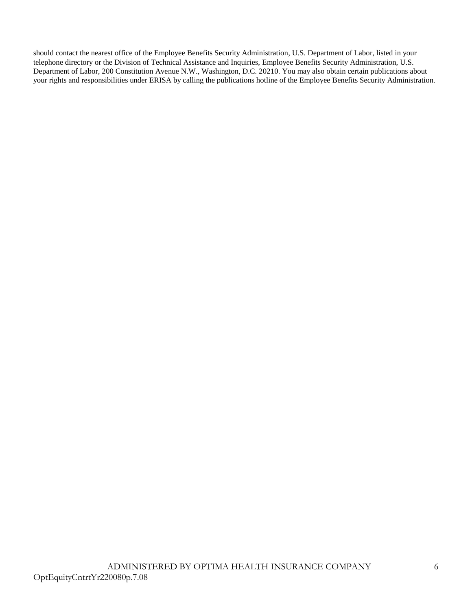should contact the nearest office of the Employee Benefits Security Administration, U.S. Department of Labor, listed in your telephone directory or the Division of Technical Assistance and Inquiries, Employee Benefits Security Administration, U.S. Department of Labor, 200 Constitution Avenue N.W., Washington, D.C. 20210. You may also obtain certain publications about your rights and responsibilities under ERISA by calling the publications hotline of the Employee Benefits Security Administration.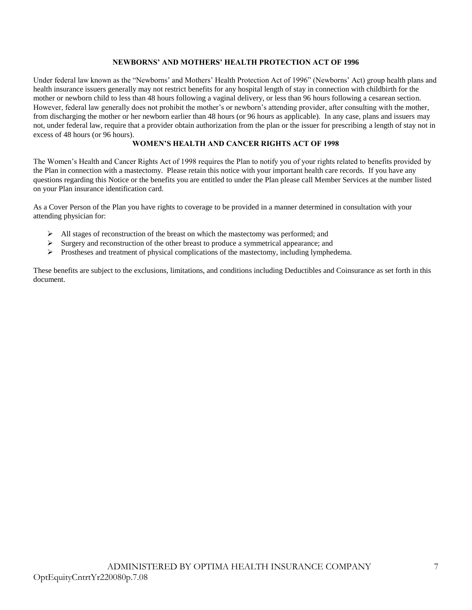### **NEWBORNS' AND MOTHERS' HEALTH PROTECTION ACT OF 1996**

Under federal law known as the "Newborns' and Mothers' Health Protection Act of 1996" (Newborns' Act) group health plans and health insurance issuers generally may not restrict benefits for any hospital length of stay in connection with childbirth for the mother or newborn child to less than 48 hours following a vaginal delivery, or less than 96 hours following a cesarean section. However, federal law generally does not prohibit the mother's or newborn's attending provider, after consulting with the mother, from discharging the mother or her newborn earlier than 48 hours (or 96 hours as applicable). In any case, plans and issuers may not, under federal law, require that a provider obtain authorization from the plan or the issuer for prescribing a length of stay not in excess of 48 hours (or 96 hours).

### **WOMEN'S HEALTH AND CANCER RIGHTS ACT OF 1998**

The Women's Health and Cancer Rights Act of 1998 requires the Plan to notify you of your rights related to benefits provided by the Plan in connection with a mastectomy. Please retain this notice with your important health care records. If you have any questions regarding this Notice or the benefits you are entitled to under the Plan please call Member Services at the number listed on your Plan insurance identification card.

As a Cover Person of the Plan you have rights to coverage to be provided in a manner determined in consultation with your attending physician for:

- $\triangleright$  All stages of reconstruction of the breast on which the mastectomy was performed; and
- $\triangleright$  Surgery and reconstruction of the other breast to produce a symmetrical appearance; and
- $\triangleright$  Prostheses and treatment of physical complications of the mastectomy, including lymphedema.

These benefits are subject to the exclusions, limitations, and conditions including Deductibles and Coinsurance as set forth in this document.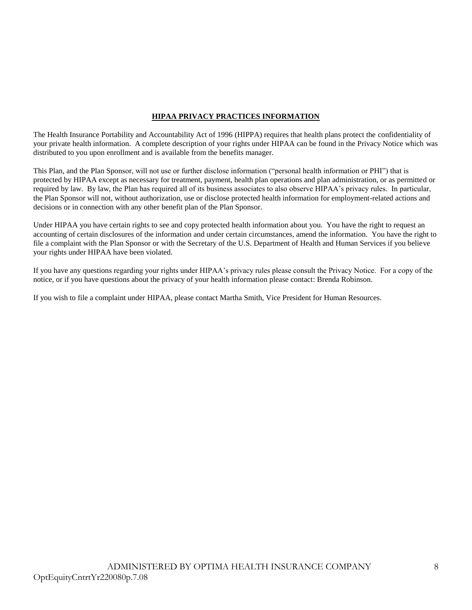### **HIPAA PRIVACY PRACTICES INFORMATION**

The Health Insurance Portability and Accountability Act of 1996 (HIPPA) requires that health plans protect the confidentiality of your private health information. A complete description of your rights under HIPAA can be found in the Privacy Notice which was distributed to you upon enrollment and is available from the benefits manager.

This Plan, and the Plan Sponsor, will not use or further disclose information ("personal health information or PHI") that is protected by HIPAA except as necessary for treatment, payment, health plan operations and plan administration, or as permitted or required by law. By law, the Plan has required all of its business associates to also observe HIPAA's privacy rules. In particular, the Plan Sponsor will not, without authorization, use or disclose protected health information for employment-related actions and decisions or in connection with any other benefit plan of the Plan Sponsor.

Under HIPAA you have certain rights to see and copy protected health information about you. You have the right to request an accounting of certain disclosures of the information and under certain circumstances, amend the information. You have the right to file a complaint with the Plan Sponsor or with the Secretary of the U.S. Department of Health and Human Services if you believe your rights under HIPAA have been violated.

If you have any questions regarding your rights under HIPAA's privacy rules please consult the Privacy Notice. For a copy of the notice, or if you have questions about the privacy of your health information please contact: Brenda Robinson.

If you wish to file a complaint under HIPAA, please contact Martha Smith, Vice President for Human Resources.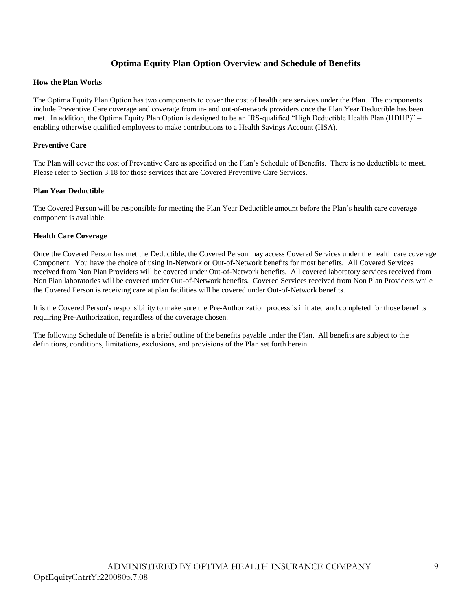### **Optima Equity Plan Option Overview and Schedule of Benefits**

### **How the Plan Works**

The Optima Equity Plan Option has two components to cover the cost of health care services under the Plan. The components include Preventive Care coverage and coverage from in- and out-of-network providers once the Plan Year Deductible has been met. In addition, the Optima Equity Plan Option is designed to be an IRS-qualified "High Deductible Health Plan (HDHP)" – enabling otherwise qualified employees to make contributions to a Health Savings Account (HSA).

### **Preventive Care**

The Plan will cover the cost of Preventive Care as specified on the Plan's Schedule of Benefits. There is no deductible to meet. Please refer to Section 3.18 for those services that are Covered Preventive Care Services.

### **Plan Year Deductible**

The Covered Person will be responsible for meeting the Plan Year Deductible amount before the Plan's health care coverage component is available.

### **Health Care Coverage**

Once the Covered Person has met the Deductible, the Covered Person may access Covered Services under the health care coverage Component. You have the choice of using In-Network or Out-of-Network benefits for most benefits. All Covered Services received from Non Plan Providers will be covered under Out-of-Network benefits. All covered laboratory services received from Non Plan laboratories will be covered under Out-of-Network benefits. Covered Services received from Non Plan Providers while the Covered Person is receiving care at plan facilities will be covered under Out-of-Network benefits.

It is the Covered Person's responsibility to make sure the Pre-Authorization process is initiated and completed for those benefits requiring Pre-Authorization, regardless of the coverage chosen.

The following Schedule of Benefits is a brief outline of the benefits payable under the Plan. All benefits are subject to the definitions, conditions, limitations, exclusions, and provisions of the Plan set forth herein.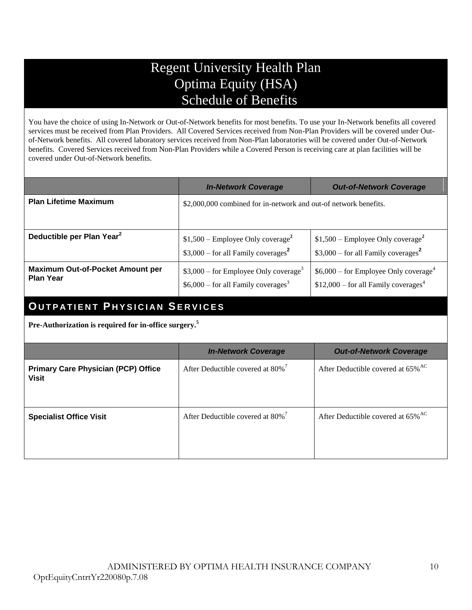# Regent University Health Plan Optima Equity (HSA) Schedule of Benefits

You have the choice of using In-Network or Out-of-Network benefits for most benefits. To use your In-Network benefits all covered services must be received from Plan Providers. All Covered Services received from Non-Plan Providers will be covered under Outof-Network benefits. All covered laboratory services received from Non-Plan laboratories will be covered under Out-of-Network benefits. Covered Services received from Non-Plan Providers while a Covered Person is receiving care at plan facilities will be covered under Out-of-Network benefits.

|                                                             | <b>In-Network Coverage</b>                                                                             | <b>Out-of-Network Coverage</b>                                                                          |
|-------------------------------------------------------------|--------------------------------------------------------------------------------------------------------|---------------------------------------------------------------------------------------------------------|
| <b>Plan Lifetime Maximum</b>                                | \$2,000,000 combined for in-network and out-of network benefits.                                       |                                                                                                         |
| Deductible per Plan Year <sup>2</sup>                       | $$1,500$ – Employee Only coverage <sup>2</sup><br>$$3,000$ – for all Family coverages <sup>2</sup>     | $$1,500$ – Employee Only coverage <sup>2</sup><br>$$3,000$ – for all Family coverages <sup>2</sup>      |
| <b>Maximum Out-of-Pocket Amount per</b><br><b>Plan Year</b> | $$3,000$ – for Employee Only coverage <sup>3</sup><br>$$6,000$ – for all Family coverages <sup>3</sup> | $$6,000$ – for Employee Only coverage <sup>4</sup><br>$$12,000$ – for all Family coverages <sup>4</sup> |

### **OUTPATIENT PHYSICIAN SERVICES**

**Pre-Authorization is required for in-office surgery.<sup>5</sup>**

|                                                     | <b>In-Network Coverage</b>                   | <b>Out-of-Network Coverage</b>                |
|-----------------------------------------------------|----------------------------------------------|-----------------------------------------------|
| <b>Primary Care Physician (PCP) Office</b><br>Visit | After Deductible covered at 80% <sup>7</sup> | After Deductible covered at 65% <sup>AC</sup> |
| <b>Specialist Office Visit</b>                      | After Deductible covered at 80% <sup>7</sup> | After Deductible covered at 65% <sup>AC</sup> |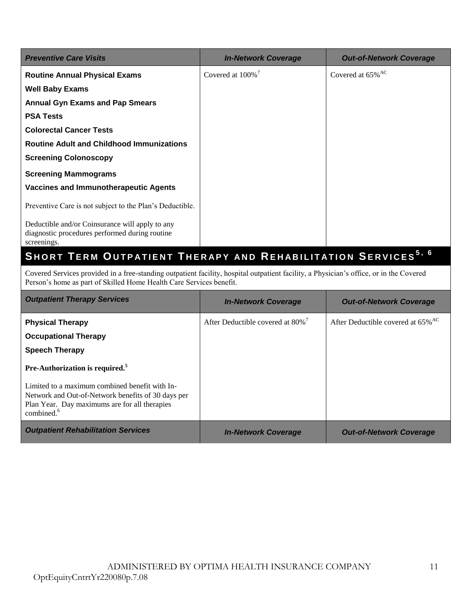| <b>Preventive Care Visits</b>                                                                                    | <b>In-Network Coverage</b>   | <b>Out-of-Network Coverage</b> |
|------------------------------------------------------------------------------------------------------------------|------------------------------|--------------------------------|
| <b>Routine Annual Physical Exams</b>                                                                             | Covered at 100% <sup>7</sup> | Covered at 65% <sup>AC</sup>   |
| <b>Well Baby Exams</b>                                                                                           |                              |                                |
| <b>Annual Gyn Exams and Pap Smears</b>                                                                           |                              |                                |
| <b>PSA Tests</b>                                                                                                 |                              |                                |
| <b>Colorectal Cancer Tests</b>                                                                                   |                              |                                |
| <b>Routine Adult and Childhood Immunizations</b>                                                                 |                              |                                |
| <b>Screening Colonoscopy</b>                                                                                     |                              |                                |
| <b>Screening Mammograms</b>                                                                                      |                              |                                |
| <b>Vaccines and Immunotherapeutic Agents</b>                                                                     |                              |                                |
| Preventive Care is not subject to the Plan's Deductible.                                                         |                              |                                |
| Deductible and/or Coinsurance will apply to any<br>diagnostic procedures performed during routine<br>screenings. |                              |                                |

### SHORT TERM OUTPATIENT THERAPY AND REHABILITATION SERVICES<sup>5, 6</sup>

Covered Services provided in a free-standing outpatient facility, hospital outpatient facility, a Physician's office, or in the Covered Person's home as part of Skilled Home Health Care Services benefit.

| <b>Outpatient Therapy Services</b>                                                                                                                                                                                             | <b>In-Network Coverage</b>      | <b>Out-of-Network Coverage</b>                |
|--------------------------------------------------------------------------------------------------------------------------------------------------------------------------------------------------------------------------------|---------------------------------|-----------------------------------------------|
| <b>Physical Therapy</b><br><b>Occupational Therapy</b><br><b>Speech Therapy</b>                                                                                                                                                | After Deductible covered at 80% | After Deductible covered at 65% <sup>AC</sup> |
| Pre-Authorization is required. <sup>5</sup><br>Limited to a maximum combined benefit with In-<br>Network and Out-of-Network benefits of 30 days per<br>Plan Year. Day maximums are for all therapies<br>combined. <sup>6</sup> |                                 |                                               |
| <b>Outpatient Rehabilitation Services</b>                                                                                                                                                                                      | <b>In-Network Coverage</b>      | <b>Out-of-Network Coverage</b>                |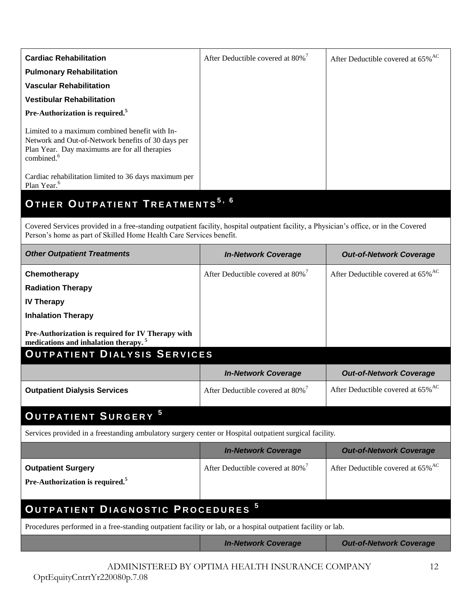| <b>Cardiac Rehabilitation</b>                                                                                                                                                   | After Deductible covered at 80% <sup>7</sup> | After Deductible covered at 65% <sup>AC</sup> |
|---------------------------------------------------------------------------------------------------------------------------------------------------------------------------------|----------------------------------------------|-----------------------------------------------|
| <b>Pulmonary Rehabilitation</b>                                                                                                                                                 |                                              |                                               |
| <b>Vascular Rehabilitation</b>                                                                                                                                                  |                                              |                                               |
| <b>Vestibular Rehabilitation</b>                                                                                                                                                |                                              |                                               |
| Pre-Authorization is required. <sup>5</sup>                                                                                                                                     |                                              |                                               |
| Limited to a maximum combined benefit with In-<br>Network and Out-of-Network benefits of 30 days per<br>Plan Year. Day maximums are for all therapies<br>combined. <sup>6</sup> |                                              |                                               |
| Cardiac rehabilitation limited to 36 days maximum per<br>Plan Year. <sup>6</sup>                                                                                                |                                              |                                               |

# **OTHER OUTPATIENT TREATMENTS**<sup>5, 6</sup>

Covered Services provided in a free-standing outpatient facility, hospital outpatient facility, a Physician's office, or in the Covered Person's home as part of Skilled Home Health Care Services benefit.

| <b>Other Outpatient Treatments</b>                                                                            | <b>In-Network Coverage</b>                   | <b>Out-of-Network Coverage</b>                |
|---------------------------------------------------------------------------------------------------------------|----------------------------------------------|-----------------------------------------------|
| Chemotherapy                                                                                                  | After Deductible covered at 80% <sup>7</sup> | After Deductible covered at 65% <sup>AC</sup> |
| <b>Radiation Therapy</b>                                                                                      |                                              |                                               |
| <b>IV Therapy</b>                                                                                             |                                              |                                               |
| <b>Inhalation Therapy</b>                                                                                     |                                              |                                               |
| Pre-Authorization is required for IV Therapy with<br>medications and inhalation therapy. <sup>5</sup>         |                                              |                                               |
| OUTPATIENT DIALYSIS SERVICES                                                                                  |                                              |                                               |
|                                                                                                               | <b>In-Network Coverage</b>                   | <b>Out-of-Network Coverage</b>                |
| <b>Outpatient Dialysis Services</b>                                                                           | After Deductible covered at 80% <sup>7</sup> | After Deductible covered at 65% <sup>AC</sup> |
| <b>OUTPATIENT SURGERY 5</b>                                                                                   |                                              |                                               |
| Services provided in a freestanding ambulatory surgery center or Hospital outpatient surgical facility.       |                                              |                                               |
|                                                                                                               | <b>In-Network Coverage</b>                   | <b>Out-of-Network Coverage</b>                |
| <b>Outpatient Surgery</b>                                                                                     | After Deductible covered at 80% <sup>7</sup> | After Deductible covered at 65% <sup>AC</sup> |
| Pre-Authorization is required. <sup>5</sup>                                                                   |                                              |                                               |
| <b>OUTPATIENT DIAGNOSTIC PROCEDURES 5</b>                                                                     |                                              |                                               |
| Procedures performed in a free-standing outpatient facility or lab, or a hospital outpatient facility or lab. |                                              |                                               |
|                                                                                                               | <b>In-Network Coverage</b>                   | <b>Out-of-Network Coverage</b>                |
|                                                                                                               |                                              |                                               |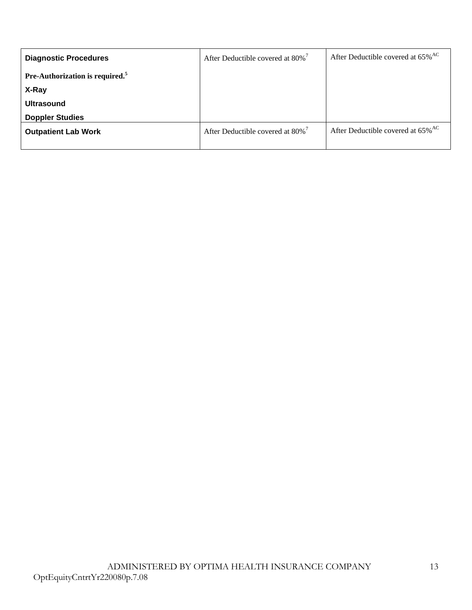| <b>Diagnostic Procedures</b>                | After Deductible covered at 80% <sup>7</sup> | After Deductible covered at 65% <sup>AC</sup> |
|---------------------------------------------|----------------------------------------------|-----------------------------------------------|
| Pre-Authorization is required. <sup>5</sup> |                                              |                                               |
| X-Ray                                       |                                              |                                               |
| <b>Ultrasound</b>                           |                                              |                                               |
| <b>Doppler Studies</b>                      |                                              |                                               |
| <b>Outpatient Lab Work</b>                  | After Deductible covered at 80% <sup>7</sup> | After Deductible covered at 65% <sup>AC</sup> |
|                                             |                                              |                                               |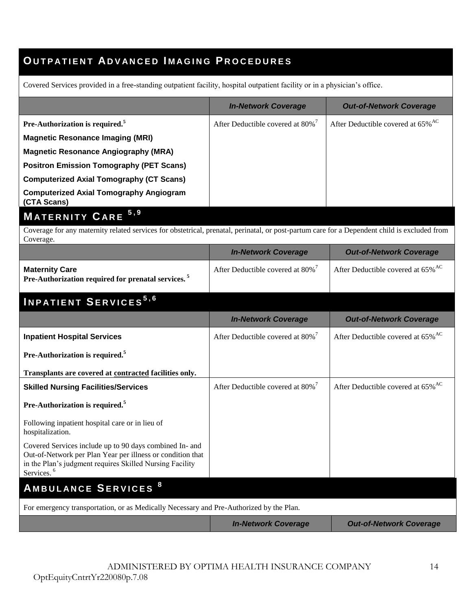# **OU T P A T I E N T AD V A N C E D I M A G I N G P R O C E D U R E S**

Covered Services provided in a free-standing outpatient facility, hospital outpatient facility or in a physician's office.

|                                                                                                                                                                                                             | <b>In-Network Coverage</b>                   | <b>Out-of-Network Coverage</b>                |
|-------------------------------------------------------------------------------------------------------------------------------------------------------------------------------------------------------------|----------------------------------------------|-----------------------------------------------|
| Pre-Authorization is required. <sup>5</sup>                                                                                                                                                                 | After Deductible covered at 80% <sup>7</sup> | After Deductible covered at 65% <sup>AC</sup> |
| <b>Magnetic Resonance Imaging (MRI)</b>                                                                                                                                                                     |                                              |                                               |
| <b>Magnetic Resonance Angiography (MRA)</b>                                                                                                                                                                 |                                              |                                               |
| <b>Positron Emission Tomography (PET Scans)</b>                                                                                                                                                             |                                              |                                               |
| <b>Computerized Axial Tomography (CT Scans)</b>                                                                                                                                                             |                                              |                                               |
| <b>Computerized Axial Tomography Angiogram</b><br>(CTA Scans)                                                                                                                                               |                                              |                                               |
| MATERNITY CARE 5,9                                                                                                                                                                                          |                                              |                                               |
| Coverage for any maternity related services for obstetrical, prenatal, perinatal, or post-partum care for a Dependent child is excluded from<br>Coverage.                                                   |                                              |                                               |
|                                                                                                                                                                                                             | <b>In-Network Coverage</b>                   | <b>Out-of-Network Coverage</b>                |
| <b>Maternity Care</b><br>Pre-Authorization required for prenatal services. <sup>5</sup>                                                                                                                     | After Deductible covered at 80% <sup>7</sup> | After Deductible covered at 65% <sup>AC</sup> |
| <b>INPATIENT SERVICES</b> <sup>5,6</sup>                                                                                                                                                                    |                                              |                                               |
|                                                                                                                                                                                                             | <b>In-Network Coverage</b>                   | <b>Out-of-Network Coverage</b>                |
| <b>Inpatient Hospital Services</b>                                                                                                                                                                          | After Deductible covered at 80% <sup>7</sup> | After Deductible covered at 65% <sup>AC</sup> |
| Pre-Authorization is required. <sup>5</sup>                                                                                                                                                                 |                                              |                                               |
| Transplants are covered at contracted facilities only.                                                                                                                                                      |                                              |                                               |
| <b>Skilled Nursing Facilities/Services</b>                                                                                                                                                                  | After Deductible covered at 80% <sup>7</sup> | After Deductible covered at 65% <sup>AC</sup> |
| Pre-Authorization is required. <sup>5</sup>                                                                                                                                                                 |                                              |                                               |
| Following inpatient hospital care or in lieu of<br>hospitalization.                                                                                                                                         |                                              |                                               |
| Covered Services include up to 90 days combined In- and<br>Out-of-Network per Plan Year per illness or condition that<br>in the Plan's judgment requires Skilled Nursing Facility<br>Services. <sup>6</sup> |                                              |                                               |
| $\boldsymbol{8}$<br>AMBULANCE SERVICES                                                                                                                                                                      |                                              |                                               |
| For emergency transportation, or as Medically Necessary and Pre-Authorized by the Plan.                                                                                                                     |                                              |                                               |
|                                                                                                                                                                                                             | <b>In-Network Coverage</b>                   | <b>Out-of-Network Coverage</b>                |
|                                                                                                                                                                                                             |                                              |                                               |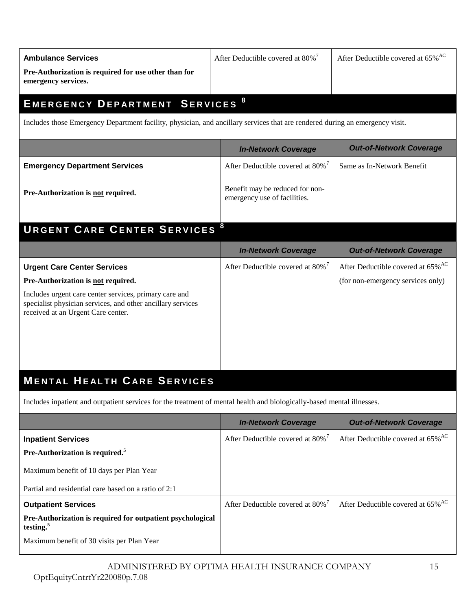| <b>Ambulance Services</b>                                                   | After Deductible covered at 80% <sup>7</sup> | After Deductible covered at 65% <sup>AC</sup> |
|-----------------------------------------------------------------------------|----------------------------------------------|-----------------------------------------------|
| Pre-Authorization is required for use other than for<br>emergency services. |                                              |                                               |
|                                                                             |                                              |                                               |

### **E M E R G E N C Y D E P A R T M E N T SE R V I C E S <sup>8</sup>**

Includes those Emergency Department facility, physician, and ancillary services that are rendered during an emergency visit.

|                                                                                                                                                             | <b>In-Network Coverage</b>                                      | <b>Out-of-Network Coverage</b>                |
|-------------------------------------------------------------------------------------------------------------------------------------------------------------|-----------------------------------------------------------------|-----------------------------------------------|
| <b>Emergency Department Services</b>                                                                                                                        | After Deductible covered at 80% <sup>7</sup>                    | Same as In-Network Benefit                    |
| Pre-Authorization is not required.                                                                                                                          | Benefit may be reduced for non-<br>emergency use of facilities. |                                               |
| <b>URGENT CARE CENTER SERVICES<sup>8</sup></b>                                                                                                              |                                                                 |                                               |
|                                                                                                                                                             | <b>In-Network Coverage</b>                                      | <b>Out-of-Network Coverage</b>                |
| <b>Urgent Care Center Services</b>                                                                                                                          | After Deductible covered at 80% <sup>7</sup>                    | After Deductible covered at 65% <sup>AC</sup> |
| Pre-Authorization is not required.                                                                                                                          |                                                                 | (for non-emergency services only)             |
| Includes urgent care center services, primary care and<br>specialist physician services, and other ancillary services<br>received at an Urgent Care center. |                                                                 |                                               |

## **M E N T A L H E A L T H C A R E SE R V I C E S**

Includes inpatient and outpatient services for the treatment of mental health and biologically-based mental illnesses.

|                                                                                     | <b>In-Network Coverage</b>                   | <b>Out-of-Network Coverage</b>                |
|-------------------------------------------------------------------------------------|----------------------------------------------|-----------------------------------------------|
| <b>Inpatient Services</b>                                                           | After Deductible covered at 80% <sup>7</sup> | After Deductible covered at 65% <sup>AC</sup> |
| Pre-Authorization is required. <sup>5</sup>                                         |                                              |                                               |
| Maximum benefit of 10 days per Plan Year                                            |                                              |                                               |
| Partial and residential care based on a ratio of 2:1                                |                                              |                                               |
| <b>Outpatient Services</b>                                                          | After Deductible covered at 80%              | After Deductible covered at 65% <sup>AC</sup> |
| Pre-Authorization is required for outpatient psychological<br>testing. <sup>5</sup> |                                              |                                               |
| Maximum benefit of 30 visits per Plan Year                                          |                                              |                                               |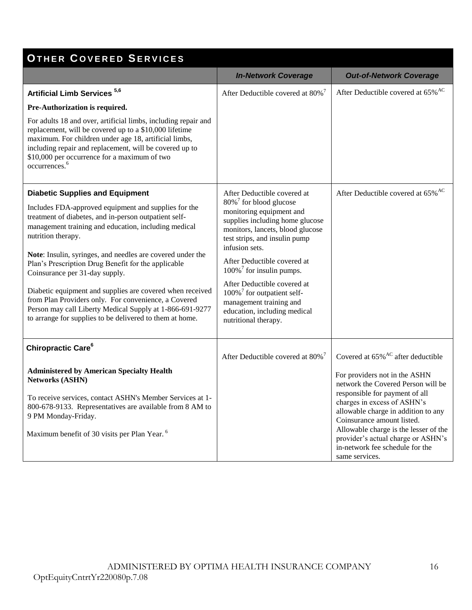| <b>OTHER COVERED SERVICES</b>                                                                                                                                                                                                                                                                                                                                                                                                                                                                                                                                                                                                             |                                                                                                                                                                                                                                                                                                                                                                                                                                                                     |                                                                                                                                                                                                                                                                                                                                                                                                |  |
|-------------------------------------------------------------------------------------------------------------------------------------------------------------------------------------------------------------------------------------------------------------------------------------------------------------------------------------------------------------------------------------------------------------------------------------------------------------------------------------------------------------------------------------------------------------------------------------------------------------------------------------------|---------------------------------------------------------------------------------------------------------------------------------------------------------------------------------------------------------------------------------------------------------------------------------------------------------------------------------------------------------------------------------------------------------------------------------------------------------------------|------------------------------------------------------------------------------------------------------------------------------------------------------------------------------------------------------------------------------------------------------------------------------------------------------------------------------------------------------------------------------------------------|--|
|                                                                                                                                                                                                                                                                                                                                                                                                                                                                                                                                                                                                                                           | <b>In-Network Coverage</b>                                                                                                                                                                                                                                                                                                                                                                                                                                          | <b>Out-of-Network Coverage</b>                                                                                                                                                                                                                                                                                                                                                                 |  |
| <b>Artificial Limb Services</b> <sup>5,6</sup><br>Pre-Authorization is required.<br>For adults 18 and over, artificial limbs, including repair and<br>replacement, will be covered up to a \$10,000 lifetime<br>maximum. For children under age 18, artificial limbs,<br>including repair and replacement, will be covered up to<br>\$10,000 per occurrence for a maximum of two<br>occurrences. <sup>6</sup>                                                                                                                                                                                                                             | After Deductible covered at 80% <sup>7</sup>                                                                                                                                                                                                                                                                                                                                                                                                                        | After Deductible covered at 65% <sup>AC</sup>                                                                                                                                                                                                                                                                                                                                                  |  |
| <b>Diabetic Supplies and Equipment</b><br>Includes FDA-approved equipment and supplies for the<br>treatment of diabetes, and in-person outpatient self-<br>management training and education, including medical<br>nutrition therapy.<br>Note: Insulin, syringes, and needles are covered under the<br>Plan's Prescription Drug Benefit for the applicable<br>Coinsurance per 31-day supply.<br>Diabetic equipment and supplies are covered when received<br>from Plan Providers only. For convenience, a Covered<br>Person may call Liberty Medical Supply at 1-866-691-9277<br>to arrange for supplies to be delivered to them at home. | After Deductible covered at<br>$80\%$ <sup>7</sup> for blood glucose<br>monitoring equipment and<br>supplies including home glucose<br>monitors, lancets, blood glucose<br>test strips, and insulin pump<br>infusion sets.<br>After Deductible covered at<br>$100\%$ <sup>7</sup> for insulin pumps.<br>After Deductible covered at<br>$100\%$ <sup>7</sup> for outpatient self-<br>management training and<br>education, including medical<br>nutritional therapy. | After Deductible covered at 65% <sup>AC</sup>                                                                                                                                                                                                                                                                                                                                                  |  |
| Chiropractic Care <sup>6</sup><br><b>Administered by American Specialty Health</b><br><b>Networks (ASHN)</b><br>To receive services, contact ASHN's Member Services at 1-<br>800-678-9133. Representatives are available from 8 AM to<br>9 PM Monday-Friday.<br>Maximum benefit of 30 visits per Plan Year. <sup>6</sup>                                                                                                                                                                                                                                                                                                                  | After Deductible covered at 80% <sup>7</sup>                                                                                                                                                                                                                                                                                                                                                                                                                        | Covered at 65% <sup>AC</sup> after deductible<br>For providers not in the ASHN<br>network the Covered Person will be<br>responsible for payment of all<br>charges in excess of ASHN's<br>allowable charge in addition to any<br>Coinsurance amount listed.<br>Allowable charge is the lesser of the<br>provider's actual charge or ASHN's<br>in-network fee schedule for the<br>same services. |  |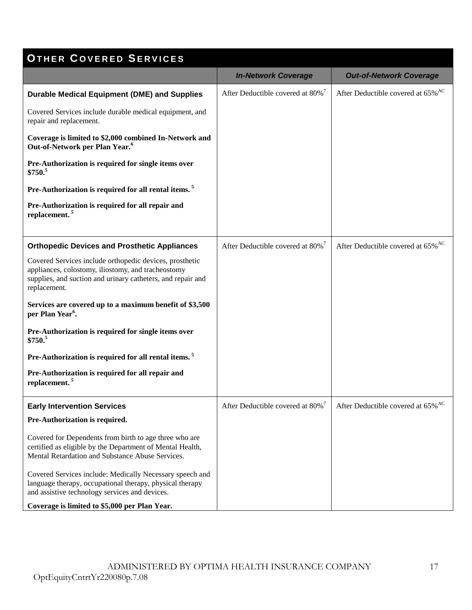| <b>OTHER COVERED SERVICES</b>                                                                                                                                                                |                                              |                                               |
|----------------------------------------------------------------------------------------------------------------------------------------------------------------------------------------------|----------------------------------------------|-----------------------------------------------|
|                                                                                                                                                                                              | <b>In-Network Coverage</b>                   | <b>Out-of-Network Coverage</b>                |
| <b>Durable Medical Equipment (DME) and Supplies</b>                                                                                                                                          | After Deductible covered at 80% <sup>7</sup> | After Deductible covered at 65% <sup>AC</sup> |
| Covered Services include durable medical equipment, and<br>repair and replacement.                                                                                                           |                                              |                                               |
| Coverage is limited to \$2,000 combined In-Network and<br>Out-of-Network per Plan Year. <sup>6</sup>                                                                                         |                                              |                                               |
| Pre-Authorization is required for single items over<br>\$750. <sup>5</sup>                                                                                                                   |                                              |                                               |
| Pre-Authorization is required for all rental items. <sup>5</sup>                                                                                                                             |                                              |                                               |
| Pre-Authorization is required for all repair and<br>replacement. <sup>5</sup>                                                                                                                |                                              |                                               |
| <b>Orthopedic Devices and Prosthetic Appliances</b>                                                                                                                                          | After Deductible covered at 80% <sup>7</sup> | After Deductible covered at 65% <sup>AC</sup> |
| Covered Services include orthopedic devices, prosthetic<br>appliances, colostomy, iliostomy, and tracheostomy<br>supplies, and suction and urinary catheters, and repair and<br>replacement. |                                              |                                               |
| Services are covered up to a maximum benefit of \$3,500<br>per Plan Year <sup>6</sup> .                                                                                                      |                                              |                                               |
| Pre-Authorization is required for single items over<br>\$750.5                                                                                                                               |                                              |                                               |
| Pre-Authorization is required for all rental items. <sup>5</sup>                                                                                                                             |                                              |                                               |
| Pre-Authorization is required for all repair and<br>replacement. <sup>5</sup>                                                                                                                |                                              |                                               |
| <b>Early Intervention Services</b>                                                                                                                                                           | After Deductible covered at 80% <sup>7</sup> | After Deductible covered at 65% <sup>AC</sup> |
| Pre-Authorization is required.                                                                                                                                                               |                                              |                                               |
| Covered for Dependents from birth to age three who are<br>certified as eligible by the Department of Mental Health,<br>Mental Retardation and Substance Abuse Services.                      |                                              |                                               |
| Covered Services include: Medically Necessary speech and<br>language therapy, occupational therapy, physical therapy<br>and assistive technology services and devices.                       |                                              |                                               |
| Coverage is limited to \$5,000 per Plan Year.                                                                                                                                                |                                              |                                               |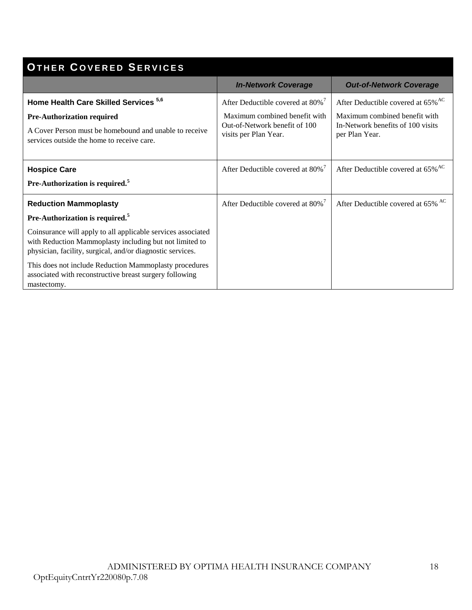| <b>OTHER COVERED SERVICES</b>                                                                                                                                                                                                                                        |                                                                                                                                         |                                                                                                                                       |
|----------------------------------------------------------------------------------------------------------------------------------------------------------------------------------------------------------------------------------------------------------------------|-----------------------------------------------------------------------------------------------------------------------------------------|---------------------------------------------------------------------------------------------------------------------------------------|
|                                                                                                                                                                                                                                                                      | <b>In-Network Coverage</b>                                                                                                              | <b>Out-of-Network Coverage</b>                                                                                                        |
| Home Health Care Skilled Services <sup>5,6</sup><br><b>Pre-Authorization required</b><br>A Cover Person must be homebound and unable to receive<br>services outside the home to receive care.                                                                        | After Deductible covered at 80% <sup>7</sup><br>Maximum combined benefit with<br>Out-of-Network benefit of 100<br>visits per Plan Year. | After Deductible covered at 65% <sup>AC</sup><br>Maximum combined benefit with<br>In-Network benefits of 100 visits<br>per Plan Year. |
| <b>Hospice Care</b><br>Pre-Authorization is required. <sup>5</sup>                                                                                                                                                                                                   | After Deductible covered at 80% <sup>7</sup>                                                                                            | After Deductible covered at 65% <sup>AC</sup>                                                                                         |
| <b>Reduction Mammoplasty</b><br>Pre-Authorization is required. <sup>5</sup><br>Coinsurance will apply to all applicable services associated<br>with Reduction Mammoplasty including but not limited to<br>physician, facility, surgical, and/or diagnostic services. | After Deductible covered at 80% <sup>7</sup>                                                                                            | After Deductible covered at 65% <sup>AC</sup>                                                                                         |
| This does not include Reduction Mammoplasty procedures<br>associated with reconstructive breast surgery following<br>mastectomy.                                                                                                                                     |                                                                                                                                         |                                                                                                                                       |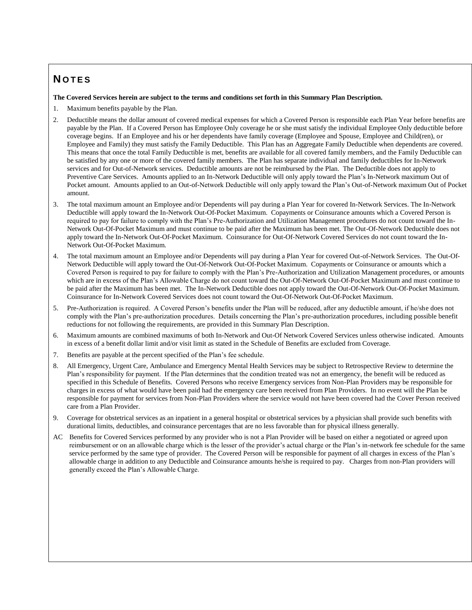### **N O T E S**

#### **The Covered Services herein are subject to the terms and conditions set forth in this Summary Plan Description.**

- 1. Maximum benefits payable by the Plan.
- 2. Deductible means the dollar amount of covered medical expenses for which a Covered Person is responsible each Plan Year before benefits are payable by the Plan. If a Covered Person has Employee Only coverage he or she must satisfy the individual Employee Only deductible before coverage begins. If an Employee and his or her dependents have family coverage (Employee and Spouse, Employee and Child(ren), or Employee and Family) they must satisfy the Family Deductible. This Plan has an Aggregate Family Deductible when dependents are covered. This means that once the total Family Deductible is met, benefits are available for all covered family members, and the Family Deductible can be satisfied by any one or more of the covered family members. The Plan has separate individual and family deductibles for In-Network services and for Out-of-Network services. Deductible amounts are not be reimbursed by the Plan. The Deductible does not apply to Preventive Care Services. Amounts applied to an In-Network Deductible will only apply toward the Plan's In-Network maximum Out of Pocket amount. Amounts applied to an Out-of-Network Deductible will only apply toward the Plan's Out-of-Network maximum Out of Pocket amount.
- 3. The total maximum amount an Employee and/or Dependents will pay during a Plan Year for covered In-Network Services. The In-Network Deductible will apply toward the In-Network Out-Of-Pocket Maximum. Copayments or Coinsurance amounts which a Covered Person is required to pay for failure to comply with the Plan's Pre-Authorization and Utilization Management procedures do not count toward the In-Network Out-Of-Pocket Maximum and must continue to be paid after the Maximum has been met. The Out-Of-Network Deductible does not apply toward the In-Network Out-Of-Pocket Maximum. Coinsurance for Out-Of-Network Covered Services do not count toward the In-Network Out-Of-Pocket Maximum.
- 4. The total maximum amount an Employee and/or Dependents will pay during a Plan Year for covered Out-of-Network Services. The Out-Of-Network Deductible will apply toward the Out-Of-Network Out-Of-Pocket Maximum. Copayments or Coinsurance or amounts which a Covered Person is required to pay for failure to comply with the Plan's Pre-Authorization and Utilization Management procedures, or amounts which are in excess of the Plan's Allowable Charge do not count toward the Out-Of-Network Out-Of-Pocket Maximum and must continue to be paid after the Maximum has been met. The In-Network Deductible does not apply toward the Out-Of-Network Out-Of-Pocket Maximum. Coinsurance for In-Network Covered Services does not count toward the Out-Of-Network Out-Of-Pocket Maximum.
- 5. Pre-Authorization is required. A Covered Person's benefits under the Plan will be reduced, after any deductible amount, if he/she does not comply with the Plan's pre-authorization procedures. Details concerning the Plan's pre-authorization procedures, including possible benefit reductions for not following the requirements, are provided in this Summary Plan Description.
- 6. Maximum amounts are combined maximums of both In-Network and Out-Of Network Covered Services unless otherwise indicated. Amounts in excess of a benefit dollar limit and/or visit limit as stated in the Schedule of Benefits are excluded from Coverage.
- 7. Benefits are payable at the percent specified of the Plan's fee schedule.
- 8. All Emergency, Urgent Care, Ambulance and Emergency Mental Health Services may be subject to Retrospective Review to determine the Plan's responsibility for payment. If the Plan determines that the condition treated was not an emergency, the benefit will be reduced as specified in this Schedule of Benefits. Covered Persons who receive Emergency services from Non-Plan Providers may be responsible for charges in excess of what would have been paid had the emergency care been received from Plan Providers. In no event will the Plan be responsible for payment for services from Non-Plan Providers where the service would not have been covered had the Cover Person received care from a Plan Provider.
- 9. Coverage for obstetrical services as an inpatient in a general hospital or obstetrical services by a physician shall provide such benefits with durational limits, deductibles, and coinsurance percentages that are no less favorable than for physical illness generally.
- AC Benefits for Covered Services performed by any provider who is not a Plan Provider will be based on either a negotiated or agreed upon reimbursement or on an allowable charge which is the lesser of the provider's actual charge or the Plan's in-network fee schedule for the same service performed by the same type of provider. The Covered Person will be responsible for payment of all charges in excess of the Plan's allowable charge in addition to any Deductible and Coinsurance amounts he/she is required to pay. Charges from non-Plan providers will generally exceed the Plan's Allowable Charge.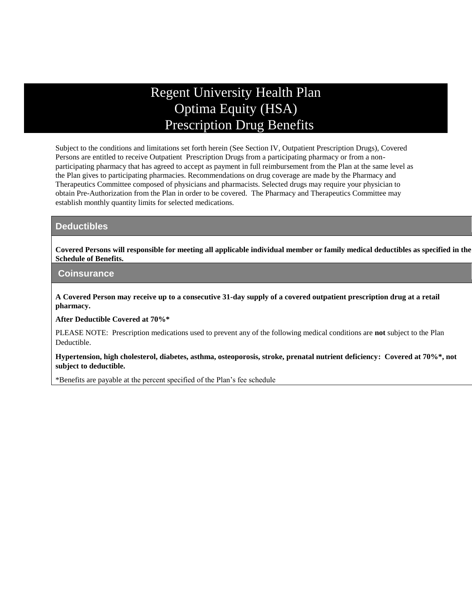# Regent University Health Plan Optima Equity (HSA) Prescription Drug Benefits

Subject to the conditions and limitations set forth herein (See Section IV, Outpatient Prescription Drugs), Covered Persons are entitled to receive Outpatient Prescription Drugs from a participating pharmacy or from a nonparticipating pharmacy that has agreed to accept as payment in full reimbursement from the Plan at the same level as the Plan gives to participating pharmacies. Recommendations on drug coverage are made by the Pharmacy and Therapeutics Committee composed of physicians and pharmacists. Selected drugs may require your physician to obtain Pre-Authorization from the Plan in order to be covered. The Pharmacy and Therapeutics Committee may establish monthly quantity limits for selected medications.

### **Deductibles**

**Covered Persons will responsible for meeting all applicable individual member or family medical deductibles as specified in the Schedule of Benefits.**

### **Coinsurance**

**A Covered Person may receive up to a consecutive 31-day supply of a covered outpatient prescription drug at a retail pharmacy.** 

### **After Deductible Covered at 70%\***

PLEASE NOTE: Prescription medications used to prevent any of the following medical conditions are **not** subject to the Plan Deductible.

### **Hypertension, high cholesterol, diabetes, asthma, osteoporosis, stroke, prenatal nutrient deficiency: Covered at 70%\*, not subject to deductible.**

\*Benefits are payable at the percent specified of the Plan's fee schedule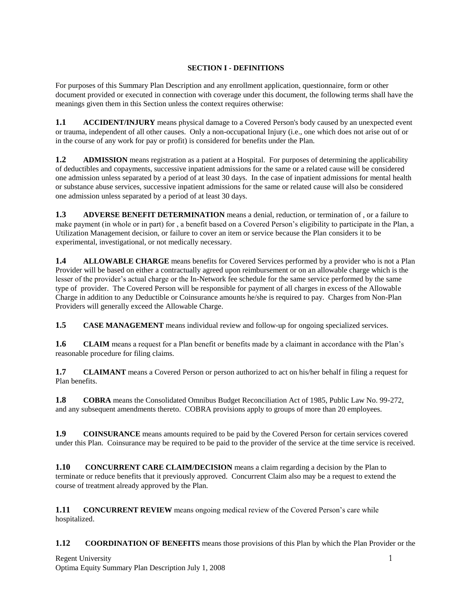### **SECTION I - DEFINITIONS**

For purposes of this Summary Plan Description and any enrollment application, questionnaire, form or other document provided or executed in connection with coverage under this document, the following terms shall have the meanings given them in this Section unless the context requires otherwise:

**1.1 ACCIDENT/INJURY** means physical damage to a Covered Person's body caused by an unexpected event or trauma, independent of all other causes. Only a non-occupational Injury (i.e., one which does not arise out of or in the course of any work for pay or profit) is considered for benefits under the Plan.

**1.2 ADMISSION** means registration as a patient at a Hospital. For purposes of determining the applicability of deductibles and copayments, successive inpatient admissions for the same or a related cause will be considered one admission unless separated by a period of at least 30 days. In the case of inpatient admissions for mental health or substance abuse services, successive inpatient admissions for the same or related cause will also be considered one admission unless separated by a period of at least 30 days.

**1.3 ADVERSE BENEFIT DETERMINATION** means a denial, reduction, or termination of , or a failure to make payment (in whole or in part) for , a benefit based on a Covered Person's eligibility to participate in the Plan, a Utilization Management decision, or failure to cover an item or service because the Plan considers it to be experimental, investigational, or not medically necessary.

**1.4 ALLOWABLE CHARGE** means benefits for Covered Services performed by a provider who is not a Plan Provider will be based on either a contractually agreed upon reimbursement or on an allowable charge which is the lesser of the provider's actual charge or the In-Network fee schedule for the same service performed by the same type of provider. The Covered Person will be responsible for payment of all charges in excess of the Allowable Charge in addition to any Deductible or Coinsurance amounts he/she is required to pay. Charges from Non-Plan Providers will generally exceed the Allowable Charge.

**1.5 CASE MANAGEMENT** means individual review and follow-up for ongoing specialized services.

**1.6 CLAIM** means a request for a Plan benefit or benefits made by a claimant in accordance with the Plan's reasonable procedure for filing claims.

**1.7 CLAIMANT** means a Covered Person or person authorized to act on his/her behalf in filing a request for Plan benefits.

**1.8 COBRA** means the Consolidated Omnibus Budget Reconciliation Act of 1985, Public Law No. 99-272, and any subsequent amendments thereto. COBRA provisions apply to groups of more than 20 employees.

**1.9 COINSURANCE** means amounts required to be paid by the Covered Person for certain services covered under this Plan. Coinsurance may be required to be paid to the provider of the service at the time service is received.

**1.10 CONCURRENT CARE CLAIM/DECISION** means a claim regarding a decision by the Plan to terminate or reduce benefits that it previously approved. Concurrent Claim also may be a request to extend the course of treatment already approved by the Plan.

**1.11 CONCURRENT REVIEW** means ongoing medical review of the Covered Person's care while hospitalized.

**1.12 COORDINATION OF BENEFITS** means those provisions of this Plan by which the Plan Provider or the

Regent University 1 Optima Equity Summary Plan Description July 1, 2008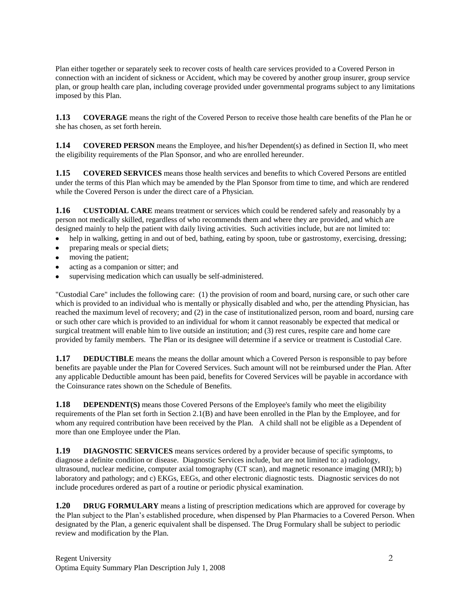Plan either together or separately seek to recover costs of health care services provided to a Covered Person in connection with an incident of sickness or Accident, which may be covered by another group insurer, group service plan, or group health care plan, including coverage provided under governmental programs subject to any limitations imposed by this Plan.

**1.13 COVERAGE** means the right of the Covered Person to receive those health care benefits of the Plan he or she has chosen, as set forth herein.

**1.14 COVERED PERSON** means the Employee, and his/her Dependent(s) as defined in Section II, who meet the eligibility requirements of the Plan Sponsor, and who are enrolled hereunder.

**1.15 COVERED SERVICES** means those health services and benefits to which Covered Persons are entitled under the terms of this Plan which may be amended by the Plan Sponsor from time to time, and which are rendered while the Covered Person is under the direct care of a Physician.

**1.16 CUSTODIAL CARE** means treatment or services which could be rendered safely and reasonably by a person not medically skilled, regardless of who recommends them and where they are provided, and which are designed mainly to help the patient with daily living activities. Such activities include, but are not limited to:

- help in walking, getting in and out of bed, bathing, eating by spoon, tube or gastrostomy, exercising, dressing;
- preparing meals or special diets;
- $\bullet$ moving the patient;
- acting as a companion or sitter; and
- supervising medication which can usually be self-administered.

"Custodial Care" includes the following care: (1) the provision of room and board, nursing care, or such other care which is provided to an individual who is mentally or physically disabled and who, per the attending Physician, has reached the maximum level of recovery; and (2) in the case of institutionalized person, room and board, nursing care or such other care which is provided to an individual for whom it cannot reasonably be expected that medical or surgical treatment will enable him to live outside an institution; and (3) rest cures, respite care and home care provided by family members. The Plan or its designee will determine if a service or treatment is Custodial Care.

**1.17 DEDUCTIBLE** means the means the dollar amount which a Covered Person is responsible to pay before benefits are payable under the Plan for Covered Services. Such amount will not be reimbursed under the Plan. After any applicable Deductible amount has been paid, benefits for Covered Services will be payable in accordance with the Coinsurance rates shown on the Schedule of Benefits.

**1.18 DEPENDENT(S)** means those Covered Persons of the Employee's family who meet the eligibility requirements of the Plan set forth in Section 2.1(B) and have been enrolled in the Plan by the Employee, and for whom any required contribution have been received by the Plan. A child shall not be eligible as a Dependent of more than one Employee under the Plan.

**1.19 DIAGNOSTIC SERVICES** means services ordered by a provider because of specific symptoms, to diagnose a definite condition or disease. Diagnostic Services include, but are not limited to: a) radiology, ultrasound, nuclear medicine, computer axial tomography (CT scan), and magnetic resonance imaging (MRI); b) laboratory and pathology; and c) EKGs, EEGs, and other electronic diagnostic tests. Diagnostic services do not include procedures ordered as part of a routine or periodic physical examination.

**1.20 DRUG FORMULARY** means a listing of prescription medications which are approved for coverage by the Plan subject to the Plan's established procedure, when dispensed by Plan Pharmacies to a Covered Person. When designated by the Plan, a generic equivalent shall be dispensed. The Drug Formulary shall be subject to periodic review and modification by the Plan.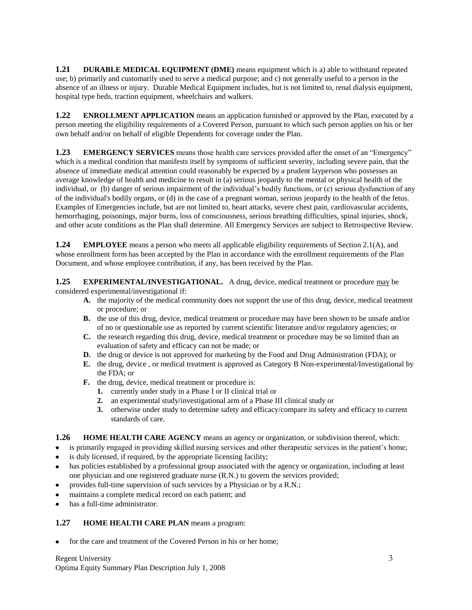**1.21 DURABLE MEDICAL EQUIPMENT (DME)** means equipment which is a) able to withstand repeated use; b) primarily and customarily used to serve a medical purpose; and c) not generally useful to a person in the absence of an illness or injury. Durable Medical Equipment includes, but is not limited to, renal dialysis equipment, hospital type beds, traction equipment, wheelchairs and walkers.

**1.22 ENROLLMENT APPLICATION** means an application furnished or approved by the Plan, executed by a person meeting the eligibility requirements of a Covered Person, pursuant to which such person applies on his or her own behalf and/or on behalf of eligible Dependents for coverage under the Plan.

**1.23 EMERGENCY SERVICES** means those health care services provided after the onset of an "Emergency" which is a medical condition that manifests itself by symptoms of sufficient severity, including severe pain, that the absence of immediate medical attention could reasonably be expected by a prudent layperson who possesses an average knowledge of health and medicine to result in (a) serious jeopardy to the mental or physical health of the individual, or (b) danger of serious impairment of the individual's bodily functions, or (c) serious dysfunction of any of the individual's bodily organs, or (d) in the case of a pregnant woman, serious jeopardy to the health of the fetus. Examples of Emergencies include, but are not limited to, heart attacks, severe chest pain, cardiovascular accidents, hemorrhaging, poisonings, major burns, loss of consciousness, serious breathing difficulties, spinal injuries, shock, and other acute conditions as the Plan shall determine. All Emergency Services are subject to Retrospective Review.

**1.24 EMPLOYEE** means a person who meets all applicable eligibility requirements of Section 2.1(A), and whose enrollment form has been accepted by the Plan in accordance with the enrollment requirements of the Plan Document, and whose employee contribution, if any, has been received by the Plan.

**1.25 EXPERIMENTAL/INVESTIGATIONAL.** A drug, device, medical treatment or procedure may be considered experimental/investigational if:

- **A.** the majority of the medical community does not support the use of this drug, device, medical treatment or procedure; or
- **B.** the use of this drug, device, medical treatment or procedure may have been shown to be unsafe and/or of no or questionable use as reported by current scientific literature and/or regulatory agencies; or
- **C.** the research regarding this drug, device, medical treatment or procedure may be so limited than an evaluation of safety and efficacy can not be made; or
- **D.** the drug or device is not approved for marketing by the Food and Drug Administration (FDA); or
- **E.** the drug, device , or medical treatment is approved as Category B Non-experimental/Investigational by the FDA; or
- **F.** the drug, device, medical treatment or procedure is:
	- **1.** currently under study in a Phase I or II clinical trial or
	- **2.** an experimental study/investigational arm of a Phase III clinical study or
	- **3.** otherwise under study to determine safety and efficacy/compare its safety and efficacy to current standards of care.

**1.26 HOME HEALTH CARE AGENCY** means an agency or organization, or subdivision thereof, which:

- is primarily engaged in providing skilled nursing services and other therapeutic services in the patient's home;
- is duly licensed, if required, by the appropriate licensing facility;
- has policies established by a professional group associated with the agency or organization, including at least one physician and one registered graduate nurse (R.N.) to govern the services provided;
- provides full-time supervision of such services by a Physician or by a R.N.;
- maintains a complete medical record on each patient; and
- has a full-time administrator.

### **1.27 HOME HEALTH CARE PLAN** means a program:

for the care and treatment of the Covered Person in his or her home;

Regent University 3 Optima Equity Summary Plan Description July 1, 2008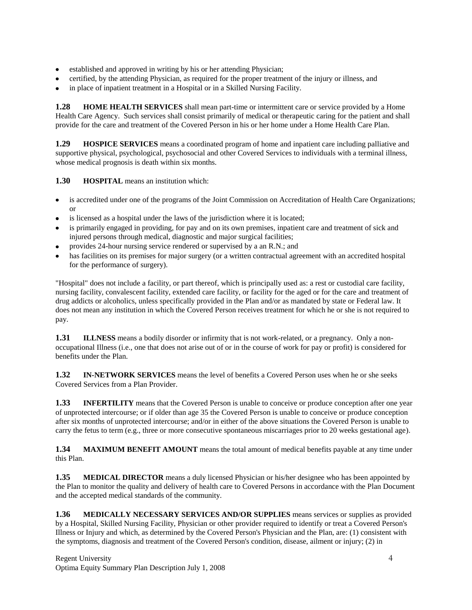- established and approved in writing by his or her attending Physician;
- certified, by the attending Physician, as required for the proper treatment of the injury or illness, and
- in place of inpatient treatment in a Hospital or in a Skilled Nursing Facility.

**1.28 HOME HEALTH SERVICES** shall mean part-time or intermittent care or service provided by a Home Health Care Agency. Such services shall consist primarily of medical or therapeutic caring for the patient and shall provide for the care and treatment of the Covered Person in his or her home under a Home Health Care Plan.

**1.29 HOSPICE SERVICES** means a coordinated program of home and inpatient care including palliative and supportive physical, psychological, psychosocial and other Covered Services to individuals with a terminal illness, whose medical prognosis is death within six months.

**1.30 HOSPITAL** means an institution which:

- is accredited under one of the programs of the Joint Commission on Accreditation of Health Care Organizations; or
- is licensed as a hospital under the laws of the jurisdiction where it is located;
- is primarily engaged in providing, for pay and on its own premises, inpatient care and treatment of sick and injured persons through medical, diagnostic and major surgical facilities;
- provides 24-hour nursing service rendered or supervised by a an R.N.; and
- has facilities on its premises for major surgery (or a written contractual agreement with an accredited hospital for the performance of surgery).

"Hospital" does not include a facility, or part thereof, which is principally used as: a rest or custodial care facility, nursing facility, convalescent facility, extended care facility, or facility for the aged or for the care and treatment of drug addicts or alcoholics, unless specifically provided in the Plan and/or as mandated by state or Federal law. It does not mean any institution in which the Covered Person receives treatment for which he or she is not required to pay.

**1.31 ILLNESS** means a bodily disorder or infirmity that is not work-related, or a pregnancy. Only a nonoccupational Illness (i.e., one that does not arise out of or in the course of work for pay or profit) is considered for benefits under the Plan.

**1.32 IN-NETWORK SERVICES** means the level of benefits a Covered Person uses when he or she seeks Covered Services from a Plan Provider.

**1.33 INFERTILITY** means that the Covered Person is unable to conceive or produce conception after one year of unprotected intercourse; or if older than age 35 the Covered Person is unable to conceive or produce conception after six months of unprotected intercourse; and/or in either of the above situations the Covered Person is unable to carry the fetus to term (e.g., three or more consecutive spontaneous miscarriages prior to 20 weeks gestational age).

**1.34 MAXIMUM BENEFIT AMOUNT** means the total amount of medical benefits payable at any time under this Plan.

**1.35 MEDICAL DIRECTOR** means a duly licensed Physician or his/her designee who has been appointed by the Plan to monitor the quality and delivery of health care to Covered Persons in accordance with the Plan Document and the accepted medical standards of the community.

**1.36 MEDICALLY NECESSARY SERVICES AND/OR SUPPLIES** means services or supplies as provided by a Hospital, Skilled Nursing Facility, Physician or other provider required to identify or treat a Covered Person's Illness or Injury and which, as determined by the Covered Person's Physician and the Plan, are: (1) consistent with the symptoms, diagnosis and treatment of the Covered Person's condition, disease, ailment or injury; (2) in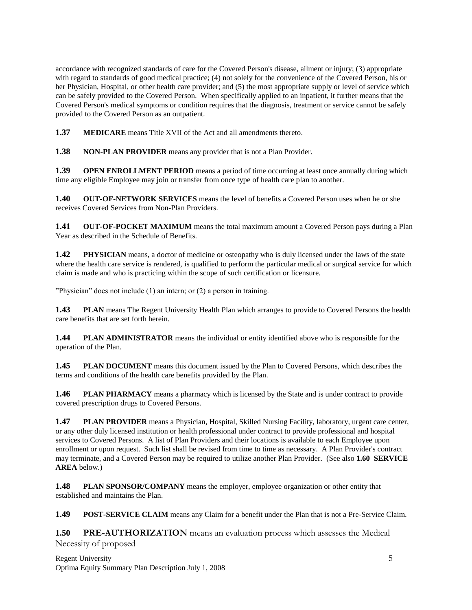accordance with recognized standards of care for the Covered Person's disease, ailment or injury; (3) appropriate with regard to standards of good medical practice; (4) not solely for the convenience of the Covered Person, his or her Physician, Hospital, or other health care provider; and (5) the most appropriate supply or level of service which can be safely provided to the Covered Person. When specifically applied to an inpatient, it further means that the Covered Person's medical symptoms or condition requires that the diagnosis, treatment or service cannot be safely provided to the Covered Person as an outpatient.

**1.37 MEDICARE** means Title XVII of the Act and all amendments thereto.

**1.38 NON-PLAN PROVIDER** means any provider that is not a Plan Provider.

**1.39 OPEN ENROLLMENT PERIOD** means a period of time occurring at least once annually during which time any eligible Employee may join or transfer from once type of health care plan to another.

**1.40 OUT-OF-NETWORK SERVICES** means the level of benefits a Covered Person uses when he or she receives Covered Services from Non-Plan Providers.

**1.41 OUT-OF-POCKET MAXIMUM** means the total maximum amount a Covered Person pays during a Plan Year as described in the Schedule of Benefits.

**1.42 PHYSICIAN** means, a doctor of medicine or osteopathy who is duly licensed under the laws of the state where the health care service is rendered, is qualified to perform the particular medical or surgical service for which claim is made and who is practicing within the scope of such certification or licensure.

"Physician" does not include (1) an intern; or (2) a person in training.

**1.43 PLAN** means The Regent University Health Plan which arranges to provide to Covered Persons the health care benefits that are set forth herein.

**1.44 PLAN ADMINISTRATOR** means the individual or entity identified above who is responsible for the operation of the Plan.

**1.45 PLAN DOCUMENT** means this document issued by the Plan to Covered Persons, which describes the terms and conditions of the health care benefits provided by the Plan.

**1.46 PLAN PHARMACY** means a pharmacy which is licensed by the State and is under contract to provide covered prescription drugs to Covered Persons.

**1.47 PLAN PROVIDER** means a Physician, Hospital, Skilled Nursing Facility, laboratory, urgent care center, or any other duly licensed institution or health professional under contract to provide professional and hospital services to Covered Persons. A list of Plan Providers and their locations is available to each Employee upon enrollment or upon request. Such list shall be revised from time to time as necessary. A Plan Provider's contract may terminate, and a Covered Person may be required to utilize another Plan Provider. (See also **1.60 SERVICE AREA** below.)

**1.48 PLAN SPONSOR/COMPANY** means the employer, employee organization or other entity that established and maintains the Plan.

**1.49 POST-SERVICE CLAIM** means any Claim for a benefit under the Plan that is not a Pre-Service Claim.

**1.50 PRE-AUTHORIZATION** means an evaluation process which assesses the Medical Necessity of proposed

Regent University 5 Optima Equity Summary Plan Description July 1, 2008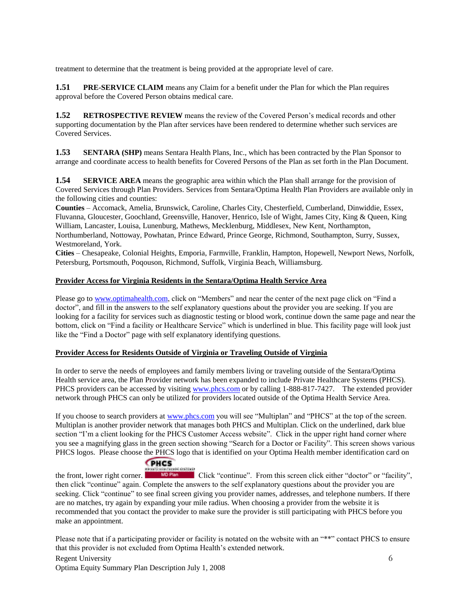treatment to determine that the treatment is being provided at the appropriate level of care.

**1.51 PRE-SERVICE CLAIM** means any Claim for a benefit under the Plan for which the Plan requires approval before the Covered Person obtains medical care.

**1.52 RETROSPECTIVE REVIEW** means the review of the Covered Person's medical records and other supporting documentation by the Plan after services have been rendered to determine whether such services are Covered Services.

**1.53 SENTARA (SHP)** means Sentara Health Plans, Inc., which has been contracted by the Plan Sponsor to arrange and coordinate access to health benefits for Covered Persons of the Plan as set forth in the Plan Document.

**1.54 SERVICE AREA** means the geographic area within which the Plan shall arrange for the provision of Covered Services through Plan Providers. Services from Sentara/Optima Health Plan Providers are available only in the following cities and counties:

**Counties** – Accomack, Amelia, Brunswick, Caroline, Charles City, Chesterfield, Cumberland, Dinwiddie, Essex, Fluvanna, Gloucester, Goochland, Greensville, Hanover, Henrico, Isle of Wight, James City, King & Queen, King William, Lancaster, Louisa, Lunenburg, Mathews, Mecklenburg, Middlesex, New Kent, Northampton, Northumberland, Nottoway, Powhatan, Prince Edward, Prince George, Richmond, Southampton, Surry, Sussex, Westmoreland, York.

**Cities** – Chesapeake, Colonial Heights, Emporia, Farmville, Franklin, Hampton, Hopewell, Newport News, Norfolk, Petersburg, Portsmouth, Poqouson, Richmond, Suffolk, Virginia Beach, Williamsburg.

### **Provider Access for Virginia Residents in the Sentara/Optima Health Service Area**

Please go to [www.optimahealth.com,](http://www.optimahealth.com/) click on "Members" and near the center of the next page click on "Find a doctor", and fill in the answers to the self explanatory questions about the provider you are seeking. If you are looking for a facility for services such as diagnostic testing or blood work, continue down the same page and near the bottom, click on "Find a facility or Healthcare Service" which is underlined in blue. This facility page will look just like the "Find a Doctor" page with self explanatory identifying questions.

### **Provider Access for Residents Outside of Virginia or Traveling Outside of Virginia**

In order to serve the needs of employees and family members living or traveling outside of the Sentara/Optima Health service area, the Plan Provider network has been expanded to include Private Healthcare Systems (PHCS). PHCS providers can be accessed by visiting [www.phcs.com](http://www.phcs.com/) or by calling 1-888-817-7427. The extended provider network through PHCS can only be utilized for providers located outside of the Optima Health Service Area.

If you choose to search providers at [www.phcs.com](http://www.phcs.com/) you will see "Multiplan" and "PHCS" at the top of the screen. Multiplan is another provider network that manages both PHCS and Multiplan. Click on the underlined, dark blue section "I'm a client looking for the PHCS Customer Access website". Click in the upper right hand corner where you see a magnifying glass in the green section showing "Search for a Doctor or Facility". This screen shows various PHCS logos. Please choose the PHCS logo that is identified on your Optima Health member identification card on

### **CPHCS**

the front, lower right corner. We plan Click "continue". From this screen click either "doctor" or "facility", then click "continue" again. Complete the answers to the self explanatory questions about the provider you are seeking. Click "continue" to see final screen giving you provider names, addresses, and telephone numbers. If there are no matches, try again by expanding your mile radius. When choosing a provider from the website it is recommended that you contact the provider to make sure the provider is still participating with PHCS before you make an appointment.

Please note that if a participating provider or facility is notated on the website with an "\*\*" contact PHCS to ensure that this provider is not excluded from Optima Health's extended network.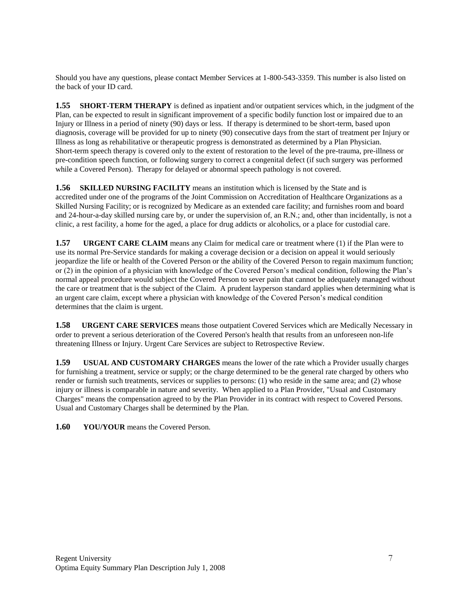Should you have any questions, please contact Member Services at 1-800-543-3359. This number is also listed on the back of your ID card.

**1.55 SHORT-TERM THERAPY** is defined as inpatient and/or outpatient services which, in the judgment of the Plan, can be expected to result in significant improvement of a specific bodily function lost or impaired due to an Injury or Illness in a period of ninety (90) days or less. If therapy is determined to be short-term, based upon diagnosis, coverage will be provided for up to ninety (90) consecutive days from the start of treatment per Injury or Illness as long as rehabilitative or therapeutic progress is demonstrated as determined by a Plan Physician. Short-term speech therapy is covered only to the extent of restoration to the level of the pre-trauma, pre-illness or pre-condition speech function, or following surgery to correct a congenital defect (if such surgery was performed while a Covered Person). Therapy for delayed or abnormal speech pathology is not covered.

**1.56 SKILLED NURSING FACILITY** means an institution which is licensed by the State and is accredited under one of the programs of the Joint Commission on Accreditation of Healthcare Organizations as a Skilled Nursing Facility; or is recognized by Medicare as an extended care facility; and furnishes room and board and 24-hour-a-day skilled nursing care by, or under the supervision of, an R.N.; and, other than incidentally, is not a clinic, a rest facility, a home for the aged, a place for drug addicts or alcoholics, or a place for custodial care.

**1.57 URGENT CARE CLAIM** means any Claim for medical care or treatment where (1) if the Plan were to use its normal Pre-Service standards for making a coverage decision or a decision on appeal it would seriously jeopardize the life or health of the Covered Person or the ability of the Covered Person to regain maximum function; or (2) in the opinion of a physician with knowledge of the Covered Person's medical condition, following the Plan's normal appeal procedure would subject the Covered Person to sever pain that cannot be adequately managed without the care or treatment that is the subject of the Claim. A prudent layperson standard applies when determining what is an urgent care claim, except where a physician with knowledge of the Covered Person's medical condition determines that the claim is urgent.

**1.58 URGENT CARE SERVICES** means those outpatient Covered Services which are Medically Necessary in order to prevent a serious deterioration of the Covered Person's health that results from an unforeseen non-life threatening Illness or Injury. Urgent Care Services are subject to Retrospective Review.

**1.59 USUAL AND CUSTOMARY CHARGES** means the lower of the rate which a Provider usually charges for furnishing a treatment, service or supply; or the charge determined to be the general rate charged by others who render or furnish such treatments, services or supplies to persons: (1) who reside in the same area; and (2) whose injury or illness is comparable in nature and severity. When applied to a Plan Provider, "Usual and Customary Charges" means the compensation agreed to by the Plan Provider in its contract with respect to Covered Persons. Usual and Customary Charges shall be determined by the Plan.

**1.60 YOU/YOUR** means the Covered Person.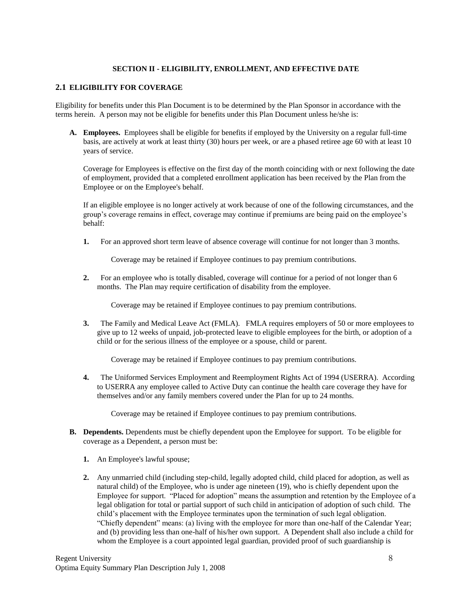### **SECTION II - ELIGIBILITY, ENROLLMENT, AND EFFECTIVE DATE**

### **2.1 ELIGIBILITY FOR COVERAGE**

Eligibility for benefits under this Plan Document is to be determined by the Plan Sponsor in accordance with the terms herein. A person may not be eligible for benefits under this Plan Document unless he/she is:

**A. Employees.** Employees shall be eligible for benefits if employed by the University on a regular full-time basis, are actively at work at least thirty (30) hours per week, or are a phased retiree age 60 with at least 10 years of service.

Coverage for Employees is effective on the first day of the month coinciding with or next following the date of employment, provided that a completed enrollment application has been received by the Plan from the Employee or on the Employee's behalf.

If an eligible employee is no longer actively at work because of one of the following circumstances, and the group's coverage remains in effect, coverage may continue if premiums are being paid on the employee's behalf:

**1.** For an approved short term leave of absence coverage will continue for not longer than 3 months.

Coverage may be retained if Employee continues to pay premium contributions.

**2.** For an employee who is totally disabled, coverage will continue for a period of not longer than 6 months. The Plan may require certification of disability from the employee.

Coverage may be retained if Employee continues to pay premium contributions.

**3.** The Family and Medical Leave Act (FMLA). FMLA requires employers of 50 or more employees to give up to 12 weeks of unpaid, job-protected leave to eligible employees for the birth, or adoption of a child or for the serious illness of the employee or a spouse, child or parent.

Coverage may be retained if Employee continues to pay premium contributions.

**4.** The Uniformed Services Employment and Reemployment Rights Act of 1994 (USERRA). According to USERRA any employee called to Active Duty can continue the health care coverage they have for themselves and/or any family members covered under the Plan for up to 24 months.

Coverage may be retained if Employee continues to pay premium contributions.

- **B. Dependents.** Dependents must be chiefly dependent upon the Employee for support. To be eligible for coverage as a Dependent, a person must be:
	- **1.** An Employee's lawful spouse;
	- **2.** Any unmarried child (including step-child, legally adopted child, child placed for adoption, as well as natural child) of the Employee, who is under age nineteen (19), who is chiefly dependent upon the Employee for support. "Placed for adoption" means the assumption and retention by the Employee of a legal obligation for total or partial support of such child in anticipation of adoption of such child. The child's placement with the Employee terminates upon the termination of such legal obligation. "Chiefly dependent" means: (a) living with the employee for more than one-half of the Calendar Year; and (b) providing less than one-half of his/her own support. A Dependent shall also include a child for whom the Employee is a court appointed legal guardian, provided proof of such guardianship is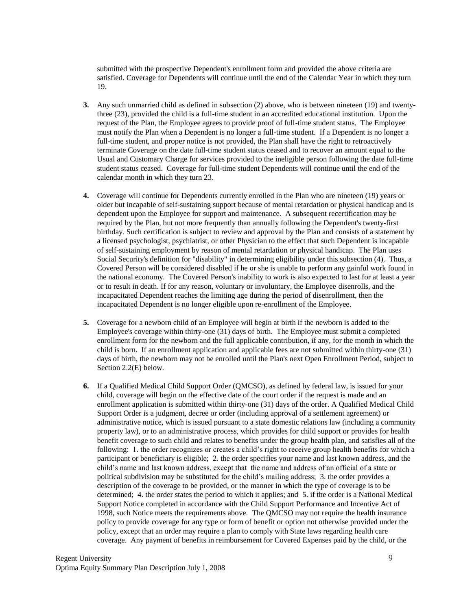submitted with the prospective Dependent's enrollment form and provided the above criteria are satisfied. Coverage for Dependents will continue until the end of the Calendar Year in which they turn 19.

- **3.** Any such unmarried child as defined in subsection (2) above, who is between nineteen (19) and twentythree (23), provided the child is a full-time student in an accredited educational institution. Upon the request of the Plan, the Employee agrees to provide proof of full-time student status. The Employee must notify the Plan when a Dependent is no longer a full-time student. If a Dependent is no longer a full-time student, and proper notice is not provided, the Plan shall have the right to retroactively terminate Coverage on the date full-time student status ceased and to recover an amount equal to the Usual and Customary Charge for services provided to the ineligible person following the date full-time student status ceased. Coverage for full-time student Dependents will continue until the end of the calendar month in which they turn 23.
- **4.** Coverage will continue for Dependents currently enrolled in the Plan who are nineteen (19) years or older but incapable of self-sustaining support because of mental retardation or physical handicap and is dependent upon the Employee for support and maintenance. A subsequent recertification may be required by the Plan, but not more frequently than annually following the Dependent's twenty-first birthday. Such certification is subject to review and approval by the Plan and consists of a statement by a licensed psychologist, psychiatrist, or other Physician to the effect that such Dependent is incapable of self-sustaining employment by reason of mental retardation or physical handicap. The Plan uses Social Security's definition for "disability" in determining eligibility under this subsection (4). Thus, a Covered Person will be considered disabled if he or she is unable to perform any gainful work found in the national economy. The Covered Person's inability to work is also expected to last for at least a year or to result in death. If for any reason, voluntary or involuntary, the Employee disenrolls, and the incapacitated Dependent reaches the limiting age during the period of disenrollment, then the incapacitated Dependent is no longer eligible upon re-enrollment of the Employee.
- **5.** Coverage for a newborn child of an Employee will begin at birth if the newborn is added to the Employee's coverage within thirty-one (31) days of birth. The Employee must submit a completed enrollment form for the newborn and the full applicable contribution, if any, for the month in which the child is born. If an enrollment application and applicable fees are not submitted within thirty-one (31) days of birth, the newborn may not be enrolled until the Plan's next Open Enrollment Period, subject to Section 2.2(E) below.
- **6.** If a Qualified Medical Child Support Order (QMCSO), as defined by federal law, is issued for your child, coverage will begin on the effective date of the court order if the request is made and an enrollment application is submitted within thirty-one (31) days of the order. A Qualified Medical Child Support Order is a judgment, decree or order (including approval of a settlement agreement) or administrative notice, which is issued pursuant to a state domestic relations law (including a community property law), or to an administrative process, which provides for child support or provides for health benefit coverage to such child and relates to benefits under the group health plan, and satisfies all of the following: 1. the order recognizes or creates a child's right to receive group health benefits for which a participant or beneficiary is eligible; 2. the order specifies your name and last known address, and the child's name and last known address, except that the name and address of an official of a state or political subdivision may be substituted for the child's mailing address; 3. the order provides a description of the coverage to be provided, or the manner in which the type of coverage is to be determined; 4. the order states the period to which it applies; and 5. if the order is a National Medical Support Notice completed in accordance with the Child Support Performance and Incentive Act of 1998, such Notice meets the requirements above. The QMCSO may not require the health insurance policy to provide coverage for any type or form of benefit or option not otherwise provided under the policy, except that an order may require a plan to comply with State laws regarding health care coverage. Any payment of benefits in reimbursement for Covered Expenses paid by the child, or the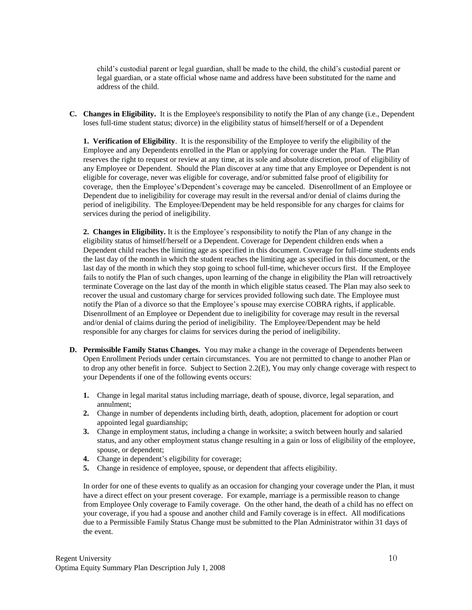child's custodial parent or legal guardian, shall be made to the child, the child's custodial parent or legal guardian, or a state official whose name and address have been substituted for the name and address of the child.

**C. Changes in Eligibility.** It is the Employee's responsibility to notify the Plan of any change (i.e., Dependent loses full-time student status; divorce) in the eligibility status of himself/herself or of a Dependent

**1. Verification of Eligibility**. It is the responsibility of the Employee to verify the eligibility of the Employee and any Dependents enrolled in the Plan or applying for coverage under the Plan. The Plan reserves the right to request or review at any time, at its sole and absolute discretion, proof of eligibility of any Employee or Dependent. Should the Plan discover at any time that any Employee or Dependent is not eligible for coverage, never was eligible for coverage, and/or submitted false proof of eligibility for coverage, then the Employee's/Dependent's coverage may be canceled. Disenrollment of an Employee or Dependent due to ineligibility for coverage may result in the reversal and/or denial of claims during the period of ineligibility. The Employee/Dependent may be held responsible for any charges for claims for services during the period of ineligibility.

**2. Changes in Eligibility.** It is the Employee's responsibility to notify the Plan of any change in the eligibility status of himself/herself or a Dependent. Coverage for Dependent children ends when a Dependent child reaches the limiting age as specified in this document. Coverage for full-time students ends the last day of the month in which the student reaches the limiting age as specified in this document, or the last day of the month in which they stop going to school full-time, whichever occurs first. If the Employee fails to notify the Plan of such changes, upon learning of the change in eligibility the Plan will retroactively terminate Coverage on the last day of the month in which eligible status ceased. The Plan may also seek to recover the usual and customary charge for services provided following such date. The Employee must notify the Plan of a divorce so that the Employee's spouse may exercise COBRA rights, if applicable. Disenrollment of an Employee or Dependent due to ineligibility for coverage may result in the reversal and/or denial of claims during the period of ineligibility. The Employee/Dependent may be held responsible for any charges for claims for services during the period of ineligibility.

- **D. Permissible Family Status Changes.** You may make a change in the coverage of Dependents between Open Enrollment Periods under certain circumstances. You are not permitted to change to another Plan or to drop any other benefit in force. Subject to Section 2.2(E), You may only change coverage with respect to your Dependents if one of the following events occurs:
	- **1.** Change in legal marital status including marriage, death of spouse, divorce, legal separation, and annulment;
	- **2.** Change in number of dependents including birth, death, adoption, placement for adoption or court appointed legal guardianship;
	- **3.** Change in employment status, including a change in worksite; a switch between hourly and salaried status, and any other employment status change resulting in a gain or loss of eligibility of the employee, spouse, or dependent;
	- **4.** Change in dependent's eligibility for coverage;
	- **5.** Change in residence of employee, spouse, or dependent that affects eligibility.

In order for one of these events to qualify as an occasion for changing your coverage under the Plan, it must have a direct effect on your present coverage. For example, marriage is a permissible reason to change from Employee Only coverage to Family coverage. On the other hand, the death of a child has no effect on your coverage, if you had a spouse and another child and Family coverage is in effect. All modifications due to a Permissible Family Status Change must be submitted to the Plan Administrator within 31 days of the event.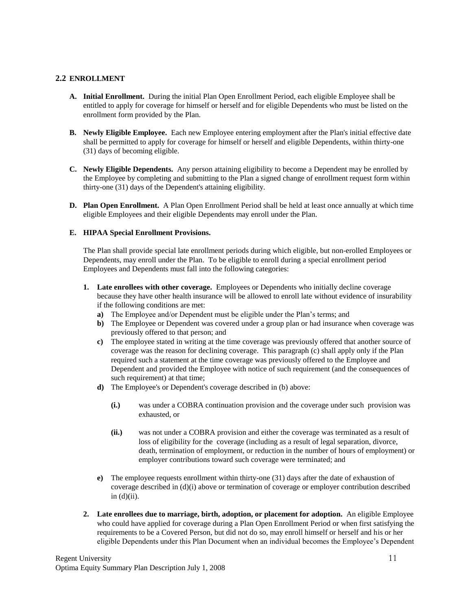### **2.2 ENROLLMENT**

- **A. Initial Enrollment.** During the initial Plan Open Enrollment Period, each eligible Employee shall be entitled to apply for coverage for himself or herself and for eligible Dependents who must be listed on the enrollment form provided by the Plan.
- **B. Newly Eligible Employee.** Each new Employee entering employment after the Plan's initial effective date shall be permitted to apply for coverage for himself or herself and eligible Dependents, within thirty-one (31) days of becoming eligible.
- **C. Newly Eligible Dependents.** Any person attaining eligibility to become a Dependent may be enrolled by the Employee by completing and submitting to the Plan a signed change of enrollment request form within thirty-one (31) days of the Dependent's attaining eligibility.
- **D. Plan Open Enrollment.** A Plan Open Enrollment Period shall be held at least once annually at which time eligible Employees and their eligible Dependents may enroll under the Plan.

### **E. HIPAA Special Enrollment Provisions.**

The Plan shall provide special late enrollment periods during which eligible, but non-erolled Employees or Dependents, may enroll under the Plan. To be eligible to enroll during a special enrollment period Employees and Dependents must fall into the following categories:

- **1. Late enrollees with other coverage.** Employees or Dependents who initially decline coverage because they have other health insurance will be allowed to enroll late without evidence of insurability if the following conditions are met:
	- **a)** The Employee and/or Dependent must be eligible under the Plan's terms; and
	- **b)** The Employee or Dependent was covered under a group plan or had insurance when coverage was previously offered to that person; and
	- **c)** The employee stated in writing at the time coverage was previously offered that another source of coverage was the reason for declining coverage. This paragraph (c) shall apply only if the Plan required such a statement at the time coverage was previously offered to the Employee and Dependent and provided the Employee with notice of such requirement (and the consequences of such requirement) at that time;
	- **d)** The Employee's or Dependent's coverage described in (b) above:
		- **(i.)** was under a COBRA continuation provision and the coverage under such provision was exhausted, or
		- **(ii.)** was not under a COBRA provision and either the coverage was terminated as a result of loss of eligibility for the coverage (including as a result of legal separation, divorce, death, termination of employment, or reduction in the number of hours of employment) or employer contributions toward such coverage were terminated; and
	- **e)** The employee requests enrollment within thirty-one (31) days after the date of exhaustion of coverage described in (d)(i) above or termination of coverage or employer contribution described in  $(d)(ii)$ .
- **2. Late enrollees due to marriage, birth, adoption, or placement for adoption.** An eligible Employee who could have applied for coverage during a Plan Open Enrollment Period or when first satisfying the requirements to be a Covered Person, but did not do so, may enroll himself or herself and his or her eligible Dependents under this Plan Document when an individual becomes the Employee's Dependent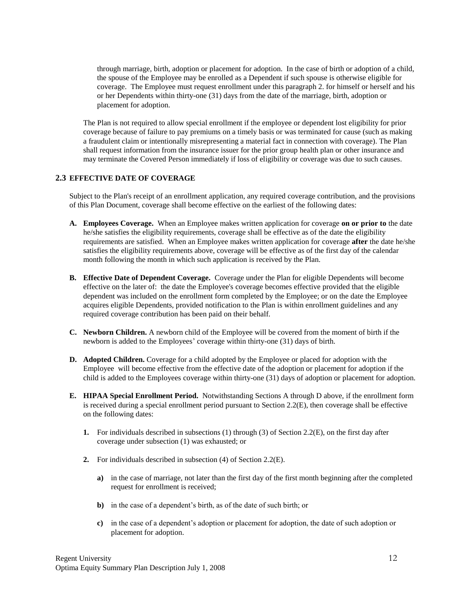through marriage, birth, adoption or placement for adoption. In the case of birth or adoption of a child, the spouse of the Employee may be enrolled as a Dependent if such spouse is otherwise eligible for coverage. The Employee must request enrollment under this paragraph 2. for himself or herself and his or her Dependents within thirty-one (31) days from the date of the marriage, birth, adoption or placement for adoption.

The Plan is not required to allow special enrollment if the employee or dependent lost eligibility for prior coverage because of failure to pay premiums on a timely basis or was terminated for cause (such as making a fraudulent claim or intentionally misrepresenting a material fact in connection with coverage). The Plan shall request information from the insurance issuer for the prior group health plan or other insurance and may terminate the Covered Person immediately if loss of eligibility or coverage was due to such causes.

### **2.3 EFFECTIVE DATE OF COVERAGE**

Subject to the Plan's receipt of an enrollment application, any required coverage contribution, and the provisions of this Plan Document, coverage shall become effective on the earliest of the following dates:

- **A. Employees Coverage.** When an Employee makes written application for coverage **on or prior to** the date he/she satisfies the eligibility requirements, coverage shall be effective as of the date the eligibility requirements are satisfied. When an Employee makes written application for coverage **after** the date he/she satisfies the eligibility requirements above, coverage will be effective as of the first day of the calendar month following the month in which such application is received by the Plan.
- **B. Effective Date of Dependent Coverage.** Coverage under the Plan for eligible Dependents will become effective on the later of: the date the Employee's coverage becomes effective provided that the eligible dependent was included on the enrollment form completed by the Employee; or on the date the Employee acquires eligible Dependents, provided notification to the Plan is within enrollment guidelines and any required coverage contribution has been paid on their behalf.
- **C. Newborn Children.** A newborn child of the Employee will be covered from the moment of birth if the newborn is added to the Employees' coverage within thirty-one (31) days of birth.
- **D. Adopted Children.** Coverage for a child adopted by the Employee or placed for adoption with the Employee will become effective from the effective date of the adoption or placement for adoption if the child is added to the Employees coverage within thirty-one (31) days of adoption or placement for adoption.
- **E. HIPAA Special Enrollment Period.** Notwithstanding Sections A through D above, if the enrollment form is received during a special enrollment period pursuant to Section 2.2(E), then coverage shall be effective on the following dates:
	- **1.** For individuals described in subsections (1) through (3) of Section 2.2(E), on the first day after coverage under subsection (1) was exhausted; or
	- **2.** For individuals described in subsection (4) of Section 2.2(E).
		- **a)** in the case of marriage, not later than the first day of the first month beginning after the completed request for enrollment is received;
		- **b)** in the case of a dependent's birth, as of the date of such birth; or
		- **c)** in the case of a dependent's adoption or placement for adoption, the date of such adoption or placement for adoption.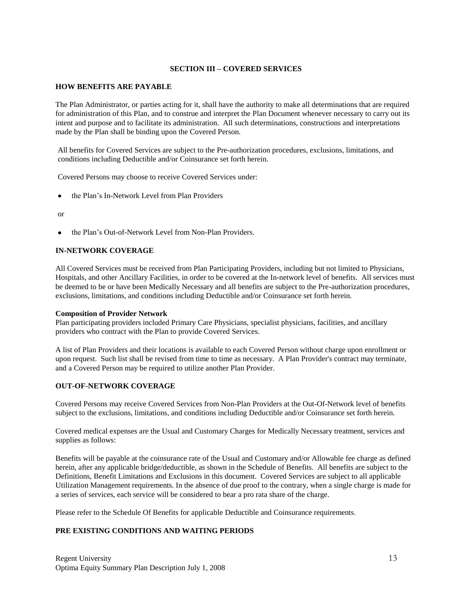### **SECTION III – COVERED SERVICES**

### **HOW BENEFITS ARE PAYABLE**

The Plan Administrator, or parties acting for it, shall have the authority to make all determinations that are required for administration of this Plan, and to construe and interpret the Plan Document whenever necessary to carry out its intent and purpose and to facilitate its administration. All such determinations, constructions and interpretations made by the Plan shall be binding upon the Covered Person.

All benefits for Covered Services are subject to the Pre-authorization procedures, exclusions, limitations, and conditions including Deductible and/or Coinsurance set forth herein.

Covered Persons may choose to receive Covered Services under:

the Plan's In-Network Level from Plan Providers

or

the Plan's Out-of-Network Level from Non-Plan Providers.  $\bullet$ 

### **IN-NETWORK COVERAGE**

All Covered Services must be received from Plan Participating Providers, including but not limited to Physicians, Hospitals, and other Ancillary Facilities, in order to be covered at the In-network level of benefits. All services must be deemed to be or have been Medically Necessary and all benefits are subject to the Pre-authorization procedures, exclusions, limitations, and conditions including Deductible and/or Coinsurance set forth herein.

#### **Composition of Provider Network**

Plan participating providers included Primary Care Physicians, specialist physicians, facilities, and ancillary providers who contract with the Plan to provide Covered Services.

A list of Plan Providers and their locations is available to each Covered Person without charge upon enrollment or upon request. Such list shall be revised from time to time as necessary. A Plan Provider's contract may terminate, and a Covered Person may be required to utilize another Plan Provider.

### **OUT-OF-NETWORK COVERAGE**

Covered Persons may receive Covered Services from Non-Plan Providers at the Out-Of-Network level of benefits subject to the exclusions, limitations, and conditions including Deductible and/or Coinsurance set forth herein.

Covered medical expenses are the Usual and Customary Charges for Medically Necessary treatment, services and supplies as follows:

Benefits will be payable at the coinsurance rate of the Usual and Customary and/or Allowable fee charge as defined herein, after any applicable bridge/deductible, as shown in the Schedule of Benefits. All benefits are subject to the Definitions, Benefit Limitations and Exclusions in this document. Covered Services are subject to all applicable Utilization Management requirements. In the absence of due proof to the contrary, when a single charge is made for a series of services, each service will be considered to bear a pro rata share of the charge.

Please refer to the Schedule Of Benefits for applicable Deductible and Coinsurance requirements.

### **PRE EXISTING CONDITIONS AND WAITING PERIODS**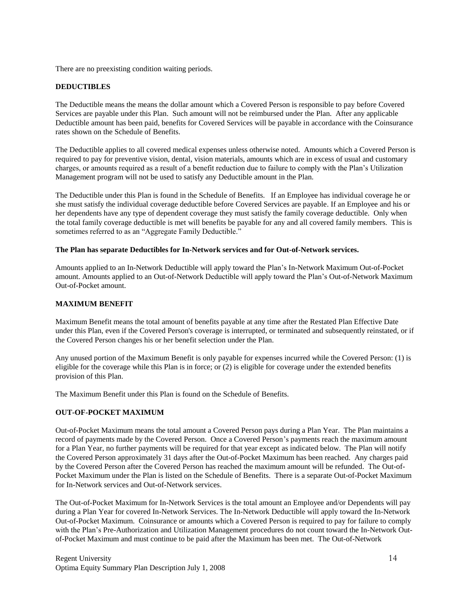There are no preexisting condition waiting periods.

### **DEDUCTIBLES**

The Deductible means the means the dollar amount which a Covered Person is responsible to pay before Covered Services are payable under this Plan. Such amount will not be reimbursed under the Plan. After any applicable Deductible amount has been paid, benefits for Covered Services will be payable in accordance with the Coinsurance rates shown on the Schedule of Benefits.

The Deductible applies to all covered medical expenses unless otherwise noted. Amounts which a Covered Person is required to pay for preventive vision, dental, vision materials, amounts which are in excess of usual and customary charges, or amounts required as a result of a benefit reduction due to failure to comply with the Plan's Utilization Management program will not be used to satisfy any Deductible amount in the Plan.

The Deductible under this Plan is found in the Schedule of Benefits. If an Employee has individual coverage he or she must satisfy the individual coverage deductible before Covered Services are payable. If an Employee and his or her dependents have any type of dependent coverage they must satisfy the family coverage deductible. Only when the total family coverage deductible is met will benefits be payable for any and all covered family members. This is sometimes referred to as an "Aggregate Family Deductible."

### **The Plan has separate Deductibles for In-Network services and for Out-of-Network services.**

Amounts applied to an In-Network Deductible will apply toward the Plan's In-Network Maximum Out-of-Pocket amount. Amounts applied to an Out-of-Network Deductible will apply toward the Plan's Out-of-Network Maximum Out-of-Pocket amount.

### **MAXIMUM BENEFIT**

Maximum Benefit means the total amount of benefits payable at any time after the Restated Plan Effective Date under this Plan, even if the Covered Person's coverage is interrupted, or terminated and subsequently reinstated, or if the Covered Person changes his or her benefit selection under the Plan.

Any unused portion of the Maximum Benefit is only payable for expenses incurred while the Covered Person: (1) is eligible for the coverage while this Plan is in force; or (2) is eligible for coverage under the extended benefits provision of this Plan.

The Maximum Benefit under this Plan is found on the Schedule of Benefits.

### **OUT-OF-POCKET MAXIMUM**

Out-of-Pocket Maximum means the total amount a Covered Person pays during a Plan Year. The Plan maintains a record of payments made by the Covered Person. Once a Covered Person's payments reach the maximum amount for a Plan Year, no further payments will be required for that year except as indicated below. The Plan will notify the Covered Person approximately 31 days after the Out-of-Pocket Maximum has been reached. Any charges paid by the Covered Person after the Covered Person has reached the maximum amount will be refunded. The Out-of-Pocket Maximum under the Plan is listed on the Schedule of Benefits. There is a separate Out-of-Pocket Maximum for In-Network services and Out-of-Network services.

The Out-of-Pocket Maximum for In-Network Services is the total amount an Employee and/or Dependents will pay during a Plan Year for covered In-Network Services. The In-Network Deductible will apply toward the In-Network Out-of-Pocket Maximum. Coinsurance or amounts which a Covered Person is required to pay for failure to comply with the Plan's Pre-Authorization and Utilization Management procedures do not count toward the In-Network Outof-Pocket Maximum and must continue to be paid after the Maximum has been met. The Out-of-Network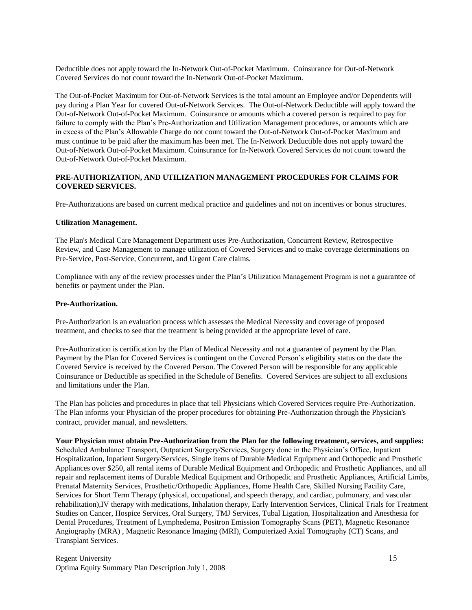Deductible does not apply toward the In-Network Out-of-Pocket Maximum. Coinsurance for Out-of-Network Covered Services do not count toward the In-Network Out-of-Pocket Maximum.

The Out-of-Pocket Maximum for Out-of-Network Services is the total amount an Employee and/or Dependents will pay during a Plan Year for covered Out-of-Network Services. The Out-of-Network Deductible will apply toward the Out-of-Network Out-of-Pocket Maximum. Coinsurance or amounts which a covered person is required to pay for failure to comply with the Plan's Pre-Authorization and Utilization Management procedures, or amounts which are in excess of the Plan's Allowable Charge do not count toward the Out-of-Network Out-of-Pocket Maximum and must continue to be paid after the maximum has been met. The In-Network Deductible does not apply toward the Out-of-Network Out-of-Pocket Maximum. Coinsurance for In-Network Covered Services do not count toward the Out-of-Network Out-of-Pocket Maximum.

### **PRE-AUTHORIZATION, AND UTILIZATION MANAGEMENT PROCEDURES FOR CLAIMS FOR COVERED SERVICES.**

Pre-Authorizations are based on current medical practice and guidelines and not on incentives or bonus structures.

### **Utilization Management.**

The Plan's Medical Care Management Department uses Pre-Authorization, Concurrent Review, Retrospective Review, and Case Management to manage utilization of Covered Services and to make coverage determinations on Pre-Service, Post-Service, Concurrent, and Urgent Care claims.

Compliance with any of the review processes under the Plan's Utilization Management Program is not a guarantee of benefits or payment under the Plan.

#### **Pre-Authorization.**

Pre-Authorization is an evaluation process which assesses the Medical Necessity and coverage of proposed treatment, and checks to see that the treatment is being provided at the appropriate level of care.

Pre-Authorization is certification by the Plan of Medical Necessity and not a guarantee of payment by the Plan. Payment by the Plan for Covered Services is contingent on the Covered Person's eligibility status on the date the Covered Service is received by the Covered Person. The Covered Person will be responsible for any applicable Coinsurance or Deductible as specified in the Schedule of Benefits. Covered Services are subject to all exclusions and limitations under the Plan.

The Plan has policies and procedures in place that tell Physicians which Covered Services require Pre-Authorization. The Plan informs your Physician of the proper procedures for obtaining Pre-Authorization through the Physician's contract, provider manual, and newsletters.

**Your Physician must obtain Pre-Authorization from the Plan for the following treatment, services, and supplies:** Scheduled Ambulance Transport, Outpatient Surgery/Services, Surgery done in the Physician's Office, Inpatient Hospitalization, Inpatient Surgery/Services, Single items of Durable Medical Equipment and Orthopedic and Prosthetic Appliances over \$250, all rental items of Durable Medical Equipment and Orthopedic and Prosthetic Appliances, and all repair and replacement items of Durable Medical Equipment and Orthopedic and Prosthetic Appliances, Artificial Limbs, Prenatal Maternity Services, Prosthetic/Orthopedic Appliances, Home Health Care, Skilled Nursing Facility Care, Services for Short Term Therapy (physical, occupational, and speech therapy, and cardiac, pulmonary, and vascular rehabilitation),IV therapy with medications, Inhalation therapy, Early Intervention Services, Clinical Trials for Treatment Studies on Cancer, Hospice Services, Oral Surgery, TMJ Services, Tubal Ligation, Hospitalization and Anesthesia for Dental Procedures, Treatment of Lymphedema, Positron Emission Tomography Scans (PET), Magnetic Resonance Angiography (MRA) , Magnetic Resonance Imaging (MRI), Computerized Axial Tomography (CT) Scans, and Transplant Services.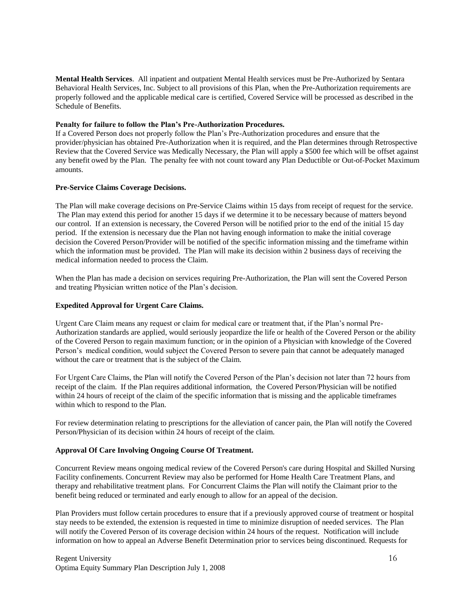**Mental Health Services**. All inpatient and outpatient Mental Health services must be Pre-Authorized by Sentara Behavioral Health Services, Inc. Subject to all provisions of this Plan, when the Pre-Authorization requirements are properly followed and the applicable medical care is certified, Covered Service will be processed as described in the Schedule of Benefits.

### **Penalty for failure to follow the Plan's Pre-Authorization Procedures.**

If a Covered Person does not properly follow the Plan's Pre-Authorization procedures and ensure that the provider/physician has obtained Pre-Authorization when it is required, and the Plan determines through Retrospective Review that the Covered Service was Medically Necessary, the Plan will apply a \$500 fee which will be offset against any benefit owed by the Plan. The penalty fee with not count toward any Plan Deductible or Out-of-Pocket Maximum amounts.

### **Pre-Service Claims Coverage Decisions.**

The Plan will make coverage decisions on Pre-Service Claims within 15 days from receipt of request for the service. The Plan may extend this period for another 15 days if we determine it to be necessary because of matters beyond our control. If an extension is necessary, the Covered Person will be notified prior to the end of the initial 15 day period. If the extension is necessary due the Plan not having enough information to make the initial coverage decision the Covered Person/Provider will be notified of the specific information missing and the timeframe within which the information must be provided. The Plan will make its decision within 2 business days of receiving the medical information needed to process the Claim.

When the Plan has made a decision on services requiring Pre-Authorization, the Plan will sent the Covered Person and treating Physician written notice of the Plan's decision.

### **Expedited Approval for Urgent Care Claims.**

Urgent Care Claim means any request or claim for medical care or treatment that, if the Plan's normal Pre-Authorization standards are applied, would seriously jeopardize the life or health of the Covered Person or the ability of the Covered Person to regain maximum function; or in the opinion of a Physician with knowledge of the Covered Person's medical condition, would subject the Covered Person to severe pain that cannot be adequately managed without the care or treatment that is the subject of the Claim.

For Urgent Care Claims, the Plan will notify the Covered Person of the Plan's decision not later than 72 hours from receipt of the claim. If the Plan requires additional information, the Covered Person/Physician will be notified within 24 hours of receipt of the claim of the specific information that is missing and the applicable timeframes within which to respond to the Plan.

For review determination relating to prescriptions for the alleviation of cancer pain, the Plan will notify the Covered Person/Physician of its decision within 24 hours of receipt of the claim.

### **Approval Of Care Involving Ongoing Course Of Treatment.**

Concurrent Review means ongoing medical review of the Covered Person's care during Hospital and Skilled Nursing Facility confinements. Concurrent Review may also be performed for Home Health Care Treatment Plans, and therapy and rehabilitative treatment plans. For Concurrent Claims the Plan will notify the Claimant prior to the benefit being reduced or terminated and early enough to allow for an appeal of the decision.

Plan Providers must follow certain procedures to ensure that if a previously approved course of treatment or hospital stay needs to be extended, the extension is requested in time to minimize disruption of needed services. The Plan will notify the Covered Person of its coverage decision within 24 hours of the request. Notification will include information on how to appeal an Adverse Benefit Determination prior to services being discontinued. Requests for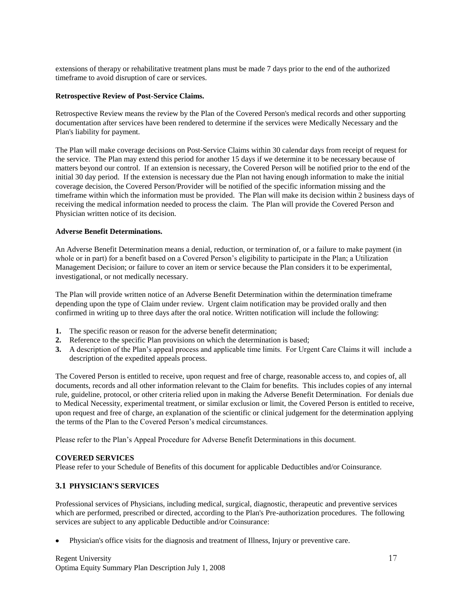extensions of therapy or rehabilitative treatment plans must be made 7 days prior to the end of the authorized timeframe to avoid disruption of care or services.

#### **Retrospective Review of Post-Service Claims.**

Retrospective Review means the review by the Plan of the Covered Person's medical records and other supporting documentation after services have been rendered to determine if the services were Medically Necessary and the Plan's liability for payment.

The Plan will make coverage decisions on Post-Service Claims within 30 calendar days from receipt of request for the service. The Plan may extend this period for another 15 days if we determine it to be necessary because of matters beyond our control. If an extension is necessary, the Covered Person will be notified prior to the end of the initial 30 day period. If the extension is necessary due the Plan not having enough information to make the initial coverage decision, the Covered Person/Provider will be notified of the specific information missing and the timeframe within which the information must be provided. The Plan will make its decision within 2 business days of receiving the medical information needed to process the claim. The Plan will provide the Covered Person and Physician written notice of its decision.

#### **Adverse Benefit Determinations.**

An Adverse Benefit Determination means a denial, reduction, or termination of, or a failure to make payment (in whole or in part) for a benefit based on a Covered Person's eligibility to participate in the Plan; a Utilization Management Decision; or failure to cover an item or service because the Plan considers it to be experimental, investigational, or not medically necessary.

The Plan will provide written notice of an Adverse Benefit Determination within the determination timeframe depending upon the type of Claim under review. Urgent claim notification may be provided orally and then confirmed in writing up to three days after the oral notice. Written notification will include the following:

- **1.** The specific reason or reason for the adverse benefit determination;
- **2.** Reference to the specific Plan provisions on which the determination is based;
- **3.** A description of the Plan's appeal process and applicable time limits. For Urgent Care Claims it will include a description of the expedited appeals process.

The Covered Person is entitled to receive, upon request and free of charge, reasonable access to, and copies of, all documents, records and all other information relevant to the Claim for benefits. This includes copies of any internal rule, guideline, protocol, or other criteria relied upon in making the Adverse Benefit Determination. For denials due to Medical Necessity, experimental treatment, or similar exclusion or limit, the Covered Person is entitled to receive, upon request and free of charge, an explanation of the scientific or clinical judgement for the determination applying the terms of the Plan to the Covered Person's medical circumstances.

Please refer to the Plan's Appeal Procedure for Adverse Benefit Determinations in this document.

#### **COVERED SERVICES**

Please refer to your Schedule of Benefits of this document for applicable Deductibles and/or Coinsurance.

#### **3.1 PHYSICIAN'S SERVICES**

Professional services of Physicians, including medical, surgical, diagnostic, therapeutic and preventive services which are performed, prescribed or directed, according to the Plan's Pre-authorization procedures. The following services are subject to any applicable Deductible and/or Coinsurance:

Physician's office visits for the diagnosis and treatment of Illness, Injury or preventive care.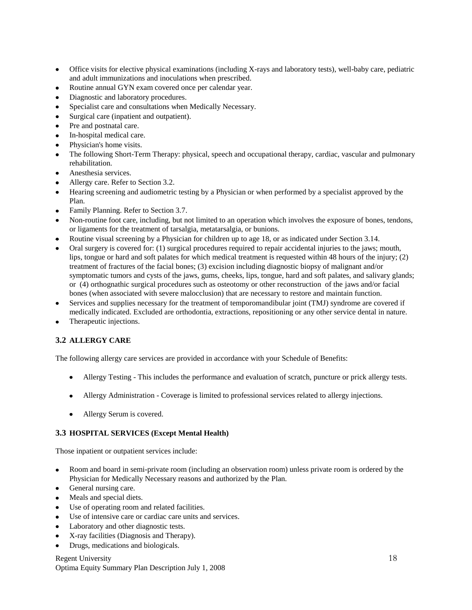- Office visits for elective physical examinations (including X-rays and laboratory tests), well-baby care, pediatric  $\bullet$ and adult immunizations and inoculations when prescribed.
- Routine annual GYN exam covered once per calendar year.
- Diagnostic and laboratory procedures.
- Specialist care and consultations when Medically Necessary.  $\bullet$
- Surgical care (inpatient and outpatient).
- Pre and postnatal care.
- In-hospital medical care.  $\bullet$
- Physician's home visits.
- The following Short-Term Therapy: physical, speech and occupational therapy, cardiac, vascular and pulmonary rehabilitation.
- Anesthesia services.
- Allergy care. Refer to Section 3.2.
- Hearing screening and audiometric testing by a Physician or when performed by a specialist approved by the  $\bullet$ Plan.
- Family Planning. Refer to Section 3.7.
- Non-routine foot care, including, but not limited to an operation which involves the exposure of bones, tendons, or ligaments for the treatment of tarsalgia, metatarsalgia, or bunions.
- Routine visual screening by a Physician for children up to age 18, or as indicated under Section 3.14.
- Oral surgery is covered for: (1) surgical procedures required to repair accidental injuries to the jaws; mouth, lips, tongue or hard and soft palates for which medical treatment is requested within 48 hours of the injury; (2) treatment of fractures of the facial bones; (3) excision including diagnostic biopsy of malignant and/or symptomatic tumors and cysts of the jaws, gums, cheeks, lips, tongue, hard and soft palates, and salivary glands; or (4) orthognathic surgical procedures such as osteotomy or other reconstruction of the jaws and/or facial bones (when associated with severe malocclusion) that are necessary to restore and maintain function.
- Services and supplies necessary for the treatment of temporomandibular joint (TMJ) syndrome are covered if medically indicated. Excluded are orthodontia, extractions, repositioning or any other service dental in nature.
- Therapeutic injections.

## **3.2 ALLERGY CARE**

The following allergy care services are provided in accordance with your Schedule of Benefits:

- Allergy Testing This includes the performance and evaluation of scratch, puncture or prick allergy tests.
- Allergy Administration Coverage is limited to professional services related to allergy injections.  $\bullet$
- Allergy Serum is covered.

#### **3.3 HOSPITAL SERVICES (Except Mental Health)**

Those inpatient or outpatient services include:

- Room and board in semi-private room (including an observation room) unless private room is ordered by the Physician for Medically Necessary reasons and authorized by the Plan.
- General nursing care.
- Meals and special diets.
- Use of operating room and related facilities.
- Use of intensive care or cardiac care units and services.
- Laboratory and other diagnostic tests.
- X-ray facilities (Diagnosis and Therapy).
- Drugs, medications and biologicals.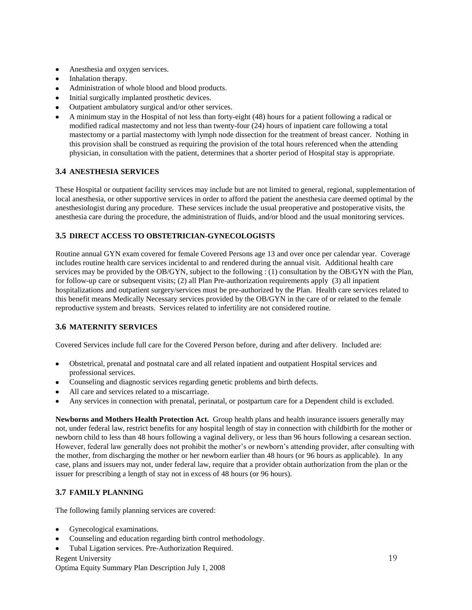- Anesthesia and oxygen services.
- Inhalation therapy.  $\bullet$
- Administration of whole blood and blood products.
- Initial surgically implanted prosthetic devices.
- Outpatient ambulatory surgical and/or other services.
- A minimum stay in the Hospital of not less than forty-eight (48) hours for a patient following a radical or modified radical mastectomy and not less than twenty-four (24) hours of inpatient care following a total mastectomy or a partial mastectomy with lymph node dissection for the treatment of breast cancer. Nothing in this provision shall be construed as requiring the provision of the total hours referenced when the attending physician, in consultation with the patient, determines that a shorter period of Hospital stay is appropriate.

## **3.4 ANESTHESIA SERVICES**

These Hospital or outpatient facility services may include but are not limited to general, regional, supplementation of local anesthesia, or other supportive services in order to afford the patient the anesthesia care deemed optimal by the anesthesiologist during any procedure. These services include the usual preoperative and postoperative visits, the anesthesia care during the procedure, the administration of fluids, and/or blood and the usual monitoring services.

## **3.5 DIRECT ACCESS TO OBSTETRICIAN-GYNECOLOGISTS**

Routine annual GYN exam covered for female Covered Persons age 13 and over once per calendar year. Coverage includes routine health care services incidental to and rendered during the annual visit. Additional health care services may be provided by the OB/GYN, subject to the following : (1) consultation by the OB/GYN with the Plan, for follow-up care or subsequent visits; (2) all Plan Pre-authorization requirements apply (3) all inpatient hospitalizations and outpatient surgery/services must be pre-authorized by the Plan. Health care services related to this benefit means Medically Necessary services provided by the OB/GYN in the care of or related to the female reproductive system and breasts. Services related to infertility are not considered routine.

## **3.6 MATERNITY SERVICES**

Covered Services include full care for the Covered Person before, during and after delivery. Included are:

- Obstetrical, prenatal and postnatal care and all related inpatient and outpatient Hospital services and professional services.
- Counseling and diagnostic services regarding genetic problems and birth defects.
- All care and services related to a miscarriage.
- Any services in connection with prenatal, perinatal, or postpartum care for a Dependent child is excluded.

**Newborns and Mothers Health Protection Act.** Group health plans and health insurance issuers generally may not, under federal law, restrict benefits for any hospital length of stay in connection with childbirth for the mother or newborn child to less than 48 hours following a vaginal delivery, or less than 96 hours following a cesarean section. However, federal law generally does not prohibit the mother's or newborn's attending provider, after consulting with the mother, from discharging the mother or her newborn earlier than 48 hours (or 96 hours as applicable). In any case, plans and issuers may not, under federal law, require that a provider obtain authorization from the plan or the issuer for prescribing a length of stay not in excess of 48 hours (or 96 hours).

#### **3.7 FAMILY PLANNING**

The following family planning services are covered:

- Gynecological examinations.
- Counseling and education regarding birth control methodology.
- Tubal Ligation services. Pre-Authorization Required.

## Regent University 19

Optima Equity Summary Plan Description July 1, 2008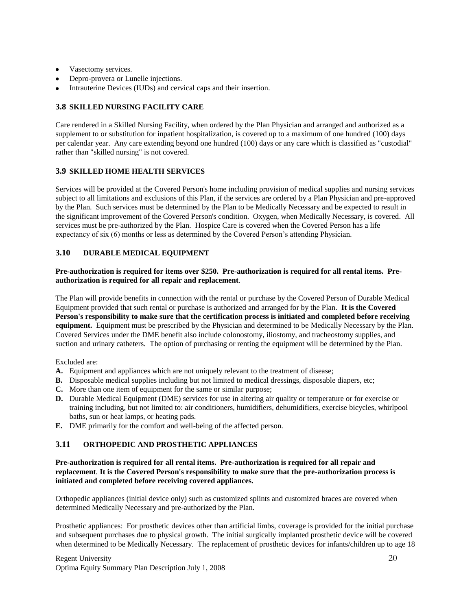- Vasectomy services.
- Depro-provera or Lunelle injections.
- Intrauterine Devices (IUDs) and cervical caps and their insertion.

## **3.8 SKILLED NURSING FACILITY CARE**

Care rendered in a Skilled Nursing Facility, when ordered by the Plan Physician and arranged and authorized as a supplement to or substitution for inpatient hospitalization, is covered up to a maximum of one hundred (100) days per calendar year. Any care extending beyond one hundred (100) days or any care which is classified as "custodial" rather than "skilled nursing" is not covered.

## **3.9 SKILLED HOME HEALTH SERVICES**

Services will be provided at the Covered Person's home including provision of medical supplies and nursing services subject to all limitations and exclusions of this Plan, if the services are ordered by a Plan Physician and pre-approved by the Plan. Such services must be determined by the Plan to be Medically Necessary and be expected to result in the significant improvement of the Covered Person's condition. Oxygen, when Medically Necessary, is covered. All services must be pre-authorized by the Plan. Hospice Care is covered when the Covered Person has a life expectancy of six (6) months or less as determined by the Covered Person's attending Physician.

## **3.10 DURABLE MEDICAL EQUIPMENT**

#### **Pre-authorization is required for items over \$250. Pre-authorization is required for all rental items. Preauthorization is required for all repair and replacement**.

The Plan will provide benefits in connection with the rental or purchase by the Covered Person of Durable Medical Equipment provided that such rental or purchase is authorized and arranged for by the Plan. **It is the Covered Person's responsibility to make sure that the certification process is initiated and completed before receiving equipment.** Equipment must be prescribed by the Physician and determined to be Medically Necessary by the Plan. Covered Services under the DME benefit also include colonostomy, iliostomy, and tracheostomy supplies, and suction and urinary catheters. The option of purchasing or renting the equipment will be determined by the Plan.

Excluded are:

- **A.** Equipment and appliances which are not uniquely relevant to the treatment of disease;
- **B.** Disposable medical supplies including but not limited to medical dressings, disposable diapers, etc;
- **C.** More than one item of equipment for the same or similar purpose;
- **D.** Durable Medical Equipment (DME) services for use in altering air quality or temperature or for exercise or training including, but not limited to: air conditioners, humidifiers, dehumidifiers, exercise bicycles, whirlpool baths, sun or heat lamps, or heating pads.
- **E.** DME primarily for the comfort and well-being of the affected person.

## **3.11 ORTHOPEDIC AND PROSTHETIC APPLIANCES**

## **Pre-authorization is required for all rental items. Pre-authorization is required for all repair and replacement**. **It is the Covered Person's responsibility to make sure that the pre-authorization process is initiated and completed before receiving covered appliances.**

Orthopedic appliances (initial device only) such as customized splints and customized braces are covered when determined Medically Necessary and pre-authorized by the Plan.

Prosthetic appliances: For prosthetic devices other than artificial limbs, coverage is provided for the initial purchase and subsequent purchases due to physical growth. The initial surgically implanted prosthetic device will be covered when determined to be Medically Necessary. The replacement of prosthetic devices for infants/children up to age 18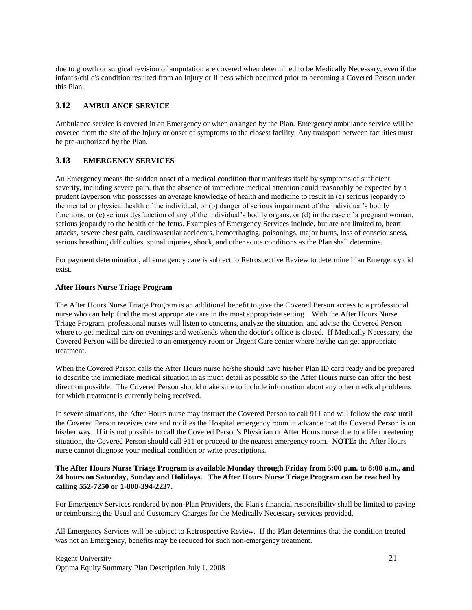due to growth or surgical revision of amputation are covered when determined to be Medically Necessary, even if the infant's/child's condition resulted from an Injury or Illness which occurred prior to becoming a Covered Person under this Plan.

## **3.12 AMBULANCE SERVICE**

Ambulance service is covered in an Emergency or when arranged by the Plan. Emergency ambulance service will be covered from the site of the Injury or onset of symptoms to the closest facility. Any transport between facilities must be pre-authorized by the Plan.

## **3.13 EMERGENCY SERVICES**

An Emergency means the sudden onset of a medical condition that manifests itself by symptoms of sufficient severity, including severe pain, that the absence of immediate medical attention could reasonably be expected by a prudent layperson who possesses an average knowledge of health and medicine to result in (a) serious jeopardy to the mental or physical health of the individual, or (b) danger of serious impairment of the individual's bodily functions, or (c) serious dysfunction of any of the individual's bodily organs, or (d) in the case of a pregnant woman, serious jeopardy to the health of the fetus. Examples of Emergency Services include, but are not limited to, heart attacks, severe chest pain, cardiovascular accidents, hemorrhaging, poisonings, major burns, loss of consciousness, serious breathing difficulties, spinal injuries, shock, and other acute conditions as the Plan shall determine.

For payment determination, all emergency care is subject to Retrospective Review to determine if an Emergency did exist.

#### **After Hours Nurse Triage Program**

The After Hours Nurse Triage Program is an additional benefit to give the Covered Person access to a professional nurse who can help find the most appropriate care in the most appropriate setting. With the After Hours Nurse Triage Program, professional nurses will listen to concerns, analyze the situation, and advise the Covered Person where to get medical care on evenings and weekends when the doctor's office is closed. If Medically Necessary, the Covered Person will be directed to an emergency room or Urgent Care center where he/she can get appropriate treatment.

When the Covered Person calls the After Hours nurse he/she should have his/her Plan ID card ready and be prepared to describe the immediate medical situation in as much detail as possible so the After Hours nurse can offer the best direction possible. The Covered Person should make sure to include information about any other medical problems for which treatment is currently being received.

In severe situations, the After Hours nurse may instruct the Covered Person to call 911 and will follow the case until the Covered Person receives care and notifies the Hospital emergency room in advance that the Covered Person is on his/her way. If it is not possible to call the Covered Person's Physician or After Hours nurse due to a life threatening situation, the Covered Person should call 911 or proceed to the nearest emergency room. **NOTE:** the After Hours nurse cannot diagnose your medical condition or write prescriptions.

#### **The After Hours Nurse Triage Program is available Monday through Friday from 5:00 p.m. to 8:00 a.m., and 24 hours on Saturday, Sunday and Holidays. The After Hours Nurse Triage Program can be reached by calling 552-7250 or 1-800-394-2237.**

For Emergency Services rendered by non-Plan Providers, the Plan's financial responsibility shall be limited to paying or reimbursing the Usual and Customary Charges for the Medically Necessary services provided.

All Emergency Services will be subject to Retrospective Review. If the Plan determines that the condition treated was not an Emergency, benefits may be reduced for such non-emergency treatment.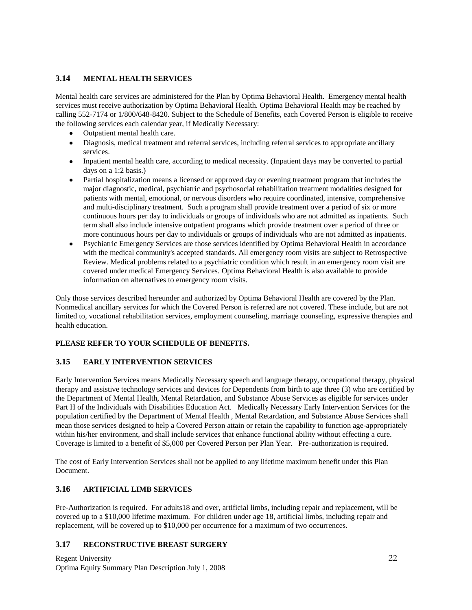## **3.14 MENTAL HEALTH SERVICES**

Mental health care services are administered for the Plan by Optima Behavioral Health. Emergency mental health services must receive authorization by Optima Behavioral Health. Optima Behavioral Health may be reached by calling 552-7174 or 1/800/648-8420. Subject to the Schedule of Benefits, each Covered Person is eligible to receive the following services each calendar year, if Medically Necessary:

- Outpatient mental health care.
- Diagnosis, medical treatment and referral services, including referral services to appropriate ancillary services.
- Inpatient mental health care, according to medical necessity. (Inpatient days may be converted to partial days on a 1:2 basis.)
- Partial hospitalization means a licensed or approved day or evening treatment program that includes the  $\bullet$ major diagnostic, medical, psychiatric and psychosocial rehabilitation treatment modalities designed for patients with mental, emotional, or nervous disorders who require coordinated, intensive, comprehensive and multi-disciplinary treatment. Such a program shall provide treatment over a period of six or more continuous hours per day to individuals or groups of individuals who are not admitted as inpatients. Such term shall also include intensive outpatient programs which provide treatment over a period of three or more continuous hours per day to individuals or groups of individuals who are not admitted as inpatients.
- Psychiatric Emergency Services are those services identified by Optima Behavioral Health in accordance with the medical community's accepted standards. All emergency room visits are subject to Retrospective Review. Medical problems related to a psychiatric condition which result in an emergency room visit are covered under medical Emergency Services. Optima Behavioral Health is also available to provide information on alternatives to emergency room visits.

Only those services described hereunder and authorized by Optima Behavioral Health are covered by the Plan. Nonmedical ancillary services for which the Covered Person is referred are not covered. These include, but are not limited to, vocational rehabilitation services, employment counseling, marriage counseling, expressive therapies and health education.

## **PLEASE REFER TO YOUR SCHEDULE OF BENEFITS.**

## **3.15 EARLY INTERVENTION SERVICES**

Early Intervention Services means Medically Necessary speech and language therapy, occupational therapy, physical therapy and assistive technology services and devices for Dependents from birth to age three (3) who are certified by the Department of Mental Health, Mental Retardation, and Substance Abuse Services as eligible for services under Part H of the Individuals with Disabilities Education Act. Medically Necessary Early Intervention Services for the population certified by the Department of Mental Health , Mental Retardation, and Substance Abuse Services shall mean those services designed to help a Covered Person attain or retain the capability to function age-appropriately within his/her environment, and shall include services that enhance functional ability without effecting a cure. Coverage is limited to a benefit of \$5,000 per Covered Person per Plan Year. Pre-authorization is required.

The cost of Early Intervention Services shall not be applied to any lifetime maximum benefit under this Plan Document.

## **3.16 ARTIFICIAL LIMB SERVICES**

Pre-Authorization is required. For adults18 and over, artificial limbs, including repair and replacement, will be covered up to a \$10,000 lifetime maximum. For children under age 18, artificial limbs, including repair and replacement, will be covered up to \$10,000 per occurrence for a maximum of two occurrences.

## **3.17 RECONSTRUCTIVE BREAST SURGERY**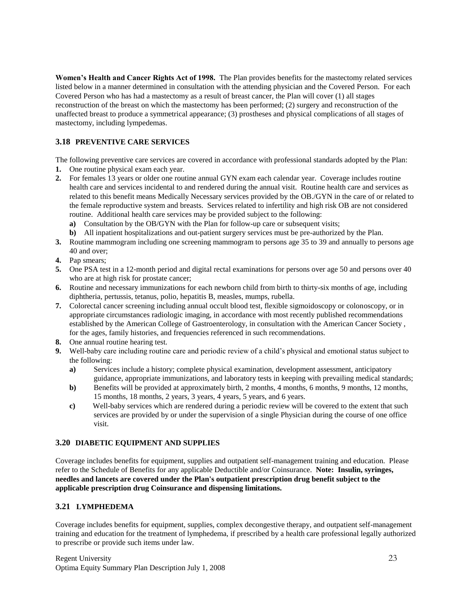**Women's Health and Cancer Rights Act of 1998.** The Plan provides benefits for the mastectomy related services listed below in a manner determined in consultation with the attending physician and the Covered Person. For each Covered Person who has had a mastectomy as a result of breast cancer, the Plan will cover (1) all stages reconstruction of the breast on which the mastectomy has been performed; (2) surgery and reconstruction of the unaffected breast to produce a symmetrical appearance; (3) prostheses and physical complications of all stages of mastectomy, including lympedemas.

## **3.18 PREVENTIVE CARE SERVICES**

The following preventive care services are covered in accordance with professional standards adopted by the Plan:

- **1.** One routine physical exam each year.
- **2.** For females 13 years or older one routine annual GYN exam each calendar year. Coverage includes routine health care and services incidental to and rendered during the annual visit. Routine health care and services as related to this benefit means Medically Necessary services provided by the OB./GYN in the care of or related to the female reproductive system and breasts. Services related to infertility and high risk OB are not considered routine. Additional health care services may be provided subject to the following:
	- **a)** Consultation by the OB/GYN with the Plan for follow-up care or subsequent visits;
	- **b)** All inpatient hospitalizations and out-patient surgery services must be pre-authorized by the Plan.
- **3.** Routine mammogram including one screening mammogram to persons age 35 to 39 and annually to persons age 40 and over;
- **4.** Pap smears;
- **5.** One PSA test in a 12-month period and digital rectal examinations for persons over age 50 and persons over 40 who are at high risk for prostate cancer;
- **6.** Routine and necessary immunizations for each newborn child from birth to thirty-six months of age, including diphtheria, pertussis, tetanus, polio, hepatitis B, measles, mumps, rubella.
- **7.** Colorectal cancer screening including annual occult blood test, flexible sigmoidoscopy or colonoscopy, or in appropriate circumstances radiologic imaging, in accordance with most recently published recommendations established by the American College of Gastroenterology, in consultation with the American Cancer Society , for the ages, family histories, and frequencies referenced in such recommendations.
- **8.** One annual routine hearing test.
- **9.** Well-baby care including routine care and periodic review of a child's physical and emotional status subject to the following:
	- **a)** Services include a history; complete physical examination, development assessment, anticipatory guidance, appropriate immunizations, and laboratory tests in keeping with prevailing medical standards;
	- **b)** Benefits will be provided at approximately birth, 2 months, 4 months, 6 months, 9 months, 12 months, 15 months, 18 months, 2 years, 3 years, 4 years, 5 years, and 6 years.
	- **c)** Well-baby services which are rendered during a periodic review will be covered to the extent that such services are provided by or under the supervision of a single Physician during the course of one office visit.

#### **3.20 DIABETIC EQUIPMENT AND SUPPLIES**

Coverage includes benefits for equipment, supplies and outpatient self-management training and education. Please refer to the Schedule of Benefits for any applicable Deductible and/or Coinsurance. **Note: Insulin, syringes, needles and lancets are covered under the Plan's outpatient prescription drug benefit subject to the applicable prescription drug Coinsurance and dispensing limitations.**

## **3.21 LYMPHEDEMA**

Coverage includes benefits for equipment, supplies, complex decongestive therapy, and outpatient self-management training and education for the treatment of lymphedema, if prescribed by a health care professional legally authorized to prescribe or provide such items under law.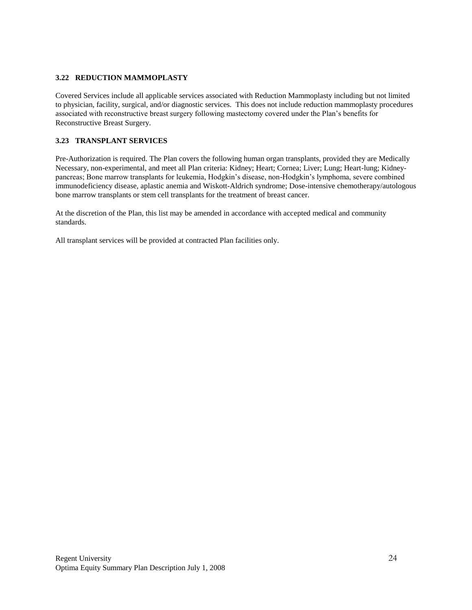## **3.22 REDUCTION MAMMOPLASTY**

Covered Services include all applicable services associated with Reduction Mammoplasty including but not limited to physician, facility, surgical, and/or diagnostic services. This does not include reduction mammoplasty procedures associated with reconstructive breast surgery following mastectomy covered under the Plan's benefits for Reconstructive Breast Surgery.

### **3.23 TRANSPLANT SERVICES**

Pre-Authorization is required. The Plan covers the following human organ transplants, provided they are Medically Necessary, non-experimental, and meet all Plan criteria: Kidney; Heart; Cornea; Liver; Lung; Heart-lung; Kidneypancreas; Bone marrow transplants for leukemia, Hodgkin's disease, non-Hodgkin's lymphoma, severe combined immunodeficiency disease, aplastic anemia and Wiskott-Aldrich syndrome; Dose-intensive chemotherapy/autologous bone marrow transplants or stem cell transplants for the treatment of breast cancer.

At the discretion of the Plan, this list may be amended in accordance with accepted medical and community standards.

All transplant services will be provided at contracted Plan facilities only.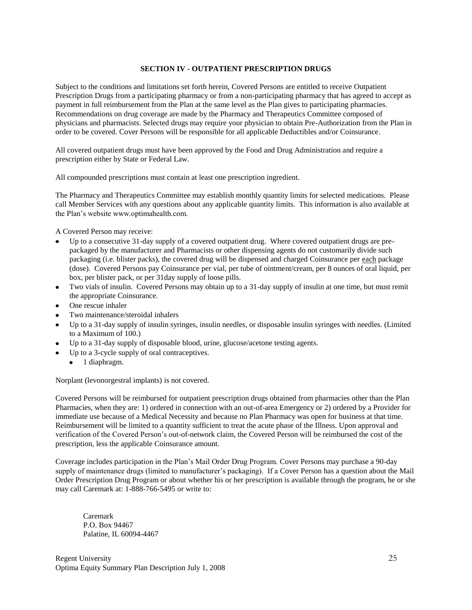#### **SECTION IV - OUTPATIENT PRESCRIPTION DRUGS**

Subject to the conditions and limitations set forth herein, Covered Persons are entitled to receive Outpatient Prescription Drugs from a participating pharmacy or from a non-participating pharmacy that has agreed to accept as payment in full reimbursement from the Plan at the same level as the Plan gives to participating pharmacies. Recommendations on drug coverage are made by the Pharmacy and Therapeutics Committee composed of physicians and pharmacists. Selected drugs may require your physician to obtain Pre-Authorization from the Plan in order to be covered. Cover Persons will be responsible for all applicable Deductibles and/or Coinsurance.

All covered outpatient drugs must have been approved by the Food and Drug Administration and require a prescription either by State or Federal Law.

All compounded prescriptions must contain at least one prescription ingredient.

The Pharmacy and Therapeutics Committee may establish monthly quantity limits for selected medications. Please call Member Services with any questions about any applicable quantity limits. This information is also available at the Plan's website www.optimahealth.com.

A Covered Person may receive:

- Up to a consecutive 31-day supply of a covered outpatient drug. Where covered outpatient drugs are prepackaged by the manufacturer and Pharmacists or other dispensing agents do not customarily divide such packaging (i.e. blister packs), the covered drug will be dispensed and charged Coinsurance per each package (dose). Covered Persons pay Coinsurance per vial, per tube of ointment/cream, per 8 ounces of oral liquid, per box, per blister pack, or per 31day supply of loose pills.
- Two vials of insulin. Covered Persons may obtain up to a 31-day supply of insulin at one time, but must remit the appropriate Coinsurance.
- One rescue inhaler
- Two maintenance/steroidal inhalers
- Up to a 31-day supply of insulin syringes, insulin needles, or disposable insulin syringes with needles. (Limited to a Maximum of 100.)
- Up to a 31-day supply of disposable blood, urine, glucose/acetone testing agents.
- Up to a 3-cycle supply of oral contraceptives.
	- 1 diaphragm.  $\bullet$

Norplant (levonorgestral implants) is not covered.

Covered Persons will be reimbursed for outpatient prescription drugs obtained from pharmacies other than the Plan Pharmacies, when they are: 1) ordered in connection with an out-of-area Emergency or 2) ordered by a Provider for immediate use because of a Medical Necessity and because no Plan Pharmacy was open for business at that time. Reimbursement will be limited to a quantity sufficient to treat the acute phase of the Illness. Upon approval and verification of the Covered Person's out-of-network claim, the Covered Person will be reimbursed the cost of the prescription, less the applicable Coinsurance amount.

Coverage includes participation in the Plan's Mail Order Drug Program. Cover Persons may purchase a 90-day supply of maintenance drugs (limited to manufacturer's packaging). If a Cover Person has a question about the Mail Order Prescription Drug Program or about whether his or her prescription is available through the program, he or she may call Caremark at: 1-888-766-5495 or write to:

Caremark P.O. Box 94467 Palatine, IL 60094-4467

Regent University 25 Optima Equity Summary Plan Description July 1, 2008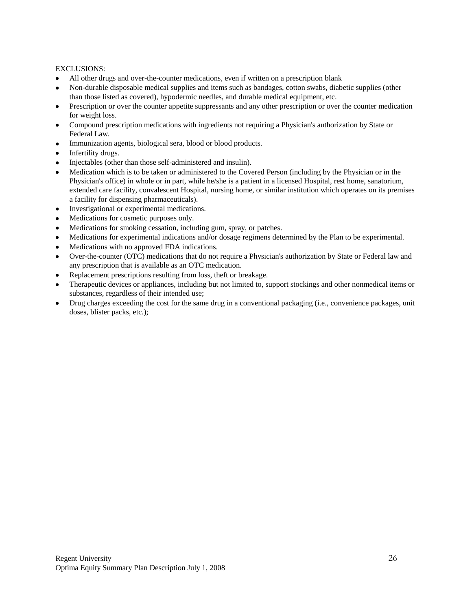EXCLUSIONS:

- All other drugs and over-the-counter medications, even if written on a prescription blank  $\bullet$
- Non-durable disposable medical supplies and items such as bandages, cotton swabs, diabetic supplies (other than those listed as covered), hypodermic needles, and durable medical equipment, etc.
- Prescription or over the counter appetite suppressants and any other prescription or over the counter medication for weight loss.
- Compound prescription medications with ingredients not requiring a Physician's authorization by State or  $\bullet$ Federal Law.
- Immunization agents, biological sera, blood or blood products.
- Infertility drugs.
- Injectables (other than those self-administered and insulin).
- Medication which is to be taken or administered to the Covered Person (including by the Physician or in the Physician's office) in whole or in part, while he/she is a patient in a licensed Hospital, rest home, sanatorium, extended care facility, convalescent Hospital, nursing home, or similar institution which operates on its premises a facility for dispensing pharmaceuticals).
- Investigational or experimental medications.  $\bullet$
- Medications for cosmetic purposes only.  $\bullet$
- Medications for smoking cessation, including gum, spray, or patches.
- Medications for experimental indications and/or dosage regimens determined by the Plan to be experimental.  $\bullet$
- Medications with no approved FDA indications.
- Over-the-counter (OTC) medications that do not require a Physician's authorization by State or Federal law and  $\bullet$ any prescription that is available as an OTC medication.
- Replacement prescriptions resulting from loss, theft or breakage.
- Therapeutic devices or appliances, including but not limited to, support stockings and other nonmedical items or substances, regardless of their intended use;
- Drug charges exceeding the cost for the same drug in a conventional packaging (i.e., convenience packages, unit doses, blister packs, etc.);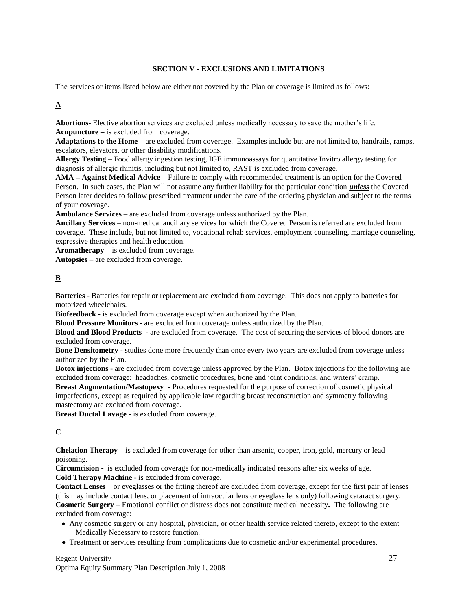#### **SECTION V - EXCLUSIONS AND LIMITATIONS**

The services or items listed below are either not covered by the Plan or coverage is limited as follows:

### **A**

**Abortions**- Elective abortion services are excluded unless medically necessary to save the mother's life. **Acupuncture –** is excluded from coverage.

**Adaptations to the Home** – are excluded from coverage. Examples include but are not limited to, handrails, ramps, escalators, elevators, or other disability modifications.

**Allergy Testing** – Food allergy ingestion testing, IGE immunoassays for quantitative Invitro allergy testing for diagnosis of allergic rhinitis, including but not limited to, RAST is excluded from coverage.

**AMA – Against Medical Advice** – Failure to comply with recommended treatment is an option for the Covered Person. In such cases, the Plan will not assume any further liability for the particular condition *unless* the Covered Person later decides to follow prescribed treatment under the care of the ordering physician and subject to the terms of your coverage.

**Ambulance Services** – are excluded from coverage unless authorized by the Plan.

**Ancillary Services** – non-medical ancillary services for which the Covered Person is referred are excluded from coverage. These include, but not limited to, vocational rehab services, employment counseling, marriage counseling, expressive therapies and health education.

**Aromatherapy –** is excluded from coverage.

**Autopsies –** are excluded from coverage.

## **B**

**Batteries** - Batteries for repair or replacement are excluded from coverage. This does not apply to batteries for motorized wheelchairs.

**Biofeedback -** is excluded from coverage except when authorized by the Plan.

**Blood Pressure Monitors** - are excluded from coverage unless authorized by the Plan.

**Blood and Blood Products** - are excluded from coverage. The cost of securing the services of blood donors are excluded from coverage.

**Bone Densitometry** - studies done more frequently than once every two years are excluded from coverage unless authorized by the Plan.

**Botox injections** - are excluded from coverage unless approved by the Plan. Botox injections for the following are excluded from coverage: headaches, cosmetic procedures, bone and joint conditions, and writers' cramp.

**Breast Augmentation/Mastopexy** - Procedures requested for the purpose of correction of cosmetic physical imperfections, except as required by applicable law regarding breast reconstruction and symmetry following mastectomy are excluded from coverage.

**Breast Ductal Lavage** - is excluded from coverage.

## **C**

**Chelation Therapy** – is excluded from coverage for other than arsenic, copper, iron, gold, mercury or lead poisoning.

**Circumcision** - is excluded from coverage for non-medically indicated reasons after six weeks of age. **Cold Therapy Machine** - is excluded from coverage.

**Contact Lenses** – or eyeglasses or the fitting thereof are excluded from coverage, except for the first pair of lenses (this may include contact lens, or placement of intraocular lens or eyeglass lens only) following cataract surgery. **Cosmetic Surgery –** Emotional conflict or distress does not constitute medical necessity**.** The following are excluded from coverage:

- Any cosmetic surgery or any hospital, physician, or other health service related thereto, except to the extent Medically Necessary to restore function.
- Treatment or services resulting from complications due to cosmetic and/or experimental procedures.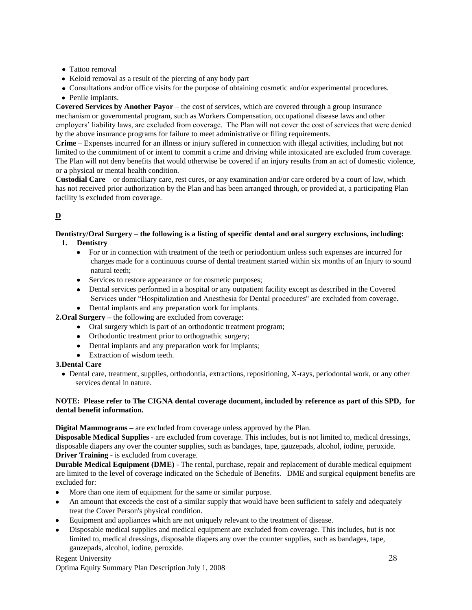- Tattoo removal
- Keloid removal as a result of the piercing of any body part
- Consultations and/or office visits for the purpose of obtaining cosmetic and/or experimental procedures.
- Penile implants.

**Covered Services by Another Payor** – the cost of services, which are covered through a group insurance mechanism or governmental program, such as Workers Compensation, occupational disease laws and other employers' liability laws, are excluded from coverage. The Plan will not cover the cost of services that were denied by the above insurance programs for failure to meet administrative or filing requirements.

**Crime** – Expenses incurred for an illness or injury suffered in connection with illegal activities, including but not limited to the commitment of or intent to commit a crime and driving while intoxicated are excluded from coverage. The Plan will not deny benefits that would otherwise be covered if an injury results from an act of domestic violence, or a physical or mental health condition.

**Custodial Care** – or domiciliary care, rest cures, or any examination and/or care ordered by a court of law, which has not received prior authorization by the Plan and has been arranged through, or provided at, a participating Plan facility is excluded from coverage.

## **D**

#### **Dentistry/Oral Surgery** – **the following is a listing of specific dental and oral surgery exclusions, including: 1. Dentistry**

- For or in connection with treatment of the teeth or periodontium unless such expenses are incurred for charges made for a continuous course of dental treatment started within six months of an Injury to sound natural teeth;
- Services to restore appearance or for cosmetic purposes;
- Dental services performed in a hospital or any outpatient facility except as described in the Covered Services under "Hospitalization and Anesthesia for Dental procedures" are excluded from coverage.
- Dental implants and any preparation work for implants.

**2.Oral Surgery –** the following are excluded from coverage:

- Oral surgery which is part of an orthodontic treatment program;
- Orthodontic treatment prior to orthognathic surgery;
- Dental implants and any preparation work for implants;
- Extraction of wisdom teeth.

## **3.Dental Care**

Dental care, treatment, supplies, orthodontia, extractions, repositioning, X-rays, periodontal work, or any other services dental in nature.

## **NOTE: Please refer to The CIGNA dental coverage document, included by reference as part of this SPD, for dental benefit information.**

**Digital Mammograms –** are excluded from coverage unless approved by the Plan.

**Disposable Medical Supplies** - are excluded from coverage. This includes, but is not limited to, medical dressings, disposable diapers any over the counter supplies, such as bandages, tape, gauzepads, alcohol, iodine, peroxide. **Driver Training** - is excluded from coverage.

**Durable Medical Equipment (DME)** - The rental, purchase, repair and replacement of durable medical equipment are limited to the level of coverage indicated on the Schedule of Benefits. DME and surgical equipment benefits are excluded for:

- More than one item of equipment for the same or similar purpose.  $\bullet$
- An amount that exceeds the cost of a similar supply that would have been sufficient to safely and adequately treat the Cover Person's physical condition.
- Equipment and appliances which are not uniquely relevant to the treatment of disease.
- Disposable medical supplies and medical equipment are excluded from coverage. This includes, but is not limited to, medical dressings, disposable diapers any over the counter supplies, such as bandages, tape, gauzepads, alcohol, iodine, peroxide.

#### Regent University 28 Optima Equity Summary Plan Description July 1, 2008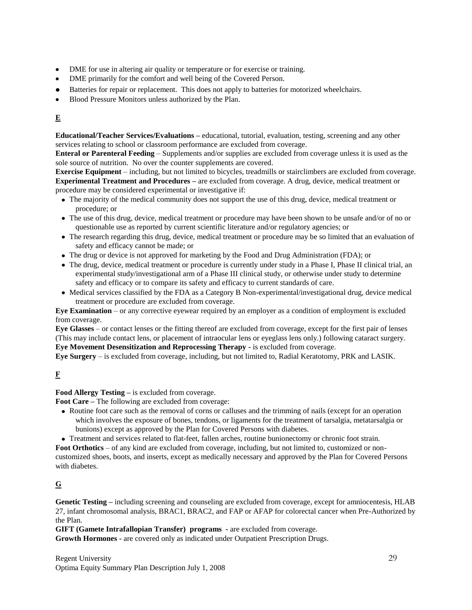- DME for use in altering air quality or temperature or for exercise or training.
- DME primarily for the comfort and well being of the Covered Person.  $\bullet$
- Batteries for repair or replacement. This does not apply to batteries for motorized wheelchairs.
- Blood Pressure Monitors unless authorized by the Plan.  $\bullet$

# **E**

**Educational/Teacher Services/Evaluations –** educational, tutorial, evaluation, testing, screening and any other services relating to school or classroom performance are excluded from coverage.

**Enteral or Parenteral Feeding** – Supplements and/or supplies are excluded from coverage unless it is used as the sole source of nutrition. No over the counter supplements are covered.

**Exercise Equipment** – including, but not limited to bicycles, treadmills or stairclimbers are excluded from coverage. **Experimental Treatment and Procedures –** are excluded from coverage. A drug, device, medical treatment or procedure may be considered experimental or investigative if:

- The majority of the medical community does not support the use of this drug, device, medical treatment or procedure; or
- The use of this drug, device, medical treatment or procedure may have been shown to be unsafe and/or of no or questionable use as reported by current scientific literature and/or regulatory agencies; or
- The research regarding this drug, device, medical treatment or procedure may be so limited that an evaluation of safety and efficacy cannot be made; or
- The drug or device is not approved for marketing by the Food and Drug Administration (FDA); or
- The drug, device, medical treatment or procedure is currently under study in a Phase I, Phase II clinical trial, an experimental study/investigational arm of a Phase III clinical study, or otherwise under study to determine safety and efficacy or to compare its safety and efficacy to current standards of care.
- Medical services classified by the FDA as a Category B Non-experimental/investigational drug, device medical treatment or procedure are excluded from coverage.

**Eye Examination** – or any corrective eyewear required by an employer as a condition of employment is excluded from coverage.

**Eye Glasses** – or contact lenses or the fitting thereof are excluded from coverage, except for the first pair of lenses (This may include contact lens, or placement of intraocular lens or eyeglass lens only.) following cataract surgery. **Eye Movement Desensitization and Reprocessing Therapy -** is excluded from coverage.

**Eye Surgery** – is excluded from coverage, including, but not limited to, Radial Keratotomy, PRK and LASIK.

# **F**

**Food Allergy Testing –** is excluded from coverage.

**Foot Care –** The following are excluded from coverage:

- Routine foot care such as the removal of corns or calluses and the trimming of nails (except for an operation which involves the exposure of bones, tendons, or ligaments for the treatment of tarsalgia, metatarsalgia or bunions) except as approved by the Plan for Covered Persons with diabetes.
- Treatment and services related to flat-feet, fallen arches, routine bunionectomy or chronic foot strain.

**Foot Orthotics** – of any kind are excluded from coverage, including, but not limited to, customized or noncustomized shoes, boots, and inserts, except as medically necessary and approved by the Plan for Covered Persons with diabetes.

## **G**

**Genetic Testing –** including screening and counseling are excluded from coverage, except for amniocentesis, HLAB 27, infant chromosomal analysis, BRAC1, BRAC2, and FAP or AFAP for colorectal cancer when Pre-Authorized by the Plan.

**GIFT (Gamete Intrafallopian Transfer) programs -** are excluded from coverage.

**Growth Hormones -** are covered only as indicated under Outpatient Prescription Drugs.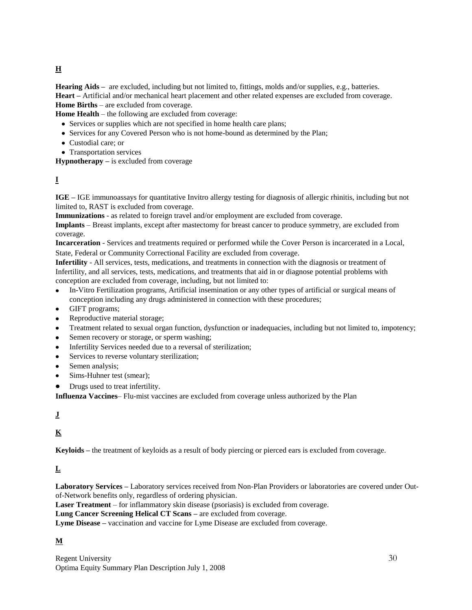**Hearing Aids –** are excluded, including but not limited to, fittings, molds and/or supplies, e.g., batteries. **Heart –** Artificial and/or mechanical heart placement and other related expenses are excluded from coverage. **Home Births** – are excluded from coverage.

**Home Health** – the following are excluded from coverage:

- Services or supplies which are not specified in home health care plans;
- Services for any Covered Person who is not home-bound as determined by the Plan;
- Custodial care; or
- Transportation services

**Hypnotherapy –** is excluded from coverage

**I**

**IGE –** IGE immunoassays for quantitative Invitro allergy testing for diagnosis of allergic rhinitis, including but not limited to, RAST is excluded from coverage.

**Immunizations** - as related to foreign travel and/or employment are excluded from coverage.

**Implants** – Breast implants, except after mastectomy for breast cancer to produce symmetry, are excluded from coverage.

**Incarceration** - Services and treatments required or performed while the Cover Person is incarcerated in a Local, State, Federal or Community Correctional Facility are excluded from coverage.

**Infertility** - All services, tests, medications, and treatments in connection with the diagnosis or treatment of Infertility, and all services, tests, medications, and treatments that aid in or diagnose potential problems with conception are excluded from coverage, including, but not limited to:

- In-Vitro Fertilization programs, Artificial insemination or any other types of artificial or surgical means of  $\bullet$ conception including any drugs administered in connection with these procedures;
- GIFT programs;
- Reproductive material storage;  $\bullet$
- Treatment related to sexual organ function, dysfunction or inadequacies, including but not limited to, impotency;
- Semen recovery or storage, or sperm washing;
- Infertility Services needed due to a reversal of sterilization;
- Services to reverse voluntary sterilization;
- Semen analysis;
- $\bullet$ Sims-Huhner test (smear);
- Drugs used to treat infertility.

**Influenza Vaccines**– Flu-mist vaccines are excluded from coverage unless authorized by the Plan

## **J**

# **K**

**Keyloids –** the treatment of keyloids as a result of body piercing or pierced ears is excluded from coverage.

## **L**

**Laboratory Services –** Laboratory services received from Non-Plan Providers or laboratories are covered under Outof-Network benefits only, regardless of ordering physician.

**Laser Treatment** – for inflammatory skin disease (psoriasis) is excluded from coverage.

**Lung Cancer Screening Helical CT Scans –** are excluded from coverage.

**Lyme Disease –** vaccination and vaccine for Lyme Disease are excluded from coverage.

## **M**

**H**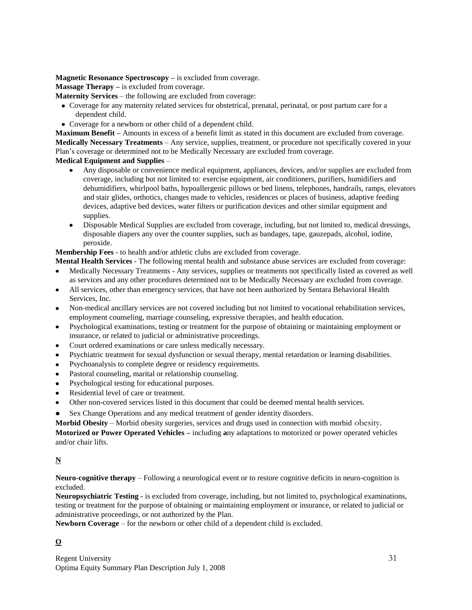#### **Magnetic Resonance Spectroscopy –** is excluded from coverage.

**Massage Therapy –** is excluded from coverage.

**Maternity Services** – the following are excluded from coverage:

- Coverage for any maternity related services for obstetrical, prenatal, perinatal, or post partum care for a dependent child.
- Coverage for a newborn or other child of a dependent child.

**Maximum Benefit –** Amounts in excess of a benefit limit as stated in this document are excluded from coverage. **Medically Necessary Treatments** – Any service, supplies, treatment, or procedure not specifically covered in your Plan's coverage or determined not to be Medically Necessary are excluded from coverage.

## **Medical Equipment and Supplies** –

- Any disposable or convenience medical equipment, appliances, devices, and/or supplies are excluded from coverage, including but not limited to: exercise equipment, air conditioners, purifiers, humidifiers and dehumidifiers, whirlpool baths, hypoallergenic pillows or bed linens, telephones, handrails, ramps, elevators and stair glides, orthotics, changes made to vehicles, residences or places of business, adaptive feeding devices, adaptive bed devices, water filters or purification devices and other similar equipment and supplies.
- Disposable Medical Supplies are excluded from coverage, including, but not limited to, medical dressings, disposable diapers any over the counter supplies, such as bandages, tape, gauzepads, alcohol, iodine, peroxide.

**Membership Fees** - to health and/or athletic clubs are excluded from coverage.

**Mental Health Services** - The following mental health and substance abuse services are excluded from coverage:

- Medically Necessary Treatments Any services, supplies or treatments not specifically listed as covered as well as services and any other procedures determined not to be Medically Necessary are excluded from coverage.
- All services, other than emergency services, that have not been authorized by Sentara Behavioral Health Services, Inc.
- Non-medical ancillary services are not covered including but not limited to vocational rehabilitation services,  $\bullet$ employment counseling, marriage counseling, expressive therapies, and health education.
- Psychological examinations, testing or treatment for the purpose of obtaining or maintaining employment or insurance, or related to judicial or administrative proceedings.
- Court ordered examinations or care unless medically necessary.
- Psychiatric treatment for sexual dysfunction or sexual therapy, mental retardation or learning disabilities.  $\bullet$
- Psychoanalysis to complete degree or residency requirements.
- Pastoral counseling, marital or relationship counseling.
- Psychological testing for educational purposes.
- Residential level of care or treatment.
- Other non-covered services listed in this document that could be deemed mental health services.
- Sex Change Operations and any medical treatment of gender identity disorders.  $\bullet$

**Morbid Obesity** – Morbid obesity surgeries, services and drugs used in connection with morbid obesity.

**Motorized or Power Operated Vehicles –** including **a**ny adaptations to motorized or power operated vehicles and/or chair lifts.

## **N**

**Neuro-cognitive therapy** – Following a neurological event or to restore cognitive deficits in neuro-cognition is excluded.

**Neuropsychiatric Testing -** is excluded from coverage, including, but not limited to, psychological examinations, testing or treatment for the purpose of obtaining or maintaining employment or insurance, or related to judicial or administrative proceedings, or not authorized by the Plan.

**Newborn Coverage** – for the newborn or other child of a dependent child is excluded.

## **O**

Regent University 31 Optima Equity Summary Plan Description July 1, 2008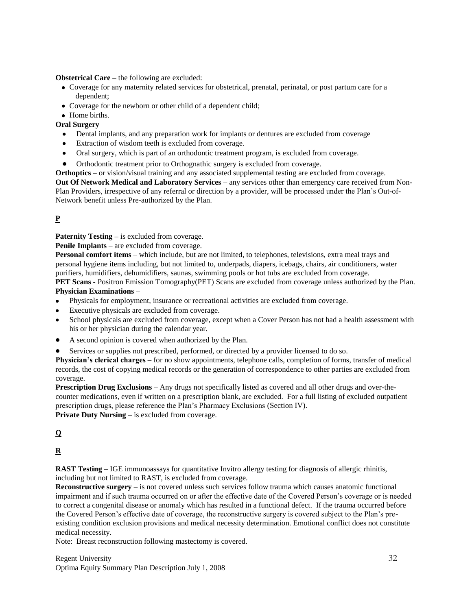**Obstetrical Care** – the following are excluded:

- Coverage for any maternity related services for obstetrical, prenatal, perinatal, or post partum care for a dependent;
- Coverage for the newborn or other child of a dependent child;
- Home births.

## **Oral Surgery**

- Dental implants, and any preparation work for implants or dentures are excluded from coverage
- Extraction of wisdom teeth is excluded from coverage.
- Oral surgery, which is part of an orthodontic treatment program, is excluded from coverage.
- Orthodontic treatment prior to Orthognathic surgery is excluded from coverage.

**Orthoptics** – or vision/visual training and any associated supplemental testing are excluded from coverage.

**Out Of Network Medical and Laboratory Services – any services other than emergency care received from Non-**Plan Providers, irrespective of any referral or direction by a provider, will be processed under the Plan's Out-of-Network benefit unless Pre-authorized by the Plan.

# **P**

**Paternity Testing –** is excluded from coverage.

**Penile Implants** – are excluded from coverage.

**Personal comfort items** – which include, but are not limited, to telephones, televisions, extra meal trays and personal hygiene items including, but not limited to, underpads, diapers, icebags, chairs, air conditioners, water purifiers, humidifiers, dehumidifiers, saunas, swimming pools or hot tubs are excluded from coverage.

**PET Scans -** Positron Emission Tomography(PET) Scans are excluded from coverage unless authorized by the Plan. **Physician Examinations** –

- Physicals for employment, insurance or recreational activities are excluded from coverage.
- Executive physicals are excluded from coverage.
- School physicals are excluded from coverage, except when a Cover Person has not had a health assessment with  $\bullet$ his or her physician during the calendar year.
- A second opinion is covered when authorized by the Plan.
- Services or supplies not prescribed, performed, or directed by a provider licensed to do so.

**Physician's clerical charges** – for no show appointments, telephone calls, completion of forms, transfer of medical records, the cost of copying medical records or the generation of correspondence to other parties are excluded from coverage.

**Prescription Drug Exclusions** – Any drugs not specifically listed as covered and all other drugs and over-thecounter medications, even if written on a prescription blank, are excluded. For a full listing of excluded outpatient prescription drugs, please reference the Plan's Pharmacy Exclusions (Section IV). **Private Duty Nursing** – is excluded from coverage.

## **Q**

# **R**

**RAST Testing** – IGE immunoassays for quantitative Invitro allergy testing for diagnosis of allergic rhinitis, including but not limited to RAST, is excluded from coverage.

**Reconstructive surgery** – is not covered unless such services follow trauma which causes anatomic functional impairment and if such trauma occurred on or after the effective date of the Covered Person's coverage or is needed to correct a congenital disease or anomaly which has resulted in a functional defect. If the trauma occurred before the Covered Person's effective date of coverage, the reconstructive surgery is covered subject to the Plan's preexisting condition exclusion provisions and medical necessity determination. Emotional conflict does not constitute medical necessity.

Note: Breast reconstruction following mastectomy is covered.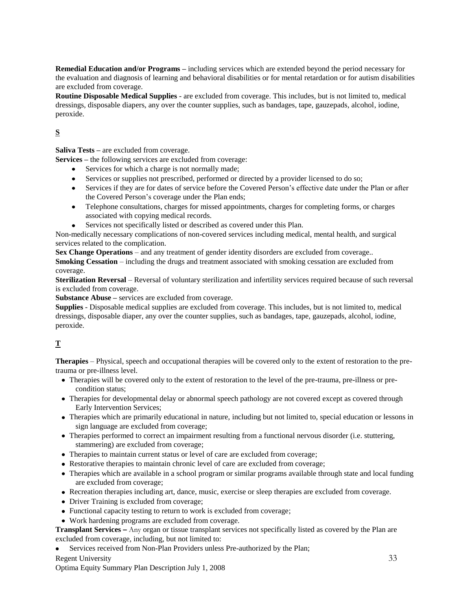**Remedial Education and/or Programs –** including services which are extended beyond the period necessary for the evaluation and diagnosis of learning and behavioral disabilities or for mental retardation or for autism disabilities are excluded from coverage.

**Routine Disposable Medical Supplies** - are excluded from coverage. This includes, but is not limited to, medical dressings, disposable diapers, any over the counter supplies, such as bandages, tape, gauzepads, alcohol, iodine, peroxide.

# **S**

**Saliva Tests –** are excluded from coverage.

**Services –** the following services are excluded from coverage:

- Services for which a charge is not normally made;
- Services or supplies not prescribed, performed or directed by a provider licensed to do so;
- Services if they are for dates of service before the Covered Person's effective date under the Plan or after the Covered Person's coverage under the Plan ends;
- Telephone consultations, charges for missed appointments, charges for completing forms, or charges associated with copying medical records.
- Services not specifically listed or described as covered under this Plan.  $\bullet$

Non-medically necessary complications of non-covered services including medical, mental health, and surgical services related to the complication.

**Sex Change Operations** – and any treatment of gender identity disorders are excluded from coverage..

**Smoking Cessation** – including the drugs and treatment associated with smoking cessation are excluded from coverage.

**Sterilization Reversal** – Reversal of voluntary sterilization and infertility services required because of such reversal is excluded from coverage.

**Substance Abuse** – services are excluded from coverage.

**Supplies** - Disposable medical supplies are excluded from coverage. This includes, but is not limited to, medical dressings, disposable diaper, any over the counter supplies, such as bandages, tape, gauzepads, alcohol, iodine, peroxide.

# **T**

**Therapies** – Physical, speech and occupational therapies will be covered only to the extent of restoration to the pretrauma or pre-illness level.

- Therapies will be covered only to the extent of restoration to the level of the pre-trauma, pre-illness or precondition status;
- Therapies for developmental delay or abnormal speech pathology are not covered except as covered through Early Intervention Services;
- Therapies which are primarily educational in nature, including but not limited to, special education or lessons in sign language are excluded from coverage;
- Therapies performed to correct an impairment resulting from a functional nervous disorder (i.e. stuttering, stammering) are excluded from coverage;
- Therapies to maintain current status or level of care are excluded from coverage;
- Restorative therapies to maintain chronic level of care are excluded from coverage;
- Therapies which are available in a school program or similar programs available through state and local funding are excluded from coverage;
- Recreation therapies including art, dance, music, exercise or sleep therapies are excluded from coverage.
- Driver Training is excluded from coverage;
- Functional capacity testing to return to work is excluded from coverage;
- Work hardening programs are excluded from coverage.

**Transplant Services –** Any organ or tissue transplant services not specifically listed as covered by the Plan are excluded from coverage, including, but not limited to:

Services received from Non-Plan Providers unless Pre-authorized by the Plan;

#### Regent University 33

Optima Equity Summary Plan Description July 1, 2008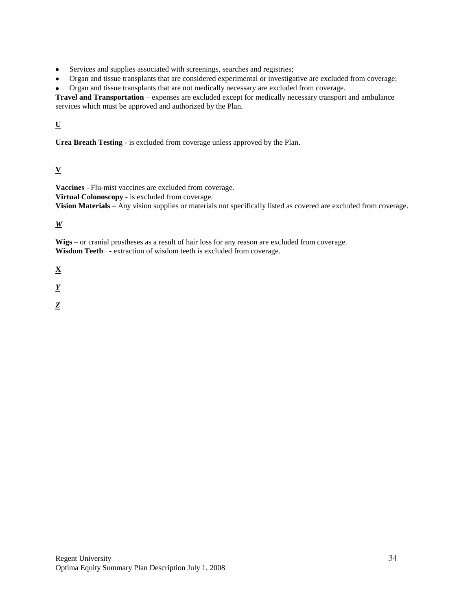- $\bullet$ Services and supplies associated with screenings, searches and registries;
- Organ and tissue transplants that are considered experimental or investigative are excluded from coverage;  $\bullet$
- Organ and tissue transplants that are not medically necessary are excluded from coverage.

**Travel and Transportation** – expenses are excluded except for medically necessary transport and ambulance services which must be approved and authorized by the Plan.

## **U**

**Urea Breath Testing** - is excluded from coverage unless approved by the Plan.

# **V**

**Vaccines** - Flu-mist vaccines are excluded from coverage. **Virtual Colonoscopy -** is excluded from coverage.

**Vision Materials** – Any vision supplies or materials not specifically listed as covered are excluded from coverage.

## *W*

**Wigs** – or cranial prostheses as a result of hair loss for any reason are excluded from coverage. **Wisdom Teeth** - extraction of wisdom teeth is excluded from coverage.

## **X**

*Y*

*Z*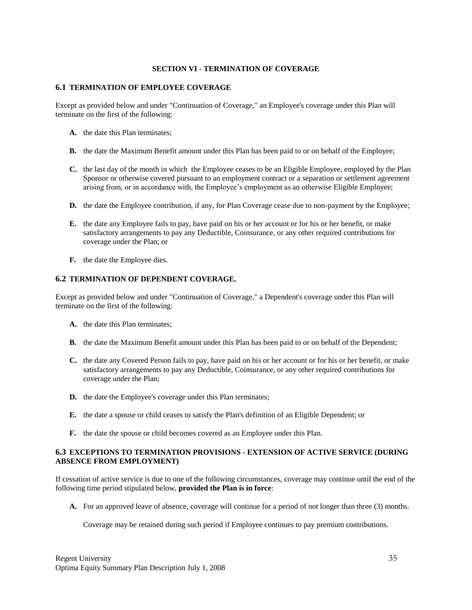#### **SECTION VI - TERMINATION OF COVERAGE**

#### **6.1 TERMINATION OF EMPLOYEE COVERAGE**

Except as provided below and under "Continuation of Coverage," an Employee's coverage under this Plan will terminate on the first of the following:

- **A.** the date this Plan terminates;
- **B.** the date the Maximum Benefit amount under this Plan has been paid to or on behalf of the Employee;
- **C.** the last day of the month in which the Employee ceases to be an Eligible Employee, employed by the Plan Sponsor or otherwise covered pursuant to an employment contract or a separation or settlement agreement arising from, or in accordance with, the Employee's employment as an otherwise Eligible Employee;
- **D.** the date the Employee contribution, if any, for Plan Coverage cease due to non-payment by the Employee;
- **E.** the date any Employee fails to pay, have paid on his or her account or for his or her benefit, or make satisfactory arrangements to pay any Deductible, Coinsurance, or any other required contributions for coverage under the Plan; or
- **F.** the date the Employee dies.

#### **6.2 TERMINATION OF DEPENDENT COVERAGE.**

Except as provided below and under "Continuation of Coverage," a Dependent's coverage under this Plan will terminate on the first of the following:

- **A.** the date this Plan terminates;
- **B.** the date the Maximum Benefit amount under this Plan has been paid to or on behalf of the Dependent;
- **C.** the date any Covered Person fails to pay, have paid on his or her account or for his or her benefit, or make satisfactory arrangements to pay any Deductible, Coinsurance, or any other required contributions for coverage under the Plan;
- **D.** the date the Employee's coverage under this Plan terminates;
- **E.** the date a spouse or child ceases to satisfy the Plan's definition of an Eligible Dependent; or
- **F.** the date the spouse or child becomes covered as an Employee under this Plan.

#### **6.3 EXCEPTIONS TO TERMINATION PROVISIONS - EXTENSION OF ACTIVE SERVICE (DURING ABSENCE FROM EMPLOYMENT)**

If cessation of active service is due to one of the following circumstances, coverage may continue until the end of the following time period stipulated below, **provided the Plan is in force**:

**A.** For an approved leave of absence, coverage will continue for a period of not longer than three (3) months.

Coverage may be retained during such period if Employee continues to pay premium contributions.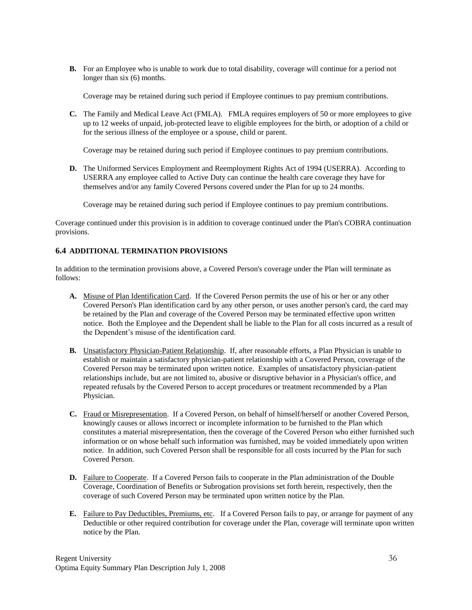**B.** For an Employee who is unable to work due to total disability, coverage will continue for a period not longer than six (6) months.

Coverage may be retained during such period if Employee continues to pay premium contributions.

**C.** The Family and Medical Leave Act (FMLA). FMLA requires employers of 50 or more employees to give up to 12 weeks of unpaid, job-protected leave to eligible employees for the birth, or adoption of a child or for the serious illness of the employee or a spouse, child or parent.

Coverage may be retained during such period if Employee continues to pay premium contributions.

**D.** The Uniformed Services Employment and Reemployment Rights Act of 1994 (USERRA). According to USERRA any employee called to Active Duty can continue the health care coverage they have for themselves and/or any family Covered Persons covered under the Plan for up to 24 months.

Coverage may be retained during such period if Employee continues to pay premium contributions.

Coverage continued under this provision is in addition to coverage continued under the Plan's COBRA continuation provisions.

#### **6.4 ADDITIONAL TERMINATION PROVISIONS**

In addition to the termination provisions above, a Covered Person's coverage under the Plan will terminate as follows:

- **A.** Misuse of Plan Identification Card. If the Covered Person permits the use of his or her or any other Covered Person's Plan identification card by any other person, or uses another person's card, the card may be retained by the Plan and coverage of the Covered Person may be terminated effective upon written notice. Both the Employee and the Dependent shall be liable to the Plan for all costs incurred as a result of the Dependent's misuse of the identification card.
- **B.** Unsatisfactory Physician-Patient Relationship. If, after reasonable efforts, a Plan Physician is unable to establish or maintain a satisfactory physician-patient relationship with a Covered Person, coverage of the Covered Person may be terminated upon written notice. Examples of unsatisfactory physician-patient relationships include, but are not limited to, abusive or disruptive behavior in a Physician's office, and repeated refusals by the Covered Person to accept procedures or treatment recommended by a Plan Physician.
- **C.** Fraud or Misrepresentation. If a Covered Person, on behalf of himself/herself or another Covered Person, knowingly causes or allows incorrect or incomplete information to be furnished to the Plan which constitutes a material misrepresentation, then the coverage of the Covered Person who either furnished such information or on whose behalf such information was furnished, may be voided immediately upon written notice. In addition, such Covered Person shall be responsible for all costs incurred by the Plan for such Covered Person.
- **D.** Failure to Cooperate. If a Covered Person fails to cooperate in the Plan administration of the Double Coverage, Coordination of Benefits or Subrogation provisions set forth herein, respectively, then the coverage of such Covered Person may be terminated upon written notice by the Plan.
- **E.** Failure to Pay Deductibles, Premiums, etc. If a Covered Person fails to pay, or arrange for payment of any Deductible or other required contribution for coverage under the Plan, coverage will terminate upon written notice by the Plan.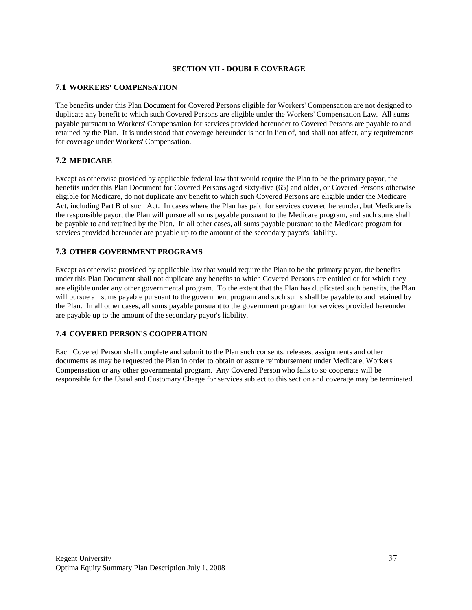#### **SECTION VII - DOUBLE COVERAGE**

#### **7.1 WORKERS' COMPENSATION**

The benefits under this Plan Document for Covered Persons eligible for Workers' Compensation are not designed to duplicate any benefit to which such Covered Persons are eligible under the Workers' Compensation Law. All sums payable pursuant to Workers' Compensation for services provided hereunder to Covered Persons are payable to and retained by the Plan. It is understood that coverage hereunder is not in lieu of, and shall not affect, any requirements for coverage under Workers' Compensation.

## **7.2 MEDICARE**

Except as otherwise provided by applicable federal law that would require the Plan to be the primary payor, the benefits under this Plan Document for Covered Persons aged sixty-five (65) and older, or Covered Persons otherwise eligible for Medicare, do not duplicate any benefit to which such Covered Persons are eligible under the Medicare Act, including Part B of such Act. In cases where the Plan has paid for services covered hereunder, but Medicare is the responsible payor, the Plan will pursue all sums payable pursuant to the Medicare program, and such sums shall be payable to and retained by the Plan. In all other cases, all sums payable pursuant to the Medicare program for services provided hereunder are payable up to the amount of the secondary payor's liability.

#### **7.3 OTHER GOVERNMENT PROGRAMS**

Except as otherwise provided by applicable law that would require the Plan to be the primary payor, the benefits under this Plan Document shall not duplicate any benefits to which Covered Persons are entitled or for which they are eligible under any other governmental program. To the extent that the Plan has duplicated such benefits, the Plan will pursue all sums payable pursuant to the government program and such sums shall be payable to and retained by the Plan. In all other cases, all sums payable pursuant to the government program for services provided hereunder are payable up to the amount of the secondary payor's liability.

### **7.4 COVERED PERSON'S COOPERATION**

Each Covered Person shall complete and submit to the Plan such consents, releases, assignments and other documents as may be requested the Plan in order to obtain or assure reimbursement under Medicare, Workers' Compensation or any other governmental program. Any Covered Person who fails to so cooperate will be responsible for the Usual and Customary Charge for services subject to this section and coverage may be terminated.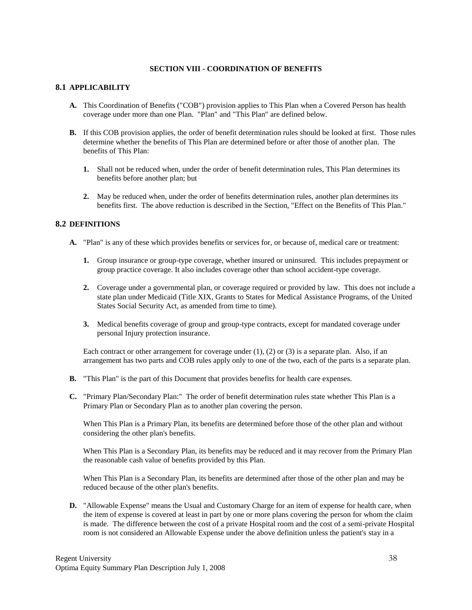## **SECTION VIII - COORDINATION OF BENEFITS**

#### **8.1 APPLICABILITY**

- **A.** This Coordination of Benefits ("COB") provision applies to This Plan when a Covered Person has health coverage under more than one Plan. "Plan" and "This Plan" are defined below.
- **B.** If this COB provision applies, the order of benefit determination rules should be looked at first. Those rules determine whether the benefits of This Plan are determined before or after those of another plan. The benefits of This Plan:
	- **1.** Shall not be reduced when, under the order of benefit determination rules, This Plan determines its benefits before another plan; but
	- **2.** May be reduced when, under the order of benefits determination rules, another plan determines its benefits first. The above reduction is described in the Section, "Effect on the Benefits of This Plan."

### **8.2 DEFINITIONS**

- **A.** "Plan" is any of these which provides benefits or services for, or because of, medical care or treatment:
	- **1.** Group insurance or group-type coverage, whether insured or uninsured. This includes prepayment or group practice coverage. It also includes coverage other than school accident-type coverage.
	- **2.** Coverage under a governmental plan, or coverage required or provided by law. This does not include a state plan under Medicaid (Title XIX, Grants to States for Medical Assistance Programs, of the United States Social Security Act, as amended from time to time).
	- **3.** Medical benefits coverage of group and group-type contracts, except for mandated coverage under personal Injury protection insurance.

Each contract or other arrangement for coverage under (1), (2) or (3) is a separate plan. Also, if an arrangement has two parts and COB rules apply only to one of the two, each of the parts is a separate plan.

- **B.** "This Plan" is the part of this Document that provides benefits for health care expenses.
- **C.** "Primary Plan/Secondary Plan:" The order of benefit determination rules state whether This Plan is a Primary Plan or Secondary Plan as to another plan covering the person.

When This Plan is a Primary Plan, its benefits are determined before those of the other plan and without considering the other plan's benefits.

When This Plan is a Secondary Plan, its benefits may be reduced and it may recover from the Primary Plan the reasonable cash value of benefits provided by this Plan.

When This Plan is a Secondary Plan, its benefits are determined after those of the other plan and may be reduced because of the other plan's benefits.

**D.** "Allowable Expense" means the Usual and Customary Charge for an item of expense for health care, when the item of expense is covered at least in part by one or more plans covering the person for whom the claim is made. The difference between the cost of a private Hospital room and the cost of a semi-private Hospital room is not considered an Allowable Expense under the above definition unless the patient's stay in a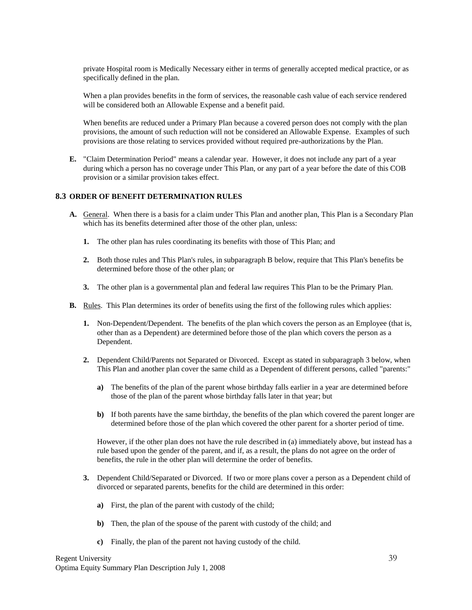private Hospital room is Medically Necessary either in terms of generally accepted medical practice, or as specifically defined in the plan.

When a plan provides benefits in the form of services, the reasonable cash value of each service rendered will be considered both an Allowable Expense and a benefit paid.

When benefits are reduced under a Primary Plan because a covered person does not comply with the plan provisions, the amount of such reduction will not be considered an Allowable Expense. Examples of such provisions are those relating to services provided without required pre-authorizations by the Plan.

**E.** "Claim Determination Period" means a calendar year. However, it does not include any part of a year during which a person has no coverage under This Plan, or any part of a year before the date of this COB provision or a similar provision takes effect.

## **8.3 ORDER OF BENEFIT DETERMINATION RULES**

- **A.** General. When there is a basis for a claim under This Plan and another plan, This Plan is a Secondary Plan which has its benefits determined after those of the other plan, unless:
	- **1.** The other plan has rules coordinating its benefits with those of This Plan; and
	- **2.** Both those rules and This Plan's rules, in subparagraph B below, require that This Plan's benefits be determined before those of the other plan; or
	- **3.** The other plan is a governmental plan and federal law requires This Plan to be the Primary Plan.
- **B.** Rules. This Plan determines its order of benefits using the first of the following rules which applies:
	- **1.** Non-Dependent/Dependent. The benefits of the plan which covers the person as an Employee (that is, other than as a Dependent) are determined before those of the plan which covers the person as a Dependent.
	- **2.** Dependent Child/Parents not Separated or Divorced. Except as stated in subparagraph 3 below, when This Plan and another plan cover the same child as a Dependent of different persons, called "parents:"
		- **a)** The benefits of the plan of the parent whose birthday falls earlier in a year are determined before those of the plan of the parent whose birthday falls later in that year; but
		- **b**) If both parents have the same birthday, the benefits of the plan which covered the parent longer are determined before those of the plan which covered the other parent for a shorter period of time.

However, if the other plan does not have the rule described in (a) immediately above, but instead has a rule based upon the gender of the parent, and if, as a result, the plans do not agree on the order of benefits, the rule in the other plan will determine the order of benefits.

- **3.** Dependent Child/Separated or Divorced. If two or more plans cover a person as a Dependent child of divorced or separated parents, benefits for the child are determined in this order:
	- **a)** First, the plan of the parent with custody of the child;
	- **b)** Then, the plan of the spouse of the parent with custody of the child; and
	- **c)** Finally, the plan of the parent not having custody of the child.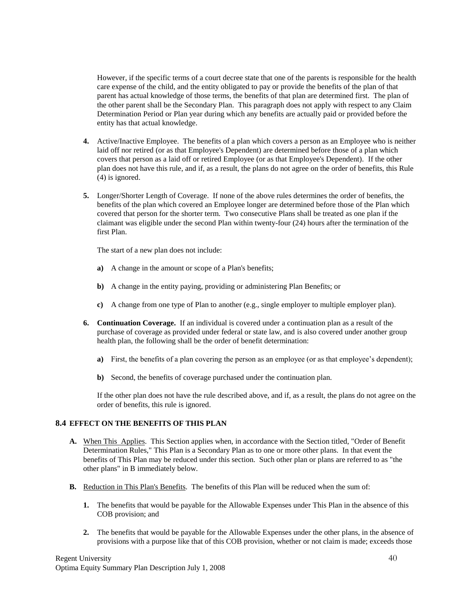However, if the specific terms of a court decree state that one of the parents is responsible for the health care expense of the child, and the entity obligated to pay or provide the benefits of the plan of that parent has actual knowledge of those terms, the benefits of that plan are determined first. The plan of the other parent shall be the Secondary Plan. This paragraph does not apply with respect to any Claim Determination Period or Plan year during which any benefits are actually paid or provided before the entity has that actual knowledge.

- **4.** Active/Inactive Employee. The benefits of a plan which covers a person as an Employee who is neither laid off nor retired (or as that Employee's Dependent) are determined before those of a plan which covers that person as a laid off or retired Employee (or as that Employee's Dependent). If the other plan does not have this rule, and if, as a result, the plans do not agree on the order of benefits, this Rule (4) is ignored.
- **5.** Longer/Shorter Length of Coverage. If none of the above rules determines the order of benefits, the benefits of the plan which covered an Employee longer are determined before those of the Plan which covered that person for the shorter term. Two consecutive Plans shall be treated as one plan if the claimant was eligible under the second Plan within twenty-four (24) hours after the termination of the first Plan.

The start of a new plan does not include:

- **a)** A change in the amount or scope of a Plan's benefits;
- **b)** A change in the entity paying, providing or administering Plan Benefits; or
- **c)** A change from one type of Plan to another (e.g., single employer to multiple employer plan).
- **6. Continuation Coverage.** If an individual is covered under a continuation plan as a result of the purchase of coverage as provided under federal or state law, and is also covered under another group health plan, the following shall be the order of benefit determination:
	- **a**) First, the benefits of a plan covering the person as an employee (or as that employee's dependent);
	- **b)** Second, the benefits of coverage purchased under the continuation plan.

If the other plan does not have the rule described above, and if, as a result, the plans do not agree on the order of benefits, this rule is ignored.

#### **8.4 EFFECT ON THE BENEFITS OF THIS PLAN**

- **A.** When This Applies. This Section applies when, in accordance with the Section titled, "Order of Benefit Determination Rules," This Plan is a Secondary Plan as to one or more other plans. In that event the benefits of This Plan may be reduced under this section. Such other plan or plans are referred to as "the other plans" in B immediately below.
- **B.** Reduction in This Plan's Benefits. The benefits of this Plan will be reduced when the sum of:
	- **1.** The benefits that would be payable for the Allowable Expenses under This Plan in the absence of this COB provision; and
	- **2.** The benefits that would be payable for the Allowable Expenses under the other plans, in the absence of provisions with a purpose like that of this COB provision, whether or not claim is made; exceeds those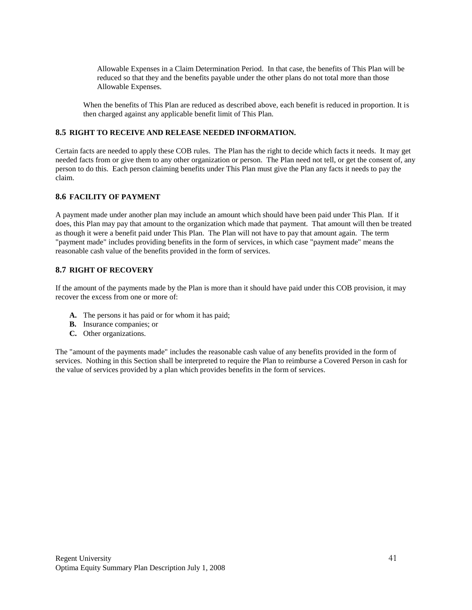Allowable Expenses in a Claim Determination Period. In that case, the benefits of This Plan will be reduced so that they and the benefits payable under the other plans do not total more than those Allowable Expenses.

When the benefits of This Plan are reduced as described above, each benefit is reduced in proportion. It is then charged against any applicable benefit limit of This Plan.

#### **8.5 RIGHT TO RECEIVE AND RELEASE NEEDED INFORMATION.**

Certain facts are needed to apply these COB rules. The Plan has the right to decide which facts it needs. It may get needed facts from or give them to any other organization or person. The Plan need not tell, or get the consent of, any person to do this. Each person claiming benefits under This Plan must give the Plan any facts it needs to pay the claim.

#### **8.6 FACILITY OF PAYMENT**

A payment made under another plan may include an amount which should have been paid under This Plan. If it does, this Plan may pay that amount to the organization which made that payment. That amount will then be treated as though it were a benefit paid under This Plan. The Plan will not have to pay that amount again. The term "payment made" includes providing benefits in the form of services, in which case "payment made" means the reasonable cash value of the benefits provided in the form of services.

#### **8.7 RIGHT OF RECOVERY**

If the amount of the payments made by the Plan is more than it should have paid under this COB provision, it may recover the excess from one or more of:

- **A.** The persons it has paid or for whom it has paid;
- **B.** Insurance companies; or
- **C.** Other organizations.

The "amount of the payments made" includes the reasonable cash value of any benefits provided in the form of services. Nothing in this Section shall be interpreted to require the Plan to reimburse a Covered Person in cash for the value of services provided by a plan which provides benefits in the form of services.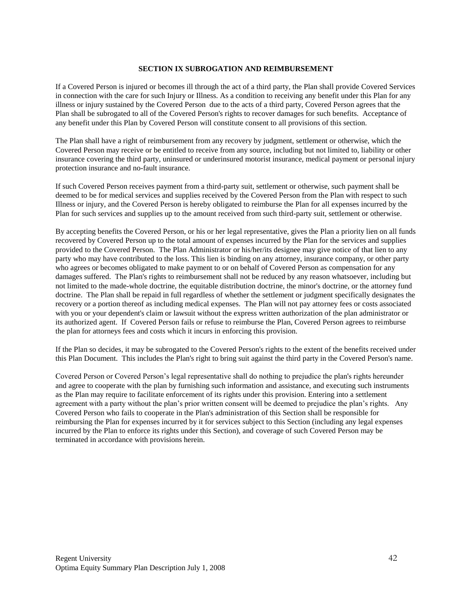#### **SECTION IX SUBROGATION AND REIMBURSEMENT**

If a Covered Person is injured or becomes ill through the act of a third party, the Plan shall provide Covered Services in connection with the care for such Injury or Illness. As a condition to receiving any benefit under this Plan for any illness or injury sustained by the Covered Person due to the acts of a third party, Covered Person agrees that the Plan shall be subrogated to all of the Covered Person's rights to recover damages for such benefits. Acceptance of any benefit under this Plan by Covered Person will constitute consent to all provisions of this section.

The Plan shall have a right of reimbursement from any recovery by judgment, settlement or otherwise, which the Covered Person may receive or be entitled to receive from any source, including but not limited to, liability or other insurance covering the third party, uninsured or underinsured motorist insurance, medical payment or personal injury protection insurance and no-fault insurance.

If such Covered Person receives payment from a third-party suit, settlement or otherwise, such payment shall be deemed to be for medical services and supplies received by the Covered Person from the Plan with respect to such Illness or injury, and the Covered Person is hereby obligated to reimburse the Plan for all expenses incurred by the Plan for such services and supplies up to the amount received from such third-party suit, settlement or otherwise.

By accepting benefits the Covered Person, or his or her legal representative, gives the Plan a priority lien on all funds recovered by Covered Person up to the total amount of expenses incurred by the Plan for the services and supplies provided to the Covered Person. The Plan Administrator or his/her/its designee may give notice of that lien to any party who may have contributed to the loss. This lien is binding on any attorney, insurance company, or other party who agrees or becomes obligated to make payment to or on behalf of Covered Person as compensation for any damages suffered. The Plan's rights to reimbursement shall not be reduced by any reason whatsoever, including but not limited to the made-whole doctrine, the equitable distribution doctrine, the minor's doctrine, or the attorney fund doctrine. The Plan shall be repaid in full regardless of whether the settlement or judgment specifically designates the recovery or a portion thereof as including medical expenses. The Plan will not pay attorney fees or costs associated with you or your dependent's claim or lawsuit without the express written authorization of the plan administrator or its authorized agent. If Covered Person fails or refuse to reimburse the Plan, Covered Person agrees to reimburse the plan for attorneys fees and costs which it incurs in enforcing this provision.

If the Plan so decides, it may be subrogated to the Covered Person's rights to the extent of the benefits received under this Plan Document. This includes the Plan's right to bring suit against the third party in the Covered Person's name.

Covered Person or Covered Person's legal representative shall do nothing to prejudice the plan's rights hereunder and agree to cooperate with the plan by furnishing such information and assistance, and executing such instruments as the Plan may require to facilitate enforcement of its rights under this provision. Entering into a settlement agreement with a party without the plan's prior written consent will be deemed to prejudice the plan's rights. Any Covered Person who fails to cooperate in the Plan's administration of this Section shall be responsible for reimbursing the Plan for expenses incurred by it for services subject to this Section (including any legal expenses incurred by the Plan to enforce its rights under this Section), and coverage of such Covered Person may be terminated in accordance with provisions herein.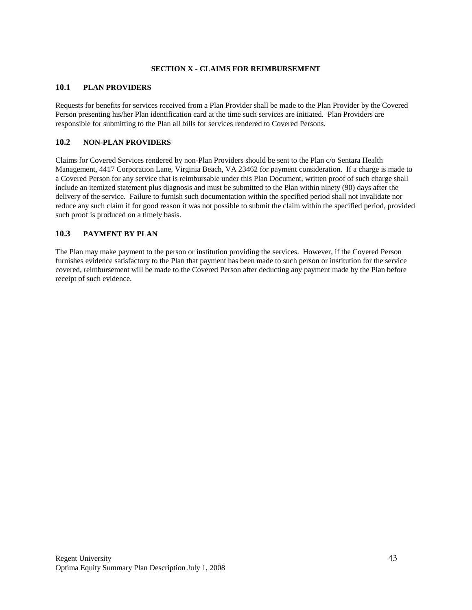#### **SECTION X - CLAIMS FOR REIMBURSEMENT**

### **10.1 PLAN PROVIDERS**

Requests for benefits for services received from a Plan Provider shall be made to the Plan Provider by the Covered Person presenting his/her Plan identification card at the time such services are initiated. Plan Providers are responsible for submitting to the Plan all bills for services rendered to Covered Persons.

## **10.2 NON-PLAN PROVIDERS**

Claims for Covered Services rendered by non-Plan Providers should be sent to the Plan c/o Sentara Health Management, 4417 Corporation Lane, Virginia Beach, VA 23462 for payment consideration. If a charge is made to a Covered Person for any service that is reimbursable under this Plan Document, written proof of such charge shall include an itemized statement plus diagnosis and must be submitted to the Plan within ninety (90) days after the delivery of the service. Failure to furnish such documentation within the specified period shall not invalidate nor reduce any such claim if for good reason it was not possible to submit the claim within the specified period, provided such proof is produced on a timely basis.

## **10.3 PAYMENT BY PLAN**

The Plan may make payment to the person or institution providing the services. However, if the Covered Person furnishes evidence satisfactory to the Plan that payment has been made to such person or institution for the service covered, reimbursement will be made to the Covered Person after deducting any payment made by the Plan before receipt of such evidence.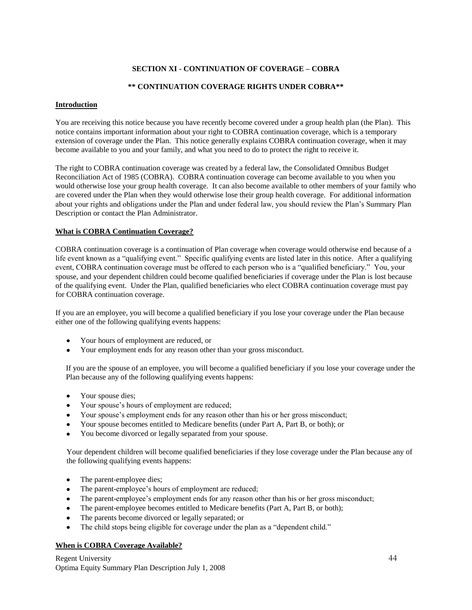## **SECTION XI - CONTINUATION OF COVERAGE – COBRA**

#### **\*\* CONTINUATION COVERAGE RIGHTS UNDER COBRA\*\***

#### **Introduction**

You are receiving this notice because you have recently become covered under a group health plan (the Plan). This notice contains important information about your right to COBRA continuation coverage, which is a temporary extension of coverage under the Plan. This notice generally explains COBRA continuation coverage, when it may become available to you and your family, and what you need to do to protect the right to receive it.

The right to COBRA continuation coverage was created by a federal law, the Consolidated Omnibus Budget Reconciliation Act of 1985 (COBRA). COBRA continuation coverage can become available to you when you would otherwise lose your group health coverage. It can also become available to other members of your family who are covered under the Plan when they would otherwise lose their group health coverage. For additional information about your rights and obligations under the Plan and under federal law, you should review the Plan's Summary Plan Description or contact the Plan Administrator.

#### **What is COBRA Continuation Coverage?**

COBRA continuation coverage is a continuation of Plan coverage when coverage would otherwise end because of a life event known as a "qualifying event." Specific qualifying events are listed later in this notice. After a qualifying event, COBRA continuation coverage must be offered to each person who is a "qualified beneficiary." You, your spouse, and your dependent children could become qualified beneficiaries if coverage under the Plan is lost because of the qualifying event. Under the Plan, qualified beneficiaries who elect COBRA continuation coverage must pay for COBRA continuation coverage.

If you are an employee, you will become a qualified beneficiary if you lose your coverage under the Plan because either one of the following qualifying events happens:

- Your hours of employment are reduced, or
- Your employment ends for any reason other than your gross misconduct.

If you are the spouse of an employee, you will become a qualified beneficiary if you lose your coverage under the Plan because any of the following qualifying events happens:

- Your spouse dies;  $\bullet$
- Your spouse's hours of employment are reduced;
- Your spouse's employment ends for any reason other than his or her gross misconduct;
- Your spouse becomes entitled to Medicare benefits (under Part A, Part B, or both); or
- You become divorced or legally separated from your spouse.

Your dependent children will become qualified beneficiaries if they lose coverage under the Plan because any of the following qualifying events happens:

- The parent-employee dies;
- The parent-employee's hours of employment are reduced;
- The parent-employee's employment ends for any reason other than his or her gross misconduct;
- The parent-employee becomes entitled to Medicare benefits (Part A, Part B, or both);
- The parents become divorced or legally separated; or
- The child stops being eligible for coverage under the plan as a "dependent child."

#### **When is COBRA Coverage Available?**

Regent University **44** Optima Equity Summary Plan Description July 1, 2008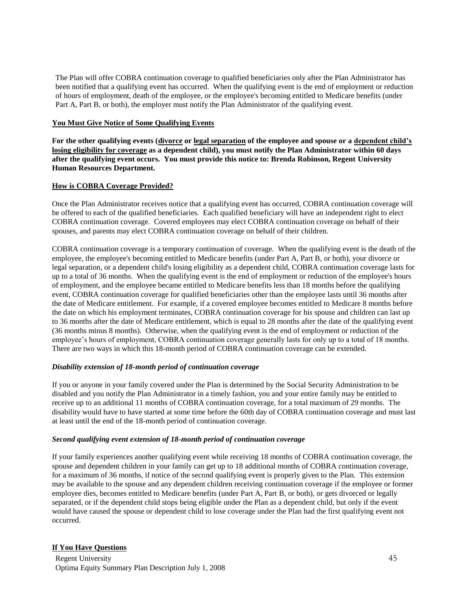The Plan will offer COBRA continuation coverage to qualified beneficiaries only after the Plan Administrator has been notified that a qualifying event has occurred. When the qualifying event is the end of employment or reduction of hours of employment, death of the employee, or the employee's becoming entitled to Medicare benefits (under Part A, Part B, or both), the employer must notify the Plan Administrator of the qualifying event.

#### **You Must Give Notice of Some Qualifying Events**

**For the other qualifying events (divorce or legal separation of the employee and spouse or a dependent child's losing eligibility for coverage as a dependent child), you must notify the Plan Administrator within 60 days after the qualifying event occurs. You must provide this notice to: Brenda Robinson, Regent University Human Resources Department.**

#### **How is COBRA Coverage Provided?**

Once the Plan Administrator receives notice that a qualifying event has occurred, COBRA continuation coverage will be offered to each of the qualified beneficiaries. Each qualified beneficiary will have an independent right to elect COBRA continuation coverage. Covered employees may elect COBRA continuation coverage on behalf of their spouses, and parents may elect COBRA continuation coverage on behalf of their children.

COBRA continuation coverage is a temporary continuation of coverage. When the qualifying event is the death of the employee, the employee's becoming entitled to Medicare benefits (under Part A, Part B, or both), your divorce or legal separation, or a dependent child's losing eligibility as a dependent child, COBRA continuation coverage lasts for up to a total of 36 months. When the qualifying event is the end of employment or reduction of the employee's hours of employment, and the employee became entitled to Medicare benefits less than 18 months before the qualifying event, COBRA continuation coverage for qualified beneficiaries other than the employee lasts until 36 months after the date of Medicare entitlement. For example, if a covered employee becomes entitled to Medicare 8 months before the date on which his employment terminates, COBRA continuation coverage for his spouse and children can last up to 36 months after the date of Medicare entitlement, which is equal to 28 months after the date of the qualifying event (36 months minus 8 months). Otherwise, when the qualifying event is the end of employment or reduction of the employee's hours of employment, COBRA continuation coverage generally lasts for only up to a total of 18 months. There are two ways in which this 18-month period of COBRA continuation coverage can be extended.

#### *Disability extension of 18-month period of continuation coverage*

If you or anyone in your family covered under the Plan is determined by the Social Security Administration to be disabled and you notify the Plan Administrator in a timely fashion, you and your entire family may be entitled to receive up to an additional 11 months of COBRA continuation coverage, for a total maximum of 29 months. The disability would have to have started at some time before the 60th day of COBRA continuation coverage and must last at least until the end of the 18-month period of continuation coverage.

#### *Second qualifying event extension of 18-month period of continuation coverage*

If your family experiences another qualifying event while receiving 18 months of COBRA continuation coverage, the spouse and dependent children in your family can get up to 18 additional months of COBRA continuation coverage, for a maximum of 36 months, if notice of the second qualifying event is properly given to the Plan. This extension may be available to the spouse and any dependent children receiving continuation coverage if the employee or former employee dies, becomes entitled to Medicare benefits (under Part A, Part B, or both), or gets divorced or legally separated, or if the dependent child stops being eligible under the Plan as a dependent child, but only if the event would have caused the spouse or dependent child to lose coverage under the Plan had the first qualifying event not occurred.

## **If You Have Questions**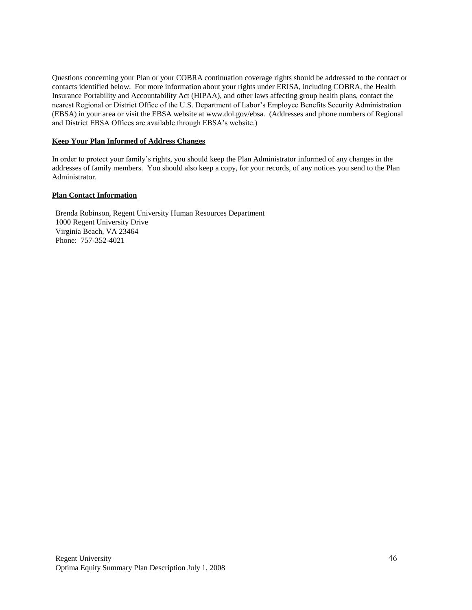Questions concerning your Plan or your COBRA continuation coverage rights should be addressed to the contact or contacts identified below. For more information about your rights under ERISA, including COBRA, the Health Insurance Portability and Accountability Act (HIPAA), and other laws affecting group health plans, contact the nearest Regional or District Office of the U.S. Department of Labor's Employee Benefits Security Administration (EBSA) in your area or visit the EBSA website at www.dol.gov/ebsa. (Addresses and phone numbers of Regional and District EBSA Offices are available through EBSA's website.)

## **Keep Your Plan Informed of Address Changes**

In order to protect your family's rights, you should keep the Plan Administrator informed of any changes in the addresses of family members.You should also keep a copy, for your records, of any notices you send to the Plan Administrator.

## **Plan Contact Information**

Brenda Robinson, Regent University Human Resources Department 1000 Regent University Drive Virginia Beach, VA 23464 Phone: 757-352-4021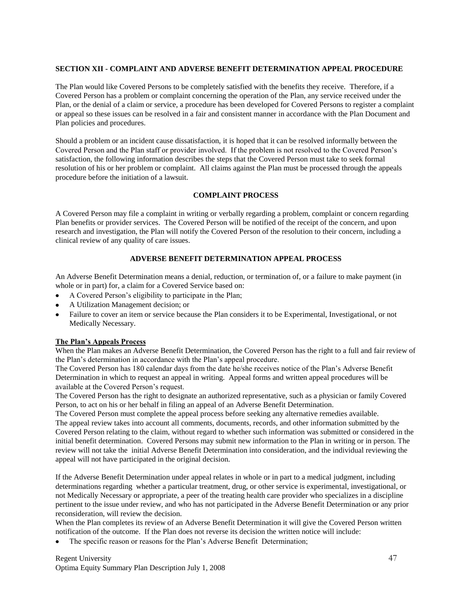#### **SECTION XII - COMPLAINT AND ADVERSE BENEFIT DETERMINATION APPEAL PROCEDURE**

The Plan would like Covered Persons to be completely satisfied with the benefits they receive. Therefore, if a Covered Person has a problem or complaint concerning the operation of the Plan, any service received under the Plan, or the denial of a claim or service, a procedure has been developed for Covered Persons to register a complaint or appeal so these issues can be resolved in a fair and consistent manner in accordance with the Plan Document and Plan policies and procedures.

Should a problem or an incident cause dissatisfaction, it is hoped that it can be resolved informally between the Covered Person and the Plan staff or provider involved. If the problem is not resolved to the Covered Person's satisfaction, the following information describes the steps that the Covered Person must take to seek formal resolution of his or her problem or complaint. All claims against the Plan must be processed through the appeals procedure before the initiation of a lawsuit.

#### **COMPLAINT PROCESS**

A Covered Person may file a complaint in writing or verbally regarding a problem, complaint or concern regarding Plan benefits or provider services. The Covered Person will be notified of the receipt of the concern, and upon research and investigation, the Plan will notify the Covered Person of the resolution to their concern, including a clinical review of any quality of care issues.

#### **ADVERSE BENEFIT DETERMINATION APPEAL PROCESS**

An Adverse Benefit Determination means a denial, reduction, or termination of, or a failure to make payment (in whole or in part) for, a claim for a Covered Service based on:

- A Covered Person's eligibility to participate in the Plan;
- A Utilization Management decision; or
- Failure to cover an item or service because the Plan considers it to be Experimental, Investigational, or not Medically Necessary.

#### **The Plan's Appeals Process**

When the Plan makes an Adverse Benefit Determination, the Covered Person has the right to a full and fair review of the Plan's determination in accordance with the Plan's appeal procedure.

The Covered Person has 180 calendar days from the date he/she receives notice of the Plan's Adverse Benefit Determination in which to request an appeal in writing. Appeal forms and written appeal procedures will be available at the Covered Person's request.

The Covered Person has the right to designate an authorized representative, such as a physician or family Covered Person, to act on his or her behalf in filing an appeal of an Adverse Benefit Determination.

The Covered Person must complete the appeal process before seeking any alternative remedies available. The appeal review takes into account all comments, documents, records, and other information submitted by the Covered Person relating to the claim, without regard to whether such information was submitted or considered in the initial benefit determination. Covered Persons may submit new information to the Plan in writing or in person. The review will not take the initial Adverse Benefit Determination into consideration, and the individual reviewing the appeal will not have participated in the original decision.

If the Adverse Benefit Determination under appeal relates in whole or in part to a medical judgment, including determinations regarding whether a particular treatment, drug, or other service is experimental, investigational, or not Medically Necessary or appropriate, a peer of the treating health care provider who specializes in a discipline pertinent to the issue under review, and who has not participated in the Adverse Benefit Determination or any prior reconsideration, will review the decision.

When the Plan completes its review of an Adverse Benefit Determination it will give the Covered Person written notification of the outcome. If the Plan does not reverse its decision the written notice will include:

The specific reason or reasons for the Plan's Adverse Benefit Determination;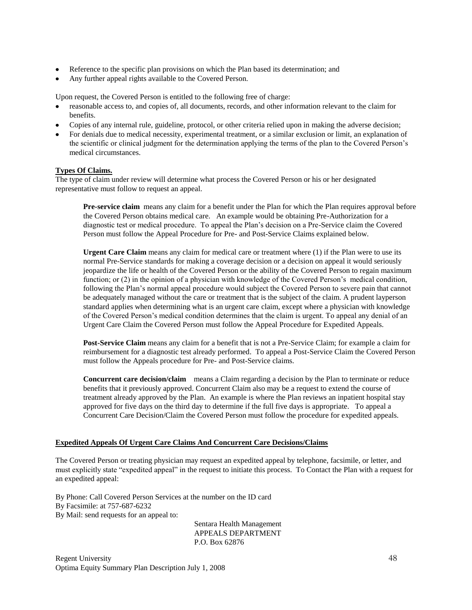- Reference to the specific plan provisions on which the Plan based its determination; and
- Any further appeal rights available to the Covered Person.

Upon request, the Covered Person is entitled to the following free of charge:

- reasonable access to, and copies of, all documents, records, and other information relevant to the claim for benefits.
- Copies of any internal rule, guideline, protocol, or other criteria relied upon in making the adverse decision;
- For denials due to medical necessity, experimental treatment, or a similar exclusion or limit, an explanation of the scientific or clinical judgment for the determination applying the terms of the plan to the Covered Person's medical circumstances.

#### **Types Of Claims.**

The type of claim under review will determine what process the Covered Person or his or her designated representative must follow to request an appeal.

**Pre-service claim** means any claim for a benefit under the Plan for which the Plan requires approval before the Covered Person obtains medical care. An example would be obtaining Pre-Authorization for a diagnostic test or medical procedure. To appeal the Plan's decision on a Pre-Service claim the Covered Person must follow the Appeal Procedure for Pre- and Post-Service Claims explained below.

**Urgent Care Claim** means any claim for medical care or treatment where (1) if the Plan were to use its normal Pre-Service standards for making a coverage decision or a decision on appeal it would seriously jeopardize the life or health of the Covered Person or the ability of the Covered Person to regain maximum function; or (2) in the opinion of a physician with knowledge of the Covered Person's medical condition, following the Plan's normal appeal procedure would subject the Covered Person to severe pain that cannot be adequately managed without the care or treatment that is the subject of the claim. A prudent layperson standard applies when determining what is an urgent care claim, except where a physician with knowledge of the Covered Person's medical condition determines that the claim is urgent. To appeal any denial of an Urgent Care Claim the Covered Person must follow the Appeal Procedure for Expedited Appeals.

**Post-Service Claim** means any claim for a benefit that is not a Pre-Service Claim; for example a claim for reimbursement for a diagnostic test already performed. To appeal a Post-Service Claim the Covered Person must follow the Appeals procedure for Pre- and Post-Service claims.

**Concurrent care decision/claim** means a Claim regarding a decision by the Plan to terminate or reduce benefits that it previously approved. Concurrent Claim also may be a request to extend the course of treatment already approved by the Plan. An example is where the Plan reviews an inpatient hospital stay approved for five days on the third day to determine if the full five days is appropriate. To appeal a Concurrent Care Decision/Claim the Covered Person must follow the procedure for expedited appeals.

#### **Expedited Appeals Of Urgent Care Claims And Concurrent Care Decisions/Claims**

The Covered Person or treating physician may request an expedited appeal by telephone, facsimile, or letter, and must explicitly state "expedited appeal" in the request to initiate this process. To Contact the Plan with a request for an expedited appeal:

By Phone: Call Covered Person Services at the number on the ID card By Facsimile: at 757-687-6232 By Mail: send requests for an appeal to:

Sentara Health Management APPEALS DEPARTMENT P.O. Box 62876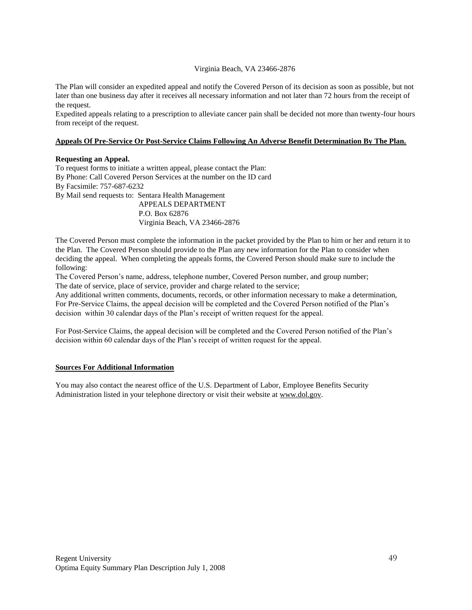#### Virginia Beach, VA 23466-2876

The Plan will consider an expedited appeal and notify the Covered Person of its decision as soon as possible, but not later than one business day after it receives all necessary information and not later than 72 hours from the receipt of the request.

Expedited appeals relating to a prescription to alleviate cancer pain shall be decided not more than twenty-four hours from receipt of the request.

#### **Appeals Of Pre-Service Or Post-Service Claims Following An Adverse Benefit Determination By The Plan.**

#### **Requesting an Appeal.**

To request forms to initiate a written appeal, please contact the Plan:

By Phone: Call Covered Person Services at the number on the ID card

By Facsimile: 757-687-6232

By Mail send requests to: Sentara Health Management

APPEALS DEPARTMENT P.O. Box 62876 Virginia Beach, VA 23466-2876

The Covered Person must complete the information in the packet provided by the Plan to him or her and return it to the Plan. The Covered Person should provide to the Plan any new information for the Plan to consider when deciding the appeal. When completing the appeals forms, the Covered Person should make sure to include the following:

The Covered Person's name, address, telephone number, Covered Person number, and group number; The date of service, place of service, provider and charge related to the service;

Any additional written comments, documents, records, or other information necessary to make a determination, For Pre-Service Claims, the appeal decision will be completed and the Covered Person notified of the Plan's decision within 30 calendar days of the Plan's receipt of written request for the appeal.

For Post-Service Claims, the appeal decision will be completed and the Covered Person notified of the Plan's decision within 60 calendar days of the Plan's receipt of written request for the appeal.

#### **Sources For Additional Information**

You may also contact the nearest office of the U.S. Department of Labor, Employee Benefits Security Administration listed in your telephone directory or visit their website at [www.dol.gov.](http://www.dol.gov/)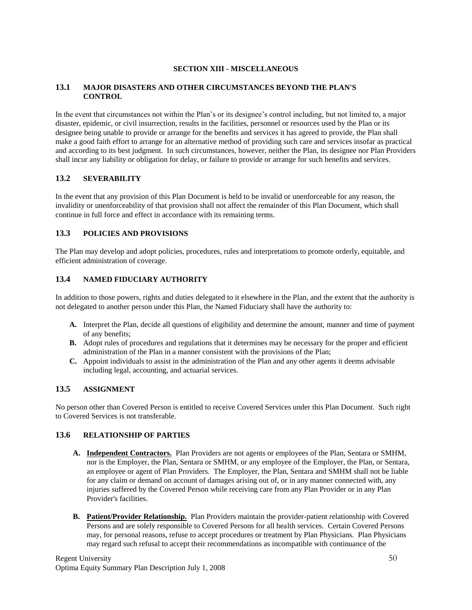#### **SECTION XIII - MISCELLANEOUS**

#### **13.1 MAJOR DISASTERS AND OTHER CIRCUMSTANCES BEYOND THE PLAN'S CONTROL**

In the event that circumstances not within the Plan's or its designee's control including, but not limited to, a major disaster, epidemic, or civil insurrection, results in the facilities, personnel or resources used by the Plan or its designee being unable to provide or arrange for the benefits and services it has agreed to provide, the Plan shall make a good faith effort to arrange for an alternative method of providing such care and services insofar as practical and according to its best judgment. In such circumstances, however, neither the Plan, its designee nor Plan Providers shall incur any liability or obligation for delay, or failure to provide or arrange for such benefits and services.

#### **13.2 SEVERABILITY**

In the event that any provision of this Plan Document is held to be invalid or unenforceable for any reason, the invalidity or unenforceability of that provision shall not affect the remainder of this Plan Document, which shall continue in full force and effect in accordance with its remaining terms.

### **13.3 POLICIES AND PROVISIONS**

The Plan may develop and adopt policies, procedures, rules and interpretations to promote orderly, equitable, and efficient administration of coverage.

## **13.4 NAMED FIDUCIARY AUTHORITY**

In addition to those powers, rights and duties delegated to it elsewhere in the Plan, and the extent that the authority is not delegated to another person under this Plan, the Named Fiduciary shall have the authority to:

- **A.** Interpret the Plan, decide all questions of eligibility and determine the amount, manner and time of payment of any benefits;
- **B.** Adopt rules of procedures and regulations that it determines may be necessary for the proper and efficient administration of the Plan in a manner consistent with the provisions of the Plan;
- **C.** Appoint individuals to assist in the administration of the Plan and any other agents it deems advisable including legal, accounting, and actuarial services.

#### **13.5 ASSIGNMENT**

No person other than Covered Person is entitled to receive Covered Services under this Plan Document. Such right to Covered Services is not transferable.

#### **13.6 RELATIONSHIP OF PARTIES**

- **A. Independent Contractors.** Plan Providers are not agents or employees of the Plan, Sentara or SMHM, nor is the Employer, the Plan, Sentara or SMHM, or any employee of the Employer, the Plan, or Sentara, an employee or agent of Plan Providers. The Employer, the Plan, Sentara and SMHM shall not be liable for any claim or demand on account of damages arising out of, or in any manner connected with, any injuries suffered by the Covered Person while receiving care from any Plan Provider or in any Plan Provider's facilities.
- **B. Patient/Provider Relationship.** Plan Providers maintain the provider-patient relationship with Covered Persons and are solely responsible to Covered Persons for all health services. Certain Covered Persons may, for personal reasons, refuse to accept procedures or treatment by Plan Physicians. Plan Physicians may regard such refusal to accept their recommendations as incompatible with continuance of the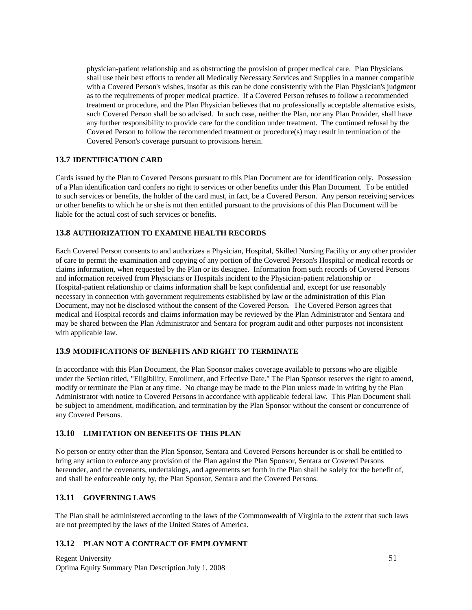physician-patient relationship and as obstructing the provision of proper medical care. Plan Physicians shall use their best efforts to render all Medically Necessary Services and Supplies in a manner compatible with a Covered Person's wishes, insofar as this can be done consistently with the Plan Physician's judgment as to the requirements of proper medical practice. If a Covered Person refuses to follow a recommended treatment or procedure, and the Plan Physician believes that no professionally acceptable alternative exists, such Covered Person shall be so advised. In such case, neither the Plan, nor any Plan Provider, shall have any further responsibility to provide care for the condition under treatment. The continued refusal by the Covered Person to follow the recommended treatment or procedure(s) may result in termination of the Covered Person's coverage pursuant to provisions herein.

## **13.7 IDENTIFICATION CARD**

Cards issued by the Plan to Covered Persons pursuant to this Plan Document are for identification only. Possession of a Plan identification card confers no right to services or other benefits under this Plan Document. To be entitled to such services or benefits, the holder of the card must, in fact, be a Covered Person. Any person receiving services or other benefits to which he or she is not then entitled pursuant to the provisions of this Plan Document will be liable for the actual cost of such services or benefits.

## **13.8 AUTHORIZATION TO EXAMINE HEALTH RECORDS**

Each Covered Person consents to and authorizes a Physician, Hospital, Skilled Nursing Facility or any other provider of care to permit the examination and copying of any portion of the Covered Person's Hospital or medical records or claims information, when requested by the Plan or its designee. Information from such records of Covered Persons and information received from Physicians or Hospitals incident to the Physician-patient relationship or Hospital-patient relationship or claims information shall be kept confidential and, except for use reasonably necessary in connection with government requirements established by law or the administration of this Plan Document, may not be disclosed without the consent of the Covered Person. The Covered Person agrees that medical and Hospital records and claims information may be reviewed by the Plan Administrator and Sentara and may be shared between the Plan Administrator and Sentara for program audit and other purposes not inconsistent with applicable law.

## **13.9 MODIFICATIONS OF BENEFITS AND RIGHT TO TERMINATE**

In accordance with this Plan Document, the Plan Sponsor makes coverage available to persons who are eligible under the Section titled, "Eligibility, Enrollment, and Effective Date." The Plan Sponsor reserves the right to amend, modify or terminate the Plan at any time. No change may be made to the Plan unless made in writing by the Plan Administrator with notice to Covered Persons in accordance with applicable federal law. This Plan Document shall be subject to amendment, modification, and termination by the Plan Sponsor without the consent or concurrence of any Covered Persons.

## **13.10 LIMITATION ON BENEFITS OF THIS PLAN**

No person or entity other than the Plan Sponsor, Sentara and Covered Persons hereunder is or shall be entitled to bring any action to enforce any provision of the Plan against the Plan Sponsor, Sentara or Covered Persons hereunder, and the covenants, undertakings, and agreements set forth in the Plan shall be solely for the benefit of, and shall be enforceable only by, the Plan Sponsor, Sentara and the Covered Persons.

## **13.11 GOVERNING LAWS**

The Plan shall be administered according to the laws of the Commonwealth of Virginia to the extent that such laws are not preempted by the laws of the United States of America.

## **13.12 PLAN NOT A CONTRACT OF EMPLOYMENT**

Regent University 51 Optima Equity Summary Plan Description July 1, 2008